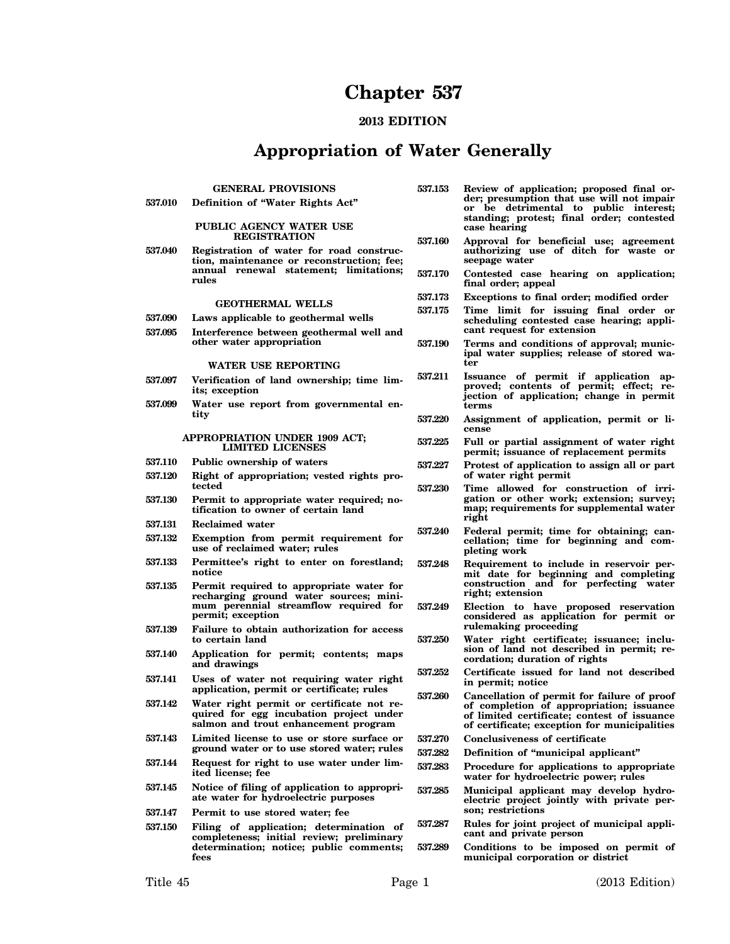# **Chapter 537**

# **2013 EDITION**

# **Appropriation of Water Generally**

# **GENERAL PROVISIONS**

**537.010 Definition of "Water Rights Act"**

#### **PUBLIC AGENCY WATER USE REGISTRATION**

**537.040 Registration of water for road construction, maintenance or reconstruction; fee; annual renewal statement; limitations; rules**

#### **GEOTHERMAL WELLS**

- **537.090 Laws applicable to geothermal wells**
- **537.095 Interference between geothermal well and other water appropriation**

#### **WATER USE REPORTING**

- **537.097 Verification of land ownership; time limits; exception**
- **537.099 Water use report from governmental entity**

#### **APPROPRIATION UNDER 1909 ACT; LIMITED LICENSES**

- **537.110 Public ownership of waters**
- **537.120 Right of appropriation; vested rights protected**
- **537.130 Permit to appropriate water required; notification to owner of certain land**
- **537.131 Reclaimed water**
- **537.132 Exemption from permit requirement for use of reclaimed water; rules**
- **537.133 Permittee's right to enter on forestland; notice**
- **537.135 Permit required to appropriate water for recharging ground water sources; minimum perennial streamflow required for permit; exception**
- **537.139 Failure to obtain authorization for access to certain land**
- **537.140 Application for permit; contents; maps and drawings**
- **537.141 Uses of water not requiring water right application, permit or certificate; rules**
- **537.142 Water right permit or certificate not required for egg incubation project under salmon and trout enhancement program**
- **537.143 Limited license to use or store surface or ground water or to use stored water; rules**
- **537.144 Request for right to use water under limited license; fee**
- **537.145 Notice of filing of application to appropriate water for hydroelectric purposes**
- **537.147 Permit to use stored water; fee**
- **537.150 Filing of application; determination of completeness; initial review; preliminary determination; notice; public comments; fees**
- **537.153 Review of application; proposed final order; presumption that use will not impair or be detrimental to public interest; standing; protest; final order; contested case hearing**
- **537.160 Approval for beneficial use; agreement authorizing use of ditch for waste or seepage water**
- **537.170 Contested case hearing on application; final order; appeal**
- **537.173 Exceptions to final order; modified order**
- **537.175 Time limit for issuing final order or scheduling contested case hearing; applicant request for extension**
- **537.190 Terms and conditions of approval; municipal water supplies; release of stored water**
- **537.211 Issuance of permit if application approved; contents of permit; effect; rejection of application; change in permit terms**
- **537.220 Assignment of application, permit or license**
- **537.225 Full or partial assignment of water right permit; issuance of replacement permits**
- **537.227 Protest of application to assign all or part of water right permit**
- **537.230 Time allowed for construction of irrigation or other work; extension; survey; map; requirements for supplemental water right**
- **537.240 Federal permit; time for obtaining; cancellation; time for beginning and completing work**
- **537.248 Requirement to include in reservoir permit date for beginning and completing construction and for perfecting water right; extension**
- **537.249 Election to have proposed reservation considered as application for permit or rulemaking proceeding**
- **537.250 Water right certificate; issuance; inclusion of land not described in permit; recordation; duration of rights**
- **537.252 Certificate issued for land not described in permit; notice**
- **537.260 Cancellation of permit for failure of proof of completion of appropriation; issuance of limited certificate; contest of issuance of certificate; exception for municipalities**
- **537.270 Conclusiveness of certificate**
- **537.282 Definition of "municipal applicant"**
- **537.283 Procedure for applications to appropriate water for hydroelectric power; rules**
- **537.285 Municipal applicant may develop hydroelectric project jointly with private person; restrictions**
- **537.287 Rules for joint project of municipal applicant and private person**
- **537.289 Conditions to be imposed on permit of municipal corporation or district**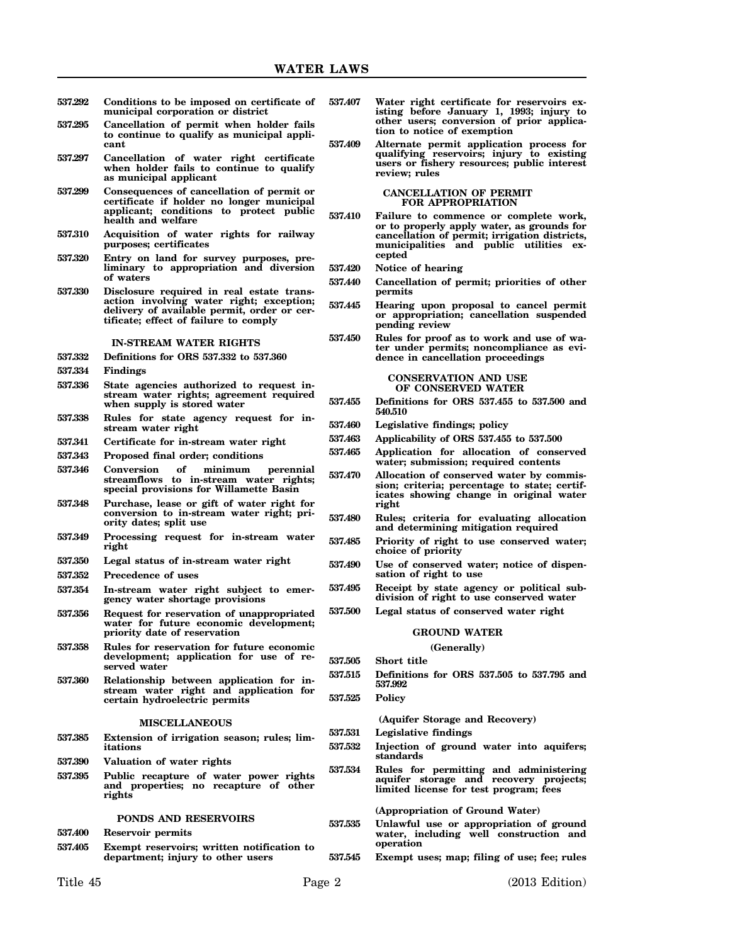- **537.292 Conditions to be imposed on certificate of municipal corporation or district**
- **537.295 Cancellation of permit when holder fails to continue to qualify as municipal applicant**
- **537.297 Cancellation of water right certificate when holder fails to continue to qualify as municipal applicant**
- **537.299 Consequences of cancellation of permit or certificate if holder no longer municipal applicant; conditions to protect public health and welfare**
- **537.310 Acquisition of water rights for railway purposes; certificates**
- **537.320 Entry on land for survey purposes, preliminary to appropriation and diversion of waters**
- **537.330 Disclosure required in real estate transaction involving water right; exception; delivery of available permit, order or certificate; effect of failure to comply**

#### **IN-STREAM WATER RIGHTS**

- **537.332 Definitions for ORS 537.332 to 537.360**
- **537.334 Findings**
- **537.336 State agencies authorized to request instream water rights; agreement required when supply is stored water**
- **537.338 Rules for state agency request for instream water right**
- **537.341 Certificate for in-stream water right**
- **537.343 Proposed final order; conditions**
- **537.346 Conversion of minimum perennial streamflows to in-stream water rights; special provisions for Willamette Basin**
- **537.348 Purchase, lease or gift of water right for conversion to in-stream water right; priority dates; split use**
- **537.349 Processing request for in-stream water right**
- **537.350 Legal status of in-stream water right**
- **537.352 Precedence of uses**
- **537.354 In-stream water right subject to emergency water shortage provisions**
- **537.356 Request for reservation of unappropriated water for future economic development; priority date of reservation**
- **537.358 Rules for reservation for future economic development; application for use of reserved water**
- **537.360 Relationship between application for instream water right and application for certain hydroelectric permits**

#### **MISCELLANEOUS**

- **537.385 Extension of irrigation season; rules; limitations**
- **537.390 Valuation of water rights**
- **537.395 Public recapture of water power rights and properties; no recapture of other rights**

#### **PONDS AND RESERVOIRS**

**537.400 Reservoir permits**

**537.405 Exempt reservoirs; written notification to department; injury to other users**

- **537.407 Water right certificate for reservoirs existing before January 1, 1993; injury to other users; conversion of prior application to notice of exemption**
- **537.409 Alternate permit application process for qualifying reservoirs; injury to existing users or fishery resources; public interest review; rules**

#### **CANCELLATION OF PERMIT FOR APPROPRIATION**

- **537.410 Failure to commence or complete work, or to properly apply water, as grounds for cancellation of permit; irrigation districts, municipalities and public utilities excepted**
- **537.420 Notice of hearing**
- **537.440 Cancellation of permit; priorities of other permits**
- **537.445 Hearing upon proposal to cancel permit or appropriation; cancellation suspended pending review**
- **537.450 Rules for proof as to work and use of water under permits; noncompliance as evidence in cancellation proceedings**

**CONSERVATION AND USE OF CONSERVED WATER**

- **537.455 Definitions for ORS 537.455 to 537.500 and 540.510**
- **537.460 Legislative findings; policy**
- **537.463 Applicability of ORS 537.455 to 537.500**
- **537.465 Application for allocation of conserved water; submission; required contents**
- **537.470 Allocation of conserved water by commission; criteria; percentage to state; certificates showing change in original water right**
- **537.480 Rules; criteria for evaluating allocation and determining mitigation required**
- **537.485 Priority of right to use conserved water; choice of priority**
- **537.490 Use of conserved water; notice of dispensation of right to use**
- **537.495 Receipt by state agency or political subdivision of right to use conserved water**
- **537.500 Legal status of conserved water right**

#### **GROUND WATER**

**(Generally)**

**537.505 Short title**

**537.515 Definitions for ORS 537.505 to 537.795 and 537.992**

#### **537.525 Policy**

**(Aquifer Storage and Recovery)**

**537.531 Legislative findings**

- **537.532 Injection of ground water into aquifers; standards**
- **537.534 Rules for permitting and administering aquifer storage and recovery projects; limited license for test program; fees**

**(Appropriation of Ground Water)**

- **537.535 Unlawful use or appropriation of ground water, including well construction and operation**
- **537.545 Exempt uses; map; filing of use; fee; rules**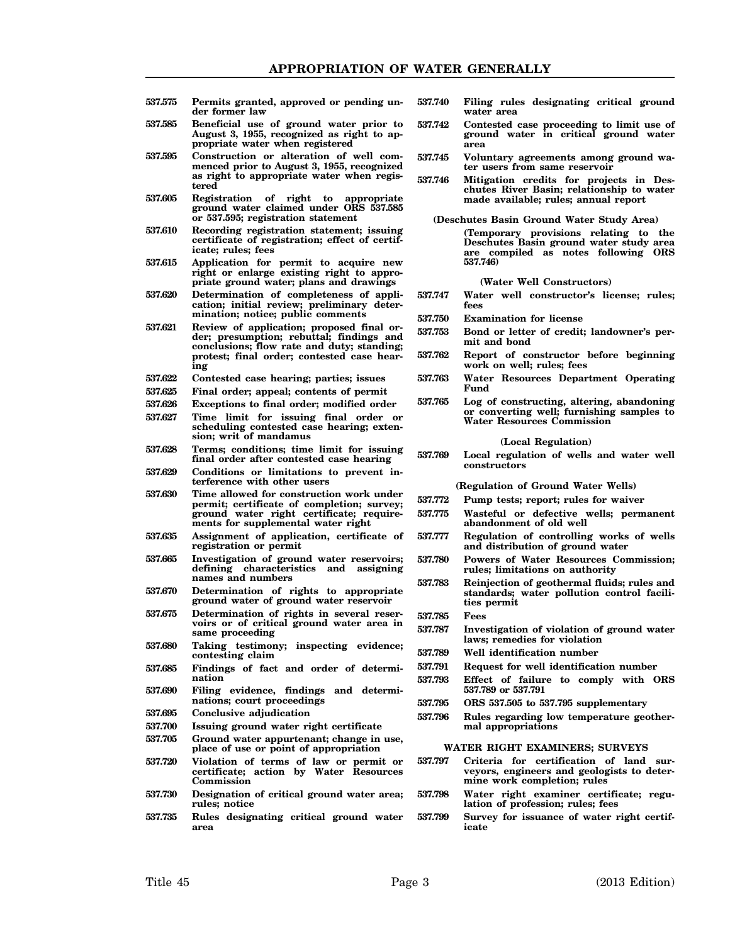- **537.575 Permits granted, approved or pending under former law**
- **537.585 Beneficial use of ground water prior to August 3, 1955, recognized as right to appropriate water when registered**
- **537.595 Construction or alteration of well commenced prior to August 3, 1955, recognized as right to appropriate water when registered**
- **537.605 Registration of right to appropriate ground water claimed under ORS 537.585 or 537.595; registration statement**
- **537.610 Recording registration statement; issuing certificate of registration; effect of certificate; rules; fees**
- **537.615 Application for permit to acquire new right or enlarge existing right to appropriate ground water; plans and drawings**
- **537.620 Determination of completeness of application; initial review; preliminary determination; notice; public comments**
- **537.621 Review of application; proposed final order; presumption; rebuttal; findings and conclusions; flow rate and duty; standing; protest; final order; contested case hearing**
- **537.622 Contested case hearing; parties; issues**
- **537.625 Final order; appeal; contents of permit**
- **537.626 Exceptions to final order; modified order**
- **537.627 Time limit for issuing final order or scheduling contested case hearing; extension; writ of mandamus**
- **537.628 Terms; conditions; time limit for issuing final order after contested case hearing**
- **537.629 Conditions or limitations to prevent interference with other users**
- **537.630 Time allowed for construction work under permit; certificate of completion; survey; ground water right certificate; requirements for supplemental water right**
- **537.635 Assignment of application, certificate of registration or permit**
- **537.665 Investigation of ground water reservoirs; defining characteristics and assigning names and numbers**
- **537.670 Determination of rights to appropriate ground water of ground water reservoir**
- **537.675 Determination of rights in several reservoirs or of critical ground water area in same proceeding**
- **537.680 Taking testimony; inspecting evidence; contesting claim**
- **537.685 Findings of fact and order of determination**
- **537.690 Filing evidence, findings and determinations; court proceedings**
- **537.695 Conclusive adjudication**
- **537.700 Issuing ground water right certificate**
- **537.705 Ground water appurtenant; change in use, place of use or point of appropriation**
- **537.720 Violation of terms of law or permit or certificate; action by Water Resources Commission**
- **537.730 Designation of critical ground water area; rules; notice**
- **537.735 Rules designating critical ground water area**
- **537.740 Filing rules designating critical ground water area**
- **537.742 Contested case proceeding to limit use of ground water in critical ground water area**
- **537.745 Voluntary agreements among ground water users from same reservoir**
- **537.746 Mitigation credits for projects in Deschutes River Basin; relationship to water made available; rules; annual report**

**(Deschutes Basin Ground Water Study Area)**

**(Temporary provisions relating to the Deschutes Basin ground water study area are compiled as notes following ORS 537.746)**

**(Water Well Constructors)**

- **537.747 Water well constructor's license; rules; fees**
- **537.750 Examination for license**
- **537.753 Bond or letter of credit; landowner's permit and bond**
- **537.762 Report of constructor before beginning work on well; rules; fees**
- **537.763 Water Resources Department Operating Fund**
- **537.765 Log of constructing, altering, abandoning or converting well; furnishing samples to Water Resources Commission**

#### **(Local Regulation)**

**537.769 Local regulation of wells and water well constructors**

**(Regulation of Ground Water Wells)**

- **537.772 Pump tests; report; rules for waiver**
- **537.775 Wasteful or defective wells; permanent abandonment of old well**
- **537.777 Regulation of controlling works of wells and distribution of ground water**
- **537.780 Powers of Water Resources Commission; rules; limitations on authority**
- **537.783 Reinjection of geothermal fluids; rules and standards; water pollution control facilities permit**
- **537.785 Fees**
- **537.787 Investigation of violation of ground water laws; remedies for violation**
- **537.789 Well identification number**
- **537.791 Request for well identification number**
- **537.793 Effect of failure to comply with ORS 537.789 or 537.791**
- **537.795 ORS 537.505 to 537.795 supplementary**
- **537.796 Rules regarding low temperature geothermal appropriations**

#### **WATER RIGHT EXAMINERS; SURVEYS**

- **537.797 Criteria for certification of land surveyors, engineers and geologists to determine work completion; rules**
- **537.798 Water right examiner certificate; regulation of profession; rules; fees**
- **537.799 Survey for issuance of water right certificate**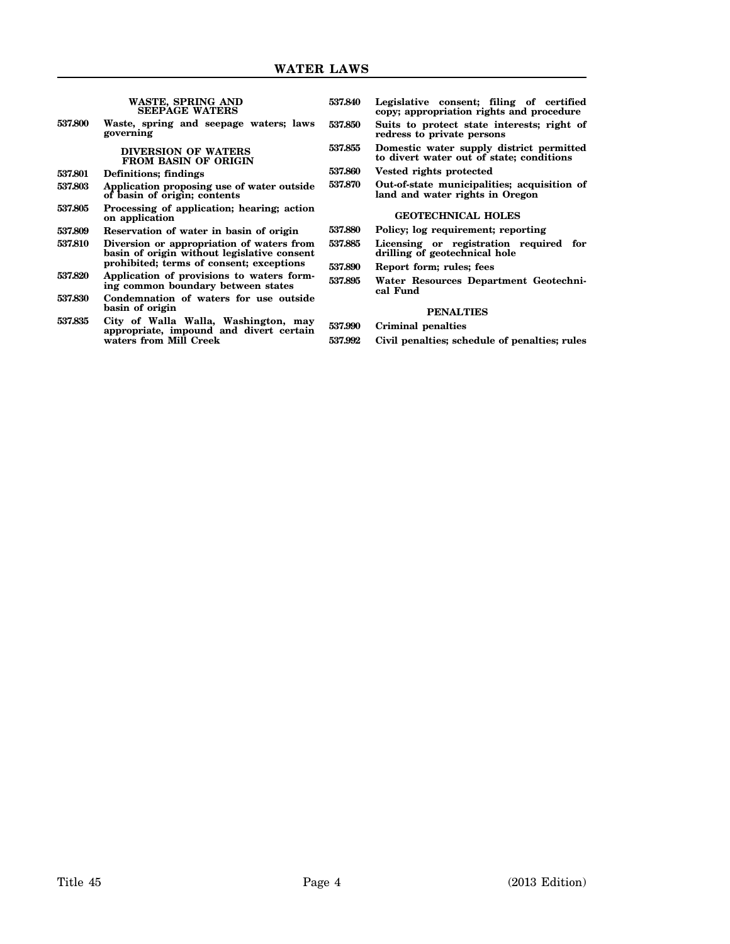|         | WASTE, SPRING AND<br><b>SEEPAGE WATERS</b>                                               | 537.840 | Legislative consent; filing of certified<br>copy; appropriation rights and procedure |
|---------|------------------------------------------------------------------------------------------|---------|--------------------------------------------------------------------------------------|
| 537.800 | Waste, spring and seepage waters; laws<br>governing                                      | 537.850 | Suits to protect state interests; right of<br>redress to private persons             |
|         | <b>DIVERSION OF WATERS</b><br><b>FROM BASIN OF ORIGIN</b>                                | 537.855 | Domestic water supply district permitted<br>to divert water out of state; conditions |
| 537.801 | <b>Definitions</b> ; findings                                                            | 537.860 | Vested rights protected                                                              |
| 537.803 | Application proposing use of water outside<br>of basin of origin; contents               | 537.870 | Out-of-state municipalities; acquisition of<br>land and water rights in Oregon       |
| 537.805 | Processing of application; hearing; action<br>on application                             |         | <b>GEOTECHNICAL HOLES</b>                                                            |
| 537.809 | Reservation of water in basin of origin                                                  | 537.880 | Policy; log requirement; reporting                                                   |
| 537.810 | Diversion or appropriation of waters from<br>basin of origin without legislative consent | 537.885 | Licensing or registration required for<br>drilling of geotechnical hole              |
|         | prohibited; terms of consent; exceptions                                                 | 537.890 | Report form; rules; fees                                                             |
| 537.820 | Application of provisions to waters form-<br>ing common boundary between states          | 537.895 | Water Resources Department Geotechni-<br>cal Fund                                    |
| 537.830 | Condemnation of waters for use outside                                                   |         |                                                                                      |
|         | basin of origin                                                                          |         | <b>PENALTIES</b>                                                                     |
| 537.835 | City of Walla Walla, Washington, may<br>appropriate, impound and divert certain          | 537.990 | Criminal penalties                                                                   |
|         | waters from Mill Creek                                                                   | 537.992 | Civil penalties; schedule of penalties; rules                                        |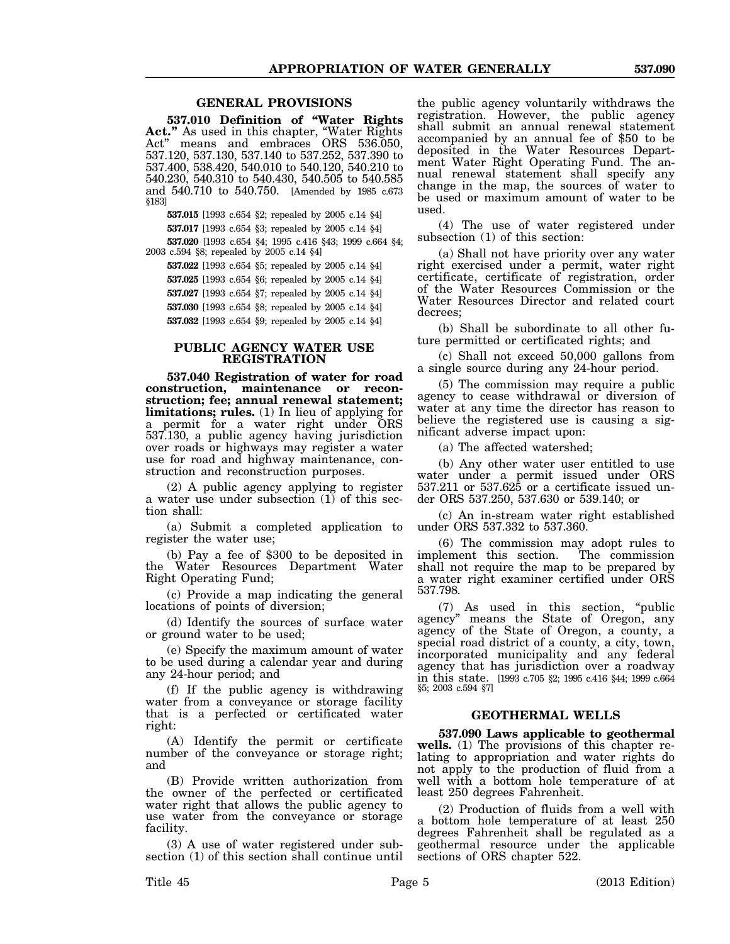## **GENERAL PROVISIONS**

**537.010 Definition of "Water Rights Act."** As used in this chapter, "Water Rights Act" means and embraces ORS 536.050, 537.120, 537.130, 537.140 to 537.252, 537.390 to 537.400, 538.420, 540.010 to 540.120, 540.210 to 540.230, 540.310 to 540.430, 540.505 to 540.585 and 540.710 to 540.750. [Amended by 1985 c.673 §183]

**537.015** [1993 c.654 §2; repealed by 2005 c.14 §4]

**537.017** [1993 c.654 §3; repealed by 2005 c.14 §4]

**537.020** [1993 c.654 §4; 1995 c.416 §43; 1999 c.664 §4; 2003 c.594 §8; repealed by 2005 c.14 §4]

**537.022** [1993 c.654 §5; repealed by 2005 c.14 §4] **537.025** [1993 c.654 §6; repealed by 2005 c.14 §4]

**537.027** [1993 c.654 §7; repealed by 2005 c.14 §4]

**537.030** [1993 c.654 §8; repealed by 2005 c.14 §4] **537.032** [1993 c.654 §9; repealed by 2005 c.14 §4]

## **PUBLIC AGENCY WATER USE REGISTRATION**

**537.040 Registration of water for road construction, maintenance or reconstruction; fee; annual renewal statement; limitations; rules.** (1) In lieu of applying for a permit for a water right under ORS 537.130, a public agency having jurisdiction over roads or highways may register a water use for road and highway maintenance, construction and reconstruction purposes.

(2) A public agency applying to register a water use under subsection (1) of this section shall:

(a) Submit a completed application to register the water use;

(b) Pay a fee of \$300 to be deposited in the Water Resources Department Water Right Operating Fund;

(c) Provide a map indicating the general locations of points of diversion;

(d) Identify the sources of surface water or ground water to be used;

(e) Specify the maximum amount of water to be used during a calendar year and during any 24-hour period; and

(f) If the public agency is withdrawing water from a conveyance or storage facility that is a perfected or certificated water right:

(A) Identify the permit or certificate number of the conveyance or storage right; and

(B) Provide written authorization from the owner of the perfected or certificated water right that allows the public agency to use water from the conveyance or storage facility.

(3) A use of water registered under subsection (1) of this section shall continue until

the public agency voluntarily withdraws the registration. However, the public agency shall submit an annual renewal statement accompanied by an annual fee of \$50 to be deposited in the Water Resources Department Water Right Operating Fund. The annual renewal statement shall specify any change in the map, the sources of water to be used or maximum amount of water to be used.

(4) The use of water registered under subsection (1) of this section:

(a) Shall not have priority over any water right exercised under a permit, water right certificate, certificate of registration, order of the Water Resources Commission or the Water Resources Director and related court decrees;

(b) Shall be subordinate to all other future permitted or certificated rights; and

(c) Shall not exceed 50,000 gallons from a single source during any 24-hour period.

(5) The commission may require a public agency to cease withdrawal or diversion of water at any time the director has reason to believe the registered use is causing a significant adverse impact upon:

(a) The affected watershed;

(b) Any other water user entitled to use water under a permit issued under ORS 537.211 or 537.625 or a certificate issued under ORS 537.250, 537.630 or 539.140; or

(c) An in-stream water right established under ORS 537.332 to 537.360.

(6) The commission may adopt rules to implement this section. shall not require the map to be prepared by a water right examiner certified under ORS 537.798.

(7) As used in this section, "public agency" means the State of Oregon, any agency of the State of Oregon, a county, a special road district of a county, a city, town, incorporated municipality and any federal agency that has jurisdiction over a roadway in this state. [1993 c.705 §2; 1995 c.416 §44; 1999 c.664 §5; 2003 c.594 §7]

# **GEOTHERMAL WELLS**

**537.090 Laws applicable to geothermal wells.** (1) The provisions of this chapter relating to appropriation and water rights do not apply to the production of fluid from a well with a bottom hole temperature of at least 250 degrees Fahrenheit.

(2) Production of fluids from a well with a bottom hole temperature of at least 250 degrees Fahrenheit shall be regulated as a geothermal resource under the applicable sections of ORS chapter 522.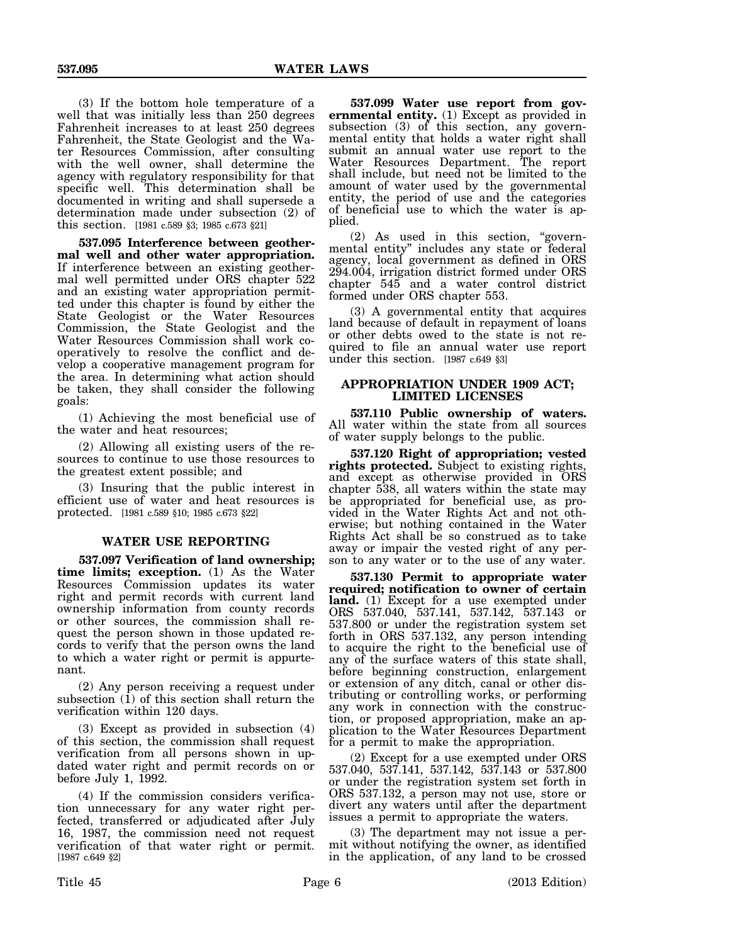(3) If the bottom hole temperature of a well that was initially less than 250 degrees Fahrenheit increases to at least 250 degrees Fahrenheit, the State Geologist and the Water Resources Commission, after consulting with the well owner, shall determine the agency with regulatory responsibility for that specific well. This determination shall be documented in writing and shall supersede a determination made under subsection (2) of this section. [1981 c.589 §3; 1985 c.673 §21]

**537.095 Interference between geothermal well and other water appropriation.** If interference between an existing geothermal well permitted under ORS chapter 522 and an existing water appropriation permitted under this chapter is found by either the State Geologist or the Water Resources Commission, the State Geologist and the Water Resources Commission shall work cooperatively to resolve the conflict and develop a cooperative management program for the area. In determining what action should be taken, they shall consider the following goals:

(1) Achieving the most beneficial use of the water and heat resources;

(2) Allowing all existing users of the resources to continue to use those resources to the greatest extent possible; and

(3) Insuring that the public interest in efficient use of water and heat resources is protected. [1981 c.589 §10; 1985 c.673 §22]

## **WATER USE REPORTING**

**537.097 Verification of land ownership; time limits; exception.** (1) As the Water Resources Commission updates its water right and permit records with current land ownership information from county records or other sources, the commission shall request the person shown in those updated records to verify that the person owns the land to which a water right or permit is appurtenant.

(2) Any person receiving a request under subsection (1) of this section shall return the verification within 120 days.

(3) Except as provided in subsection (4) of this section, the commission shall request verification from all persons shown in updated water right and permit records on or before July 1, 1992.

(4) If the commission considers verification unnecessary for any water right perfected, transferred or adjudicated after July 16, 1987, the commission need not request verification of that water right or permit. [1987 c.649 §2]

**537.099 Water use report from governmental entity.** (1) Except as provided in subsection (3) of this section, any governmental entity that holds a water right shall submit an annual water use report to the Water Resources Department. The report shall include, but need not be limited to the amount of water used by the governmental entity, the period of use and the categories of beneficial use to which the water is applied.

(2) As used in this section, "governmental entity" includes any state or federal agency, local government as defined in ORS 294.004, irrigation district formed under ORS chapter 545 and a water control district formed under ORS chapter 553.

(3) A governmental entity that acquires land because of default in repayment of loans or other debts owed to the state is not required to file an annual water use report under this section. [1987 c.649 §3]

## **APPROPRIATION UNDER 1909 ACT; LIMITED LICENSES**

**537.110 Public ownership of waters.** All water within the state from all sources of water supply belongs to the public.

**537.120 Right of appropriation; vested rights protected.** Subject to existing rights, and except as otherwise provided in ORS chapter 538, all waters within the state may be appropriated for beneficial use, as provided in the Water Rights Act and not otherwise; but nothing contained in the Water Rights Act shall be so construed as to take away or impair the vested right of any person to any water or to the use of any water.

**537.130 Permit to appropriate water required; notification to owner of certain land.** (1) Except for a use exempted under ORS 537.040, 537.141, 537.142, 537.143 or 537.800 or under the registration system set forth in ORS 537.132, any person intending to acquire the right to the beneficial use of any of the surface waters of this state shall, before beginning construction, enlargement or extension of any ditch, canal or other distributing or controlling works, or performing any work in connection with the construction, or proposed appropriation, make an application to the Water Resources Department for a permit to make the appropriation.

(2) Except for a use exempted under ORS 537.040, 537.141, 537.142, 537.143 or 537.800 or under the registration system set forth in ORS 537.132, a person may not use, store or divert any waters until after the department issues a permit to appropriate the waters.

(3) The department may not issue a permit without notifying the owner, as identified in the application, of any land to be crossed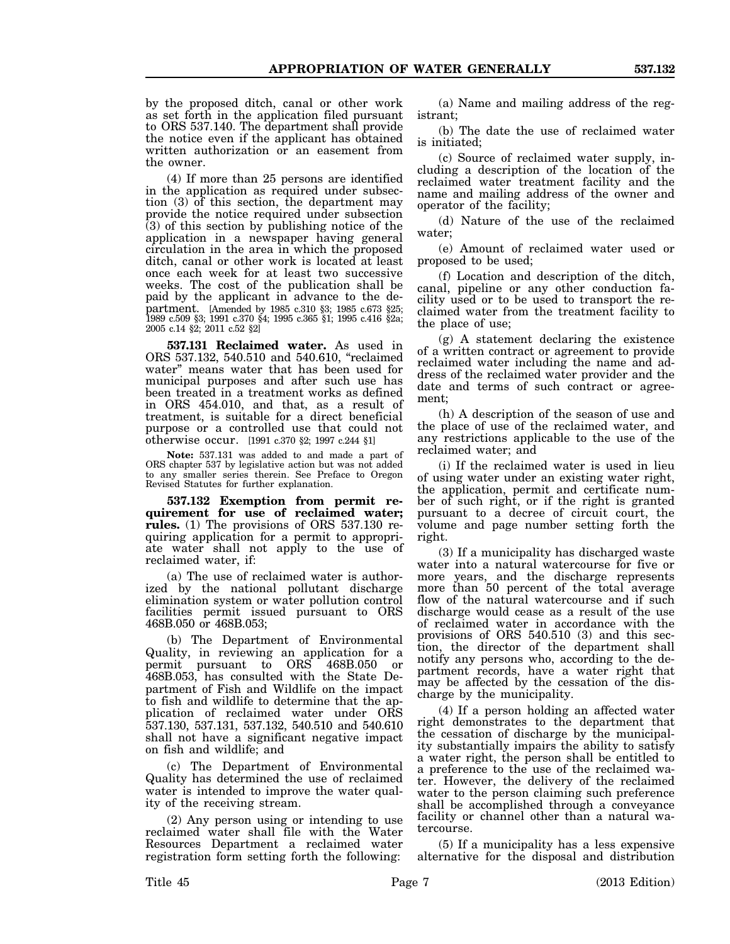by the proposed ditch, canal or other work as set forth in the application filed pursuant to ORS 537.140. The department shall provide the notice even if the applicant has obtained written authorization or an easement from the owner.

(4) If more than 25 persons are identified in the application as required under subsection (3) of this section, the department may provide the notice required under subsection (3) of this section by publishing notice of the application in a newspaper having general circulation in the area in which the proposed ditch, canal or other work is located at least once each week for at least two successive weeks. The cost of the publication shall be paid by the applicant in advance to the department. [Amended by 1985 c.310 §3; 1985 c.673 §25; 1989 c.509 §3; 1991 c.370 §4; 1995 c.365 §1; 1995 c.416 §2a; 2005 c.14 §2; 2011 c.52 §2]

**537.131 Reclaimed water.** As used in ORS 537.132, 540.510 and 540.610, "reclaimed water" means water that has been used for municipal purposes and after such use has been treated in a treatment works as defined in ORS 454.010, and that, as a result of treatment, is suitable for a direct beneficial purpose or a controlled use that could not otherwise occur. [1991 c.370 §2; 1997 c.244 §1]

**Note:** 537.131 was added to and made a part of ORS chapter 537 by legislative action but was not added to any smaller series therein. See Preface to Oregon Revised Statutes for further explanation.

**537.132 Exemption from permit requirement for use of reclaimed water; rules.** (1) The provisions of ORS 537.130 requiring application for a permit to appropriate water shall not apply to the use of reclaimed water, if:

(a) The use of reclaimed water is authorized by the national pollutant discharge elimination system or water pollution control facilities permit issued pursuant to ORS 468B.050 or 468B.053;

(b) The Department of Environmental Quality, in reviewing an application for a permit pursuant to ORS 468B.050 or 468B.053, has consulted with the State Department of Fish and Wildlife on the impact to fish and wildlife to determine that the application of reclaimed water under ORS 537.130, 537.131, 537.132, 540.510 and 540.610 shall not have a significant negative impact on fish and wildlife; and

(c) The Department of Environmental Quality has determined the use of reclaimed water is intended to improve the water quality of the receiving stream.

(2) Any person using or intending to use reclaimed water shall file with the Water Resources Department a reclaimed water registration form setting forth the following:

(a) Name and mailing address of the registrant;

(b) The date the use of reclaimed water is initiated;

(c) Source of reclaimed water supply, including a description of the location of the reclaimed water treatment facility and the name and mailing address of the owner and operator of the facility;

(d) Nature of the use of the reclaimed water;

(e) Amount of reclaimed water used or proposed to be used;

(f) Location and description of the ditch, canal, pipeline or any other conduction facility used or to be used to transport the reclaimed water from the treatment facility to the place of use;

(g) A statement declaring the existence of a written contract or agreement to provide reclaimed water including the name and address of the reclaimed water provider and the date and terms of such contract or agreement;

(h) A description of the season of use and the place of use of the reclaimed water, and any restrictions applicable to the use of the reclaimed water; and

(i) If the reclaimed water is used in lieu of using water under an existing water right, the application, permit and certificate number of such right, or if the right is granted pursuant to a decree of circuit court, the volume and page number setting forth the right.

(3) If a municipality has discharged waste water into a natural watercourse for five or more years, and the discharge represents more than 50 percent of the total average flow of the natural watercourse and if such discharge would cease as a result of the use of reclaimed water in accordance with the provisions of ORS 540.510 (3) and this section, the director of the department shall notify any persons who, according to the department records, have a water right that may be affected by the cessation of the discharge by the municipality.

(4) If a person holding an affected water right demonstrates to the department that the cessation of discharge by the municipality substantially impairs the ability to satisfy a water right, the person shall be entitled to a preference to the use of the reclaimed water. However, the delivery of the reclaimed water to the person claiming such preference shall be accomplished through a conveyance facility or channel other than a natural watercourse.

(5) If a municipality has a less expensive alternative for the disposal and distribution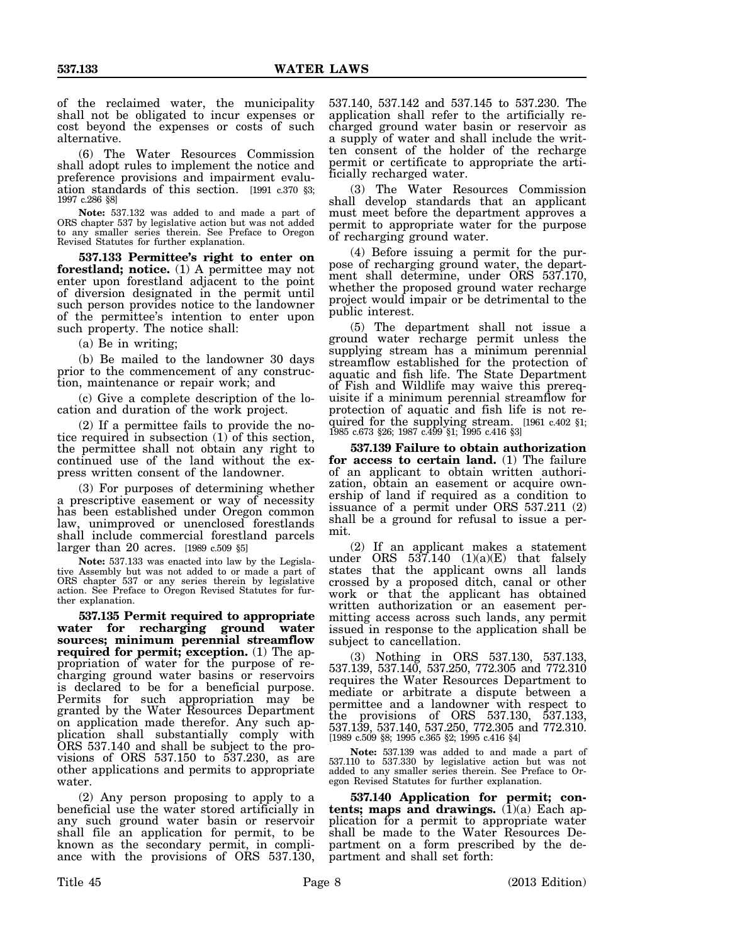of the reclaimed water, the municipality shall not be obligated to incur expenses or cost beyond the expenses or costs of such alternative.

(6) The Water Resources Commission shall adopt rules to implement the notice and preference provisions and impairment evaluation standards of this section. [1991 c.370 §3; 1997 c.286 §8]

**Note:** 537.132 was added to and made a part of ORS chapter 537 by legislative action but was not added to any smaller series therein. See Preface to Oregon Revised Statutes for further explanation.

**537.133 Permittee's right to enter on forestland; notice.** (1) A permittee may not enter upon forestland adjacent to the point of diversion designated in the permit until such person provides notice to the landowner of the permittee's intention to enter upon such property. The notice shall:

(a) Be in writing;

(b) Be mailed to the landowner 30 days prior to the commencement of any construction, maintenance or repair work; and

(c) Give a complete description of the location and duration of the work project.

(2) If a permittee fails to provide the notice required in subsection  $(1)$  of this section, the permittee shall not obtain any right to continued use of the land without the express written consent of the landowner.

(3) For purposes of determining whether a prescriptive easement or way of necessity has been established under Oregon common law, unimproved or unenclosed forestlands shall include commercial forestland parcels larger than 20 acres. [1989 c.509 §5]

**Note:** 537.133 was enacted into law by the Legislative Assembly but was not added to or made a part of ORS chapter 537 or any series therein by legislative action. See Preface to Oregon Revised Statutes for further explanation.

**537.135 Permit required to appropriate water for recharging ground water sources; minimum perennial streamflow required for permit; exception.** (1) The appropriation of water for the purpose of recharging ground water basins or reservoirs is declared to be for a beneficial purpose. Permits for such appropriation may be granted by the Water Resources Department on application made therefor. Any such application shall substantially comply with ORS 537.140 and shall be subject to the provisions of ORS 537.150 to 537.230, as are other applications and permits to appropriate water.

(2) Any person proposing to apply to a beneficial use the water stored artificially in any such ground water basin or reservoir shall file an application for permit, to be known as the secondary permit, in compliance with the provisions of ORS 537.130,

537.140, 537.142 and 537.145 to 537.230. The application shall refer to the artificially recharged ground water basin or reservoir as a supply of water and shall include the written consent of the holder of the recharge permit or certificate to appropriate the artificially recharged water.

(3) The Water Resources Commission shall develop standards that an applicant must meet before the department approves a permit to appropriate water for the purpose of recharging ground water.

(4) Before issuing a permit for the purpose of recharging ground water, the department shall determine, under ORS 537.170, whether the proposed ground water recharge project would impair or be detrimental to the public interest.

(5) The department shall not issue a ground water recharge permit unless the supplying stream has a minimum perennial streamflow established for the protection of aquatic and fish life. The State Department of Fish and Wildlife may waive this prerequisite if a minimum perennial streamflow for protection of aquatic and fish life is not required for the supplying stream. [1961 c.402 §1; 1985 c.673 §26; 1987 c.499 §1; 1995 c.416 §3]

**537.139 Failure to obtain authorization for access to certain land.** (1) The failure of an applicant to obtain written authorization, obtain an easement or acquire ownership of land if required as a condition to issuance of a permit under ORS 537.211 (2) shall be a ground for refusal to issue a permit.

(2) If an applicant makes a statement under ORS  $537.140$   $(1)(a)(E)$  that falsely states that the applicant owns all lands crossed by a proposed ditch, canal or other work or that the applicant has obtained written authorization or an easement permitting access across such lands, any permit issued in response to the application shall be subject to cancellation.

(3) Nothing in ORS 537.130, 537.133, 537.139, 537.140, 537.250, 772.305 and 772.310 requires the Water Resources Department to mediate or arbitrate a dispute between a permittee and a landowner with respect to the provisions of ORS 537.130, 537.133, 537.139, 537.140, 537.250, 772.305 and 772.310. [1989 c.509 §8; 1995 c.365 §2; 1995 c.416 §4]

**Note:** 537.139 was added to and made a part of 537.110 to 537.330 by legislative action but was not added to any smaller series therein. See Preface to Oregon Revised Statutes for further explanation.

**537.140 Application for permit; con**tents; maps and drawings. (1)(a) Each application for a permit to appropriate water shall be made to the Water Resources Department on a form prescribed by the department and shall set forth: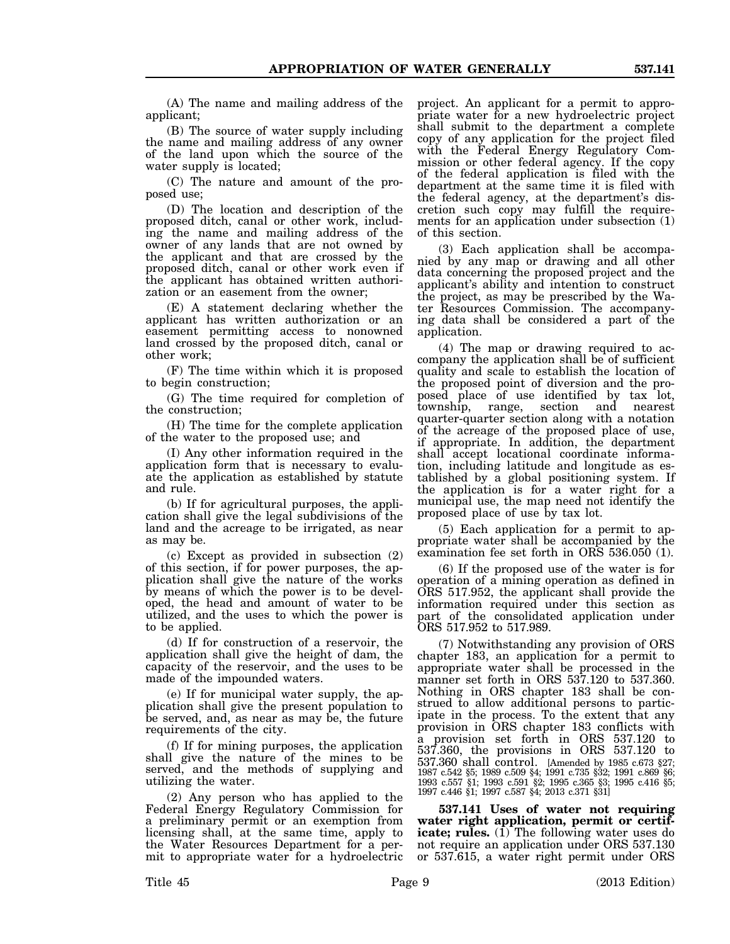(A) The name and mailing address of the applicant;

(B) The source of water supply including the name and mailing address of any owner of the land upon which the source of the water supply is located;

(C) The nature and amount of the proposed use;

(D) The location and description of the proposed ditch, canal or other work, including the name and mailing address of the owner of any lands that are not owned by the applicant and that are crossed by the proposed ditch, canal or other work even if the applicant has obtained written authorization or an easement from the owner;

(E) A statement declaring whether the applicant has written authorization or an easement permitting access to nonowned land crossed by the proposed ditch, canal or other work;

(F) The time within which it is proposed to begin construction;

(G) The time required for completion of the construction;

(H) The time for the complete application of the water to the proposed use; and

(I) Any other information required in the application form that is necessary to evaluate the application as established by statute and rule.

(b) If for agricultural purposes, the application shall give the legal subdivisions of the land and the acreage to be irrigated, as near as may be.

(c) Except as provided in subsection (2) of this section, if for power purposes, the application shall give the nature of the works by means of which the power is to be developed, the head and amount of water to be utilized, and the uses to which the power is to be applied.

(d) If for construction of a reservoir, the application shall give the height of dam, the capacity of the reservoir, and the uses to be made of the impounded waters.

(e) If for municipal water supply, the application shall give the present population to be served, and, as near as may be, the future requirements of the city.

(f) If for mining purposes, the application shall give the nature of the mines to be served, and the methods of supplying and utilizing the water.

(2) Any person who has applied to the Federal Energy Regulatory Commission for a preliminary permit or an exemption from licensing shall, at the same time, apply to the Water Resources Department for a permit to appropriate water for a hydroelectric

project. An applicant for a permit to appropriate water for a new hydroelectric project shall submit to the department a complete copy of any application for the project filed with the Federal Energy Regulatory Commission or other federal agency. If the copy of the federal application is filed with the department at the same time it is filed with the federal agency, at the department's discretion such copy may fulfill the requirements for an application under subsection (1) of this section.

(3) Each application shall be accompanied by any map or drawing and all other data concerning the proposed project and the applicant's ability and intention to construct the project, as may be prescribed by the Water Resources Commission. The accompanying data shall be considered a part of the application.

(4) The map or drawing required to accompany the application shall be of sufficient quality and scale to establish the location of the proposed point of diversion and the proposed place of use identified by tax lot, township, range, section and nearest township, range, section and quarter-quarter section along with a notation of the acreage of the proposed place of use, if appropriate. In addition, the department shall accept locational coordinate information, including latitude and longitude as established by a global positioning system. If the application is for a water right for a municipal use, the map need not identify the proposed place of use by tax lot.

(5) Each application for a permit to appropriate water shall be accompanied by the examination fee set forth in ORS 536.050 (1).

(6) If the proposed use of the water is for operation of a mining operation as defined in ORS 517.952, the applicant shall provide the information required under this section as part of the consolidated application under ORS 517.952 to 517.989.

(7) Notwithstanding any provision of ORS chapter 183, an application for a permit to appropriate water shall be processed in the manner set forth in ORS 537.120 to 537.360. Nothing in ORS chapter 183 shall be construed to allow additional persons to participate in the process. To the extent that any provision in ORS chapter 183 conflicts with a provision set forth in ORS 537.120 to 537.360, the provisions in ORS 537.120 to 537.360 shall control. [Amended by 1985 c.673 §27; 1987 c.542 §5; 1989 c.509 §4; 1991 c.735 §32; 1991 c.869 §6; 1993 c.557 §1; 1993 c.591 §2; 1995 c.365 §3; 1995 c.416 §5; 1997 c.446 §1; 1997 c.587 §4; 2013 c.371 §31]

**537.141 Uses of water not requiring water right application, permit or certificate; rules.** (1) The following water uses do not require an application under ORS 537.130 or 537.615, a water right permit under ORS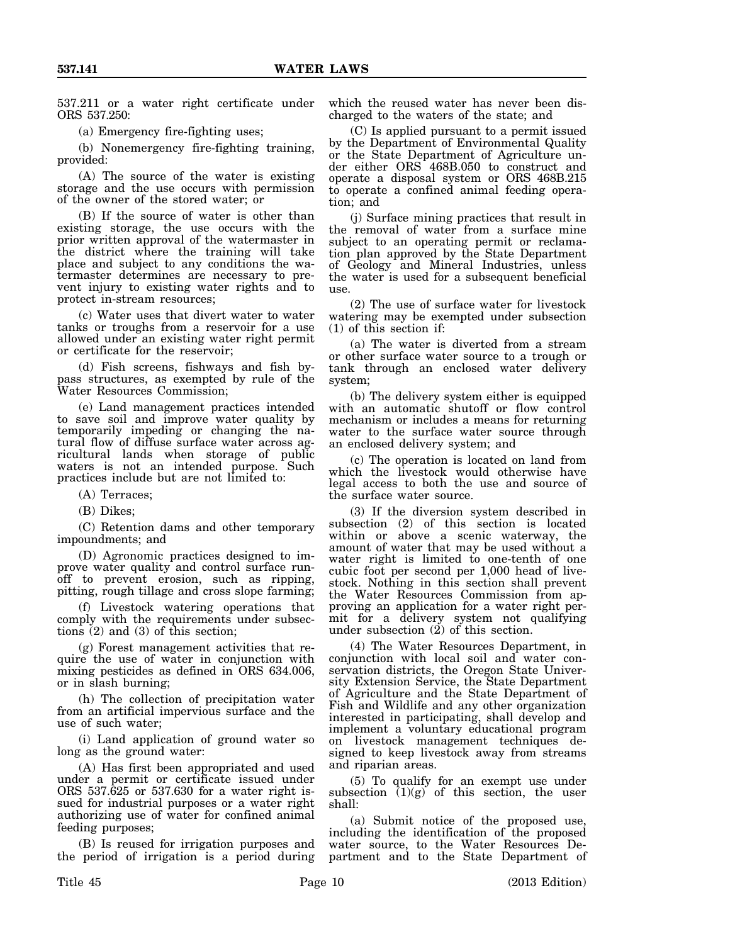537.211 or a water right certificate under ORS 537.250:

(a) Emergency fire-fighting uses;

(b) Nonemergency fire-fighting training, provided:

(A) The source of the water is existing storage and the use occurs with permission of the owner of the stored water; or

(B) If the source of water is other than existing storage, the use occurs with the prior written approval of the watermaster in the district where the training will take place and subject to any conditions the watermaster determines are necessary to prevent injury to existing water rights and to protect in-stream resources;

(c) Water uses that divert water to water tanks or troughs from a reservoir for a use allowed under an existing water right permit or certificate for the reservoir;

(d) Fish screens, fishways and fish bypass structures, as exempted by rule of the Water Resources Commission;

(e) Land management practices intended to save soil and improve water quality by temporarily impeding or changing the natural flow of diffuse surface water across agricultural lands when storage of public waters is not an intended purpose. Such practices include but are not limited to:

(A) Terraces;

(B) Dikes;

(C) Retention dams and other temporary impoundments; and

(D) Agronomic practices designed to improve water quality and control surface runoff to prevent erosion, such as ripping, pitting, rough tillage and cross slope farming;

(f) Livestock watering operations that comply with the requirements under subsections  $(2)$  and  $(3)$  of this section;

(g) Forest management activities that require the use of water in conjunction with mixing pesticides as defined in ORS 634.006, or in slash burning;

(h) The collection of precipitation water from an artificial impervious surface and the use of such water;

(i) Land application of ground water so long as the ground water:

(A) Has first been appropriated and used under a permit or certificate issued under ORS 537.625 or 537.630 for a water right issued for industrial purposes or a water right authorizing use of water for confined animal feeding purposes;

(B) Is reused for irrigation purposes and the period of irrigation is a period during which the reused water has never been discharged to the waters of the state; and

(C) Is applied pursuant to a permit issued by the Department of Environmental Quality or the State Department of Agriculture under either ORS 468B.050 to construct and operate a disposal system or ORS 468B.215 to operate a confined animal feeding operation; and

(j) Surface mining practices that result in the removal of water from a surface mine subject to an operating permit or reclamation plan approved by the State Department of Geology and Mineral Industries, unless the water is used for a subsequent beneficial use.

(2) The use of surface water for livestock watering may be exempted under subsection (1) of this section if:

(a) The water is diverted from a stream or other surface water source to a trough or tank through an enclosed water delivery system;

(b) The delivery system either is equipped with an automatic shutoff or flow control mechanism or includes a means for returning water to the surface water source through an enclosed delivery system; and

(c) The operation is located on land from which the livestock would otherwise have legal access to both the use and source of the surface water source.

(3) If the diversion system described in subsection (2) of this section is located within or above a scenic waterway, the amount of water that may be used without a water right is limited to one-tenth of one cubic foot per second per 1,000 head of livestock. Nothing in this section shall prevent the Water Resources Commission from approving an application for a water right permit for a delivery system not qualifying under subsection  $(2)$  of this section.

(4) The Water Resources Department, in conjunction with local soil and water conservation districts, the Oregon State University Extension Service, the State Department of Agriculture and the State Department of Fish and Wildlife and any other organization interested in participating, shall develop and implement a voluntary educational program on livestock management techniques designed to keep livestock away from streams and riparian areas.

(5) To qualify for an exempt use under subsection  $(1)(g)$  of this section, the user shall:

(a) Submit notice of the proposed use, including the identification of the proposed water source, to the Water Resources Department and to the State Department of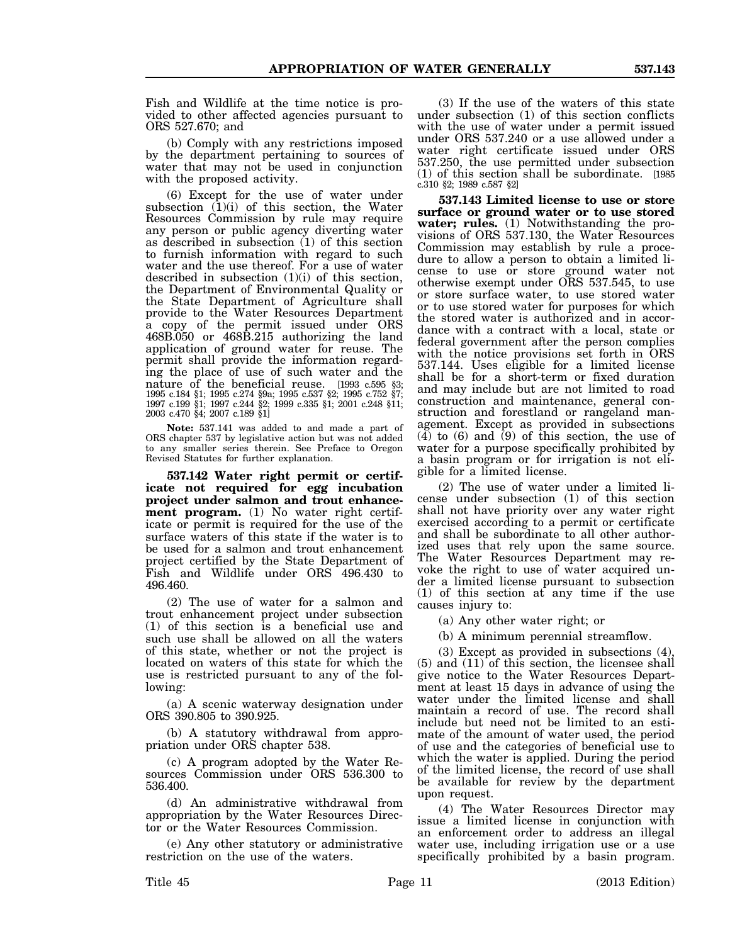Fish and Wildlife at the time notice is provided to other affected agencies pursuant to ORS 527.670; and

(b) Comply with any restrictions imposed by the department pertaining to sources of water that may not be used in conjunction with the proposed activity.

(6) Except for the use of water under subsection (1)(i) of this section, the Water Resources Commission by rule may require any person or public agency diverting water as described in subsection (1) of this section to furnish information with regard to such water and the use thereof. For a use of water described in subsection  $(1)(i)$  of this section, the Department of Environmental Quality or the State Department of Agriculture shall provide to the Water Resources Department a copy of the permit issued under ORS 468B.050 or 468B.215 authorizing the land application of ground water for reuse. The permit shall provide the information regarding the place of use of such water and the nature of the beneficial reuse. [1993 c.595 §3; 1995 c.184 §1; 1995 c.274 §9a; 1995 c.537 §2; 1995 c.752 §7; 1997 c.199 §1; 1997 c.244 §2; 1999 c.335 §1; 2001 c.248 §11; 2003 c.470 §4; 2007 c.189 §1]

**Note:** 537.141 was added to and made a part of ORS chapter 537 by legislative action but was not added to any smaller series therein. See Preface to Oregon Revised Statutes for further explanation.

**537.142 Water right permit or certificate not required for egg incubation project under salmon and trout enhancement program.** (1) No water right certificate or permit is required for the use of the surface waters of this state if the water is to be used for a salmon and trout enhancement project certified by the State Department of Fish and Wildlife under ORS 496.430 to 496.460.

(2) The use of water for a salmon and trout enhancement project under subsection (1) of this section is a beneficial use and such use shall be allowed on all the waters of this state, whether or not the project is located on waters of this state for which the use is restricted pursuant to any of the following:

(a) A scenic waterway designation under ORS 390.805 to 390.925.

(b) A statutory withdrawal from appropriation under ORS chapter 538.

(c) A program adopted by the Water Resources Commission under ORS 536.300 to 536.400.

(d) An administrative withdrawal from appropriation by the Water Resources Director or the Water Resources Commission.

(e) Any other statutory or administrative restriction on the use of the waters.

(3) If the use of the waters of this state under subsection (1) of this section conflicts with the use of water under a permit issued under ORS 537.240 or a use allowed under a water right certificate issued under ORS 537.250, the use permitted under subsection (1) of this section shall be subordinate. [1985 c.310 §2; 1989 c.587 §2]

**537.143 Limited license to use or store surface or ground water or to use stored water; rules.** (1) Notwithstanding the provisions of ORS 537.130, the Water Resources Commission may establish by rule a procedure to allow a person to obtain a limited license to use or store ground water not otherwise exempt under ORS 537.545, to use or store surface water, to use stored water or to use stored water for purposes for which the stored water is authorized and in accordance with a contract with a local, state or federal government after the person complies with the notice provisions set forth in ORS 537.144. Uses eligible for a limited license shall be for a short-term or fixed duration and may include but are not limited to road construction and maintenance, general construction and forestland or rangeland management. Except as provided in subsections  $(4)$  to  $(6)$  and  $(9)$  of this section, the use of water for a purpose specifically prohibited by a basin program or for irrigation is not eligible for a limited license.

(2) The use of water under a limited license under subsection (1) of this section shall not have priority over any water right exercised according to a permit or certificate and shall be subordinate to all other authorized uses that rely upon the same source. The Water Resources Department may revoke the right to use of water acquired under a limited license pursuant to subsection (1) of this section at any time if the use causes injury to:

(a) Any other water right; or

(b) A minimum perennial streamflow.

(3) Except as provided in subsections  $(4)$ (5) and (11) of this section, the licensee shall give notice to the Water Resources Department at least 15 days in advance of using the water under the limited license and shall maintain a record of use. The record shall include but need not be limited to an estimate of the amount of water used, the period of use and the categories of beneficial use to which the water is applied. During the period of the limited license, the record of use shall be available for review by the department upon request.

(4) The Water Resources Director may issue a limited license in conjunction with an enforcement order to address an illegal water use, including irrigation use or a use specifically prohibited by a basin program.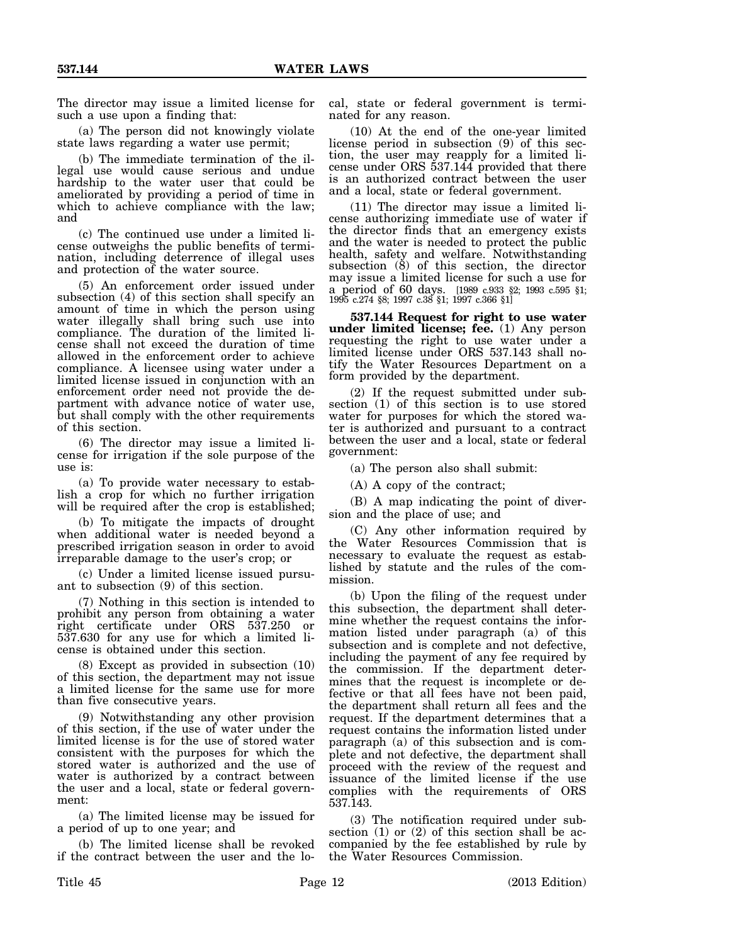The director may issue a limited license for such a use upon a finding that:

(a) The person did not knowingly violate state laws regarding a water use permit;

(b) The immediate termination of the illegal use would cause serious and undue hardship to the water user that could be ameliorated by providing a period of time in which to achieve compliance with the law; and

(c) The continued use under a limited license outweighs the public benefits of termination, including deterrence of illegal uses and protection of the water source.

(5) An enforcement order issued under subsection (4) of this section shall specify an amount of time in which the person using water illegally shall bring such use into compliance. The duration of the limited license shall not exceed the duration of time allowed in the enforcement order to achieve compliance. A licensee using water under a limited license issued in conjunction with an enforcement order need not provide the department with advance notice of water use, but shall comply with the other requirements of this section.

(6) The director may issue a limited license for irrigation if the sole purpose of the use is:

(a) To provide water necessary to establish a crop for which no further irrigation will be required after the crop is established;

(b) To mitigate the impacts of drought when additional water is needed beyond a prescribed irrigation season in order to avoid irreparable damage to the user's crop; or

(c) Under a limited license issued pursuant to subsection (9) of this section.

(7) Nothing in this section is intended to prohibit any person from obtaining a water right certificate under ORS 537.250 or 537.630 for any use for which a limited license is obtained under this section.

(8) Except as provided in subsection (10) of this section, the department may not issue a limited license for the same use for more than five consecutive years.

(9) Notwithstanding any other provision of this section, if the use of water under the limited license is for the use of stored water consistent with the purposes for which the stored water is authorized and the use of water is authorized by a contract between the user and a local, state or federal government:

(a) The limited license may be issued for a period of up to one year; and

(b) The limited license shall be revoked if the contract between the user and the local, state or federal government is terminated for any reason.

(10) At the end of the one-year limited license period in subsection (9) of this section, the user may reapply for a limited license under ORS 537.144 provided that there is an authorized contract between the user and a local, state or federal government.

(11) The director may issue a limited license authorizing immediate use of water if the director finds that an emergency exists and the water is needed to protect the public health, safety and welfare. Notwithstanding subsection (8) of this section, the director may issue a limited license for such a use for a period of 60 days. [1989 c.933 §2; 1993 c.595 §1; 1995 c.274 §8; 1997 c.38 §1; 1997 c.366 §1]

**537.144 Request for right to use water under limited license; fee.** (1) Any person requesting the right to use water under a limited license under ORS 537.143 shall notify the Water Resources Department on a form provided by the department.

(2) If the request submitted under subsection (1) of this section is to use stored water for purposes for which the stored water is authorized and pursuant to a contract between the user and a local, state or federal government:

(a) The person also shall submit:

(A) A copy of the contract;

(B) A map indicating the point of diversion and the place of use; and

(C) Any other information required by the Water Resources Commission that is necessary to evaluate the request as established by statute and the rules of the commission.

(b) Upon the filing of the request under this subsection, the department shall determine whether the request contains the information listed under paragraph (a) of this subsection and is complete and not defective, including the payment of any fee required by the commission. If the department determines that the request is incomplete or defective or that all fees have not been paid, the department shall return all fees and the request. If the department determines that a request contains the information listed under paragraph (a) of this subsection and is complete and not defective, the department shall proceed with the review of the request and issuance of the limited license if the use complies with the requirements of ORS 537.143.

(3) The notification required under subsection (1) or (2) of this section shall be accompanied by the fee established by rule by the Water Resources Commission.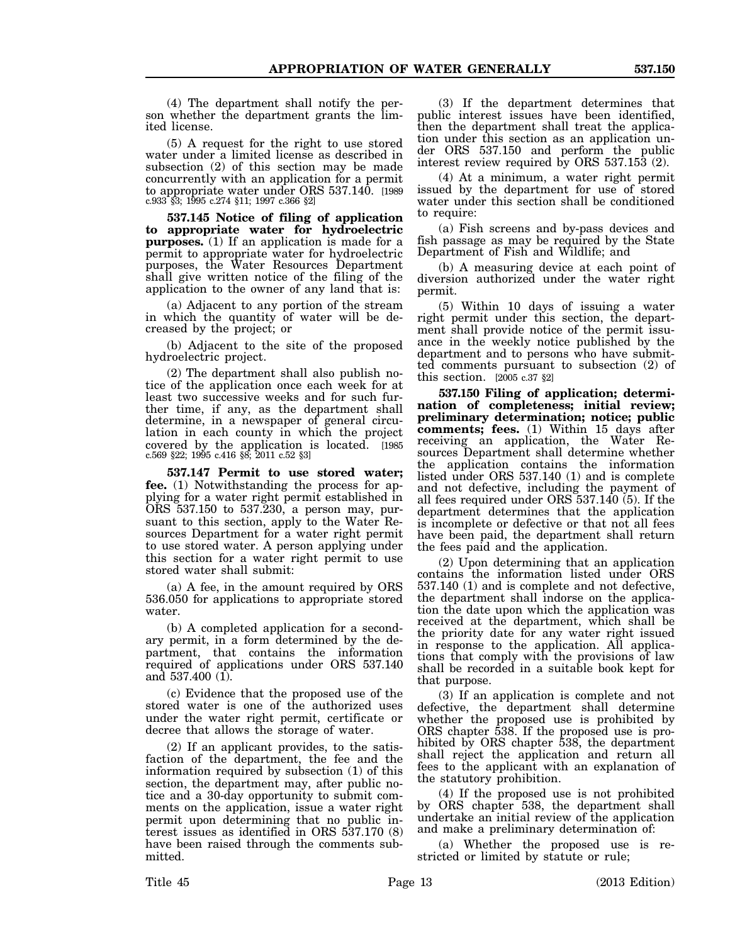(4) The department shall notify the person whether the department grants the limited license.

(5) A request for the right to use stored water under a limited license as described in subsection (2) of this section may be made concurrently with an application for a permit to appropriate water under ORS 537.140. [1989 c.933 §3; 1995 c.274 §11; 1997 c.366 §2]

**537.145 Notice of filing of application to appropriate water for hydroelectric purposes.** (1) If an application is made for a permit to appropriate water for hydroelectric purposes, the Water Resources Department shall give written notice of the filing of the application to the owner of any land that is:

(a) Adjacent to any portion of the stream in which the quantity of water will be decreased by the project; or

(b) Adjacent to the site of the proposed hydroelectric project.

(2) The department shall also publish notice of the application once each week for at least two successive weeks and for such further time, if any, as the department shall determine, in a newspaper of general circulation in each county in which the project covered by the application is located. [1985 c.569 §22; 1995 c.416 §8; 2011 c.52 §3]

**537.147 Permit to use stored water; fee.** (1) Notwithstanding the process for applying for a water right permit established in ORS 537.150 to 537.230, a person may, pursuant to this section, apply to the Water Resources Department for a water right permit to use stored water. A person applying under this section for a water right permit to use stored water shall submit:

(a) A fee, in the amount required by ORS 536.050 for applications to appropriate stored water.

(b) A completed application for a secondary permit, in a form determined by the department, that contains the information required of applications under ORS 537.140 and 537.400 (1).

(c) Evidence that the proposed use of the stored water is one of the authorized uses under the water right permit, certificate or decree that allows the storage of water.

(2) If an applicant provides, to the satisfaction of the department, the fee and the information required by subsection (1) of this section, the department may, after public notice and a 30-day opportunity to submit comments on the application, issue a water right permit upon determining that no public interest issues as identified in ORS 537.170 (8) have been raised through the comments submitted.

(3) If the department determines that public interest issues have been identified, then the department shall treat the application under this section as an application under ORS 537.150 and perform the public interest review required by ORS 537.153 (2).

(4) At a minimum, a water right permit issued by the department for use of stored water under this section shall be conditioned to require:

(a) Fish screens and by-pass devices and fish passage as may be required by the State Department of Fish and Wildlife; and

(b) A measuring device at each point of diversion authorized under the water right permit.

(5) Within 10 days of issuing a water right permit under this section, the department shall provide notice of the permit issuance in the weekly notice published by the department and to persons who have submitted comments pursuant to subsection (2) of this section. [2005 c.37 §2]

**537.150 Filing of application; determination of completeness; initial review; preliminary determination; notice; public comments; fees.** (1) Within 15 days after receiving an application, the Water Resources Department shall determine whether the application contains the information listed under ORS 537.140 (1) and is complete and not defective, including the payment of all fees required under ORS 537.140 (5). If the department determines that the application is incomplete or defective or that not all fees have been paid, the department shall return the fees paid and the application.

(2) Upon determining that an application contains the information listed under ORS 537.140 (1) and is complete and not defective, the department shall indorse on the application the date upon which the application was received at the department, which shall be the priority date for any water right issued in response to the application. All applications that comply with the provisions of law shall be recorded in a suitable book kept for that purpose.

(3) If an application is complete and not defective, the department shall determine whether the proposed use is prohibited by ORS chapter 538. If the proposed use is prohibited by ORS chapter 538, the department shall reject the application and return all fees to the applicant with an explanation of the statutory prohibition.

(4) If the proposed use is not prohibited by ORS chapter 538, the department shall undertake an initial review of the application and make a preliminary determination of:

(a) Whether the proposed use is restricted or limited by statute or rule;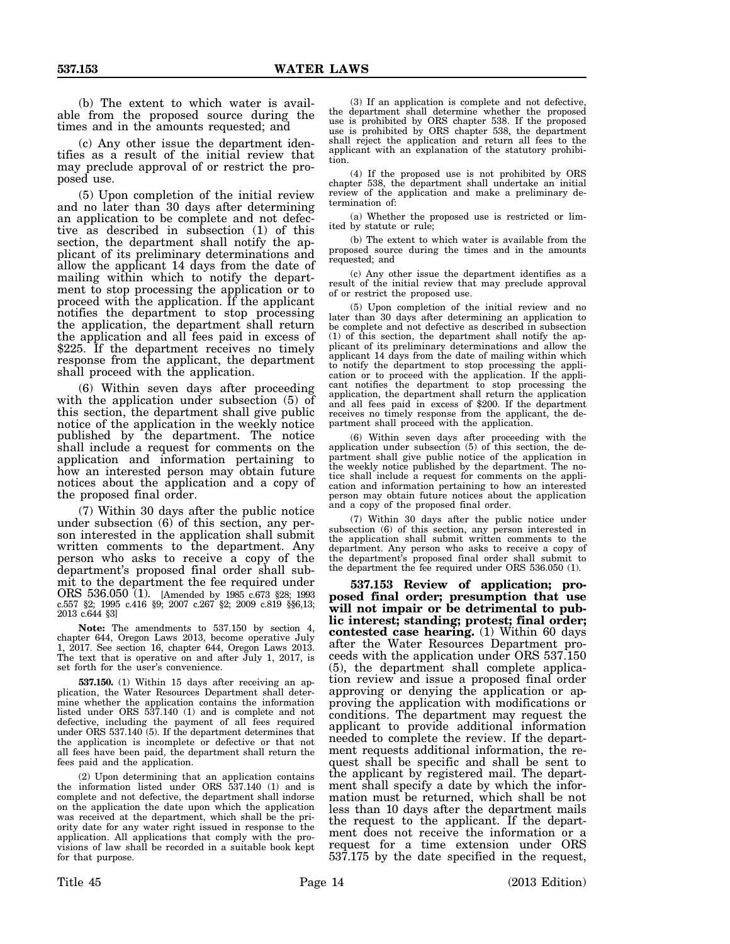(b) The extent to which water is available from the proposed source during the times and in the amounts requested; and

(c) Any other issue the department identifies as a result of the initial review that may preclude approval of or restrict the proposed use.

(5) Upon completion of the initial review and no later than 30 days after determining an application to be complete and not defective as described in subsection (1) of this section, the department shall notify the applicant of its preliminary determinations and allow the applicant 14 days from the date of mailing within which to notify the department to stop processing the application or to proceed with the application. If the applicant notifies the department to stop processing the application, the department shall return the application and all fees paid in excess of \$225. If the department receives no timely response from the applicant, the department shall proceed with the application.

(6) Within seven days after proceeding with the application under subsection (5) of this section, the department shall give public notice of the application in the weekly notice published by the department. The notice shall include a request for comments on the application and information pertaining to how an interested person may obtain future notices about the application and a copy of the proposed final order.

(7) Within 30 days after the public notice under subsection (6) of this section, any person interested in the application shall submit written comments to the department. Any person who asks to receive a copy of the department's proposed final order shall submit to the department the fee required under ORS 536.050 (1). [Amended by 1985 c.673 §28; 1993 c.557 §2; 1995 c.416 §9; 2007 c.267 §2; 2009 c.819 §§6,13; 2013 c.644 §3]

**Note:** The amendments to 537.150 by section 4, chapter 644, Oregon Laws 2013, become operative July 1, 2017. See section 16, chapter 644, Oregon Laws 2013. The text that is operative on and after July 1, 2017, is set forth for the user's convenience.

**537.150.** (1) Within 15 days after receiving an application, the Water Resources Department shall determine whether the application contains the information listed under ORS 537.140 (1) and is complete and not defective, including the payment of all fees required under ORS 537.140 (5). If the department determines that the application is incomplete or defective or that not all fees have been paid, the department shall return the fees paid and the application.

(2) Upon determining that an application contains the information listed under ORS 537.140 (1) and is complete and not defective, the department shall indorse on the application the date upon which the application was received at the department, which shall be the priority date for any water right issued in response to the application. All applications that comply with the provisions of law shall be recorded in a suitable book kept for that purpose.

(3) If an application is complete and not defective, the department shall determine whether the proposed use is prohibited by ORS chapter 538. If the proposed use is prohibited by ORS chapter 538, the department shall reject the application and return all fees to the applicant with an explanation of the statutory prohibition.

(4) If the proposed use is not prohibited by ORS chapter 538, the department shall undertake an initial review of the application and make a preliminary determination of:

(a) Whether the proposed use is restricted or limited by statute or rule;

(b) The extent to which water is available from the proposed source during the times and in the amounts requested; and

(c) Any other issue the department identifies as a result of the initial review that may preclude approval of or restrict the proposed use.

(5) Upon completion of the initial review and no later than 30 days after determining an application to be complete and not defective as described in subsection (1) of this section, the department shall notify the applicant of its preliminary determinations and allow the applicant 14 days from the date of mailing within which to notify the department to stop processing the application or to proceed with the application. If the applicant notifies the department to stop processing the application, the department shall return the application and all fees paid in excess of \$200. If the department receives no timely response from the applicant, the department shall proceed with the application.

(6) Within seven days after proceeding with the application under subsection (5) of this section, the department shall give public notice of the application in the weekly notice published by the department. The notice shall include a request for comments on the application and information pertaining to how an interested person may obtain future notices about the application and a copy of the proposed final order.

(7) Within 30 days after the public notice under subsection (6) of this section, any person interested in the application shall submit written comments to the department. Any person who asks to receive a copy of the department's proposed final order shall submit to the department the fee required under ORS 536.050 (1).

**537.153 Review of application; proposed final order; presumption that use will not impair or be detrimental to public interest; standing; protest; final order; contested case hearing.** (1) Within 60 days after the Water Resources Department proceeds with the application under ORS 537.150 (5), the department shall complete application review and issue a proposed final order approving or denying the application or approving the application with modifications or conditions. The department may request the applicant to provide additional information needed to complete the review. If the department requests additional information, the request shall be specific and shall be sent to the applicant by registered mail. The department shall specify a date by which the information must be returned, which shall be not less than 10 days after the department mails the request to the applicant. If the department does not receive the information or a request for a time extension under ORS 537.175 by the date specified in the request,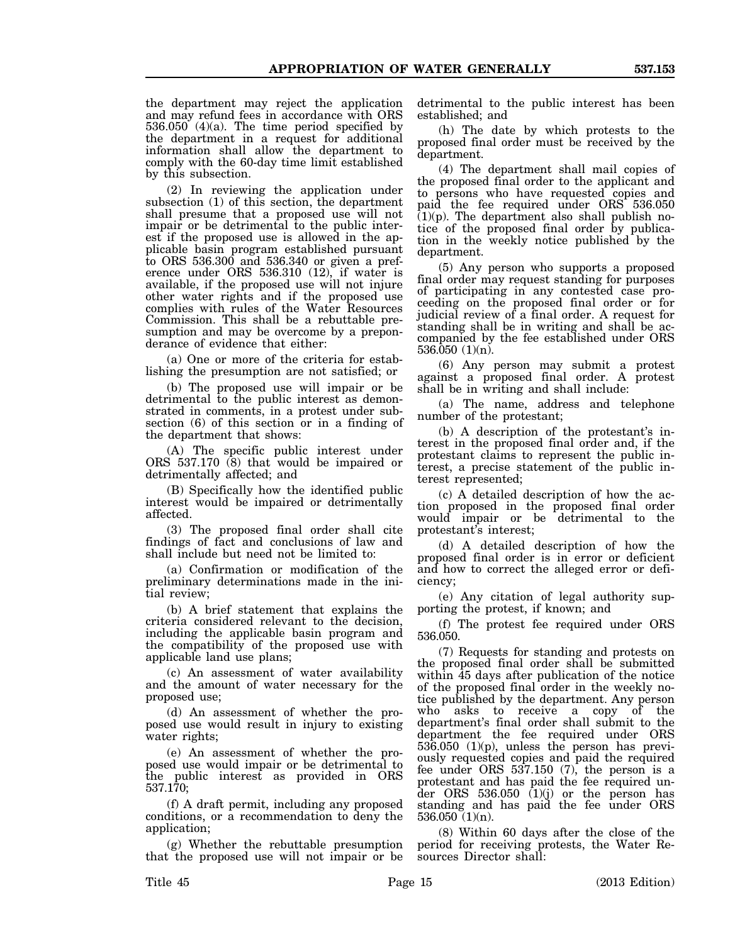the department may reject the application and may refund fees in accordance with ORS 536.050 (4)(a). The time period specified by the department in a request for additional information shall allow the department to comply with the 60-day time limit established by this subsection.

(2) In reviewing the application under subsection (1) of this section, the department shall presume that a proposed use will not impair or be detrimental to the public interest if the proposed use is allowed in the applicable basin program established pursuant to ORS 536.300 and 536.340 or given a preference under ORS 536.310 (12), if water is available, if the proposed use will not injure other water rights and if the proposed use complies with rules of the Water Resources Commission. This shall be a rebuttable presumption and may be overcome by a preponderance of evidence that either:

(a) One or more of the criteria for establishing the presumption are not satisfied; or

(b) The proposed use will impair or be detrimental to the public interest as demonstrated in comments, in a protest under subsection (6) of this section or in a finding of the department that shows:

(A) The specific public interest under ORS 537.170 (8) that would be impaired or detrimentally affected; and

(B) Specifically how the identified public interest would be impaired or detrimentally affected.

(3) The proposed final order shall cite findings of fact and conclusions of law and shall include but need not be limited to:

(a) Confirmation or modification of the preliminary determinations made in the initial review;

(b) A brief statement that explains the criteria considered relevant to the decision, including the applicable basin program and the compatibility of the proposed use with applicable land use plans;

(c) An assessment of water availability and the amount of water necessary for the proposed use;

(d) An assessment of whether the proposed use would result in injury to existing water rights;

(e) An assessment of whether the proposed use would impair or be detrimental to the public interest as provided in ORS 537.170;

(f) A draft permit, including any proposed conditions, or a recommendation to deny the application;

(g) Whether the rebuttable presumption that the proposed use will not impair or be detrimental to the public interest has been established; and

(h) The date by which protests to the proposed final order must be received by the department.

(4) The department shall mail copies of the proposed final order to the applicant and to persons who have requested copies and paid the fee required under ORS 536.050  $(1)(p)$ . The department also shall publish notice of the proposed final order by publication in the weekly notice published by the department.

(5) Any person who supports a proposed final order may request standing for purposes of participating in any contested case proceeding on the proposed final order or for judicial review of a final order. A request for standing shall be in writing and shall be accompanied by the fee established under ORS 536.050 (1)(n).

(6) Any person may submit a protest against a proposed final order. A protest shall be in writing and shall include:

(a) The name, address and telephone number of the protestant;

(b) A description of the protestant's interest in the proposed final order and, if the protestant claims to represent the public interest, a precise statement of the public interest represented;

(c) A detailed description of how the action proposed in the proposed final order would impair or be detrimental to the protestant's interest;

(d) A detailed description of how the proposed final order is in error or deficient and how to correct the alleged error or deficiency;

(e) Any citation of legal authority supporting the protest, if known; and

(f) The protest fee required under ORS 536.050.

(7) Requests for standing and protests on the proposed final order shall be submitted within 45 days after publication of the notice of the proposed final order in the weekly notice published by the department. Any person who asks to receive a copy of the department's final order shall submit to the department the fee required under ORS 536.050 (1)(p), unless the person has previously requested copies and paid the required fee under ORS 537.150 (7), the person is a protestant and has paid the fee required under ORS 536.050 (1)(j) or the person has standing and has paid the fee under ORS 536.050 (1)(n).

(8) Within 60 days after the close of the period for receiving protests, the Water Resources Director shall: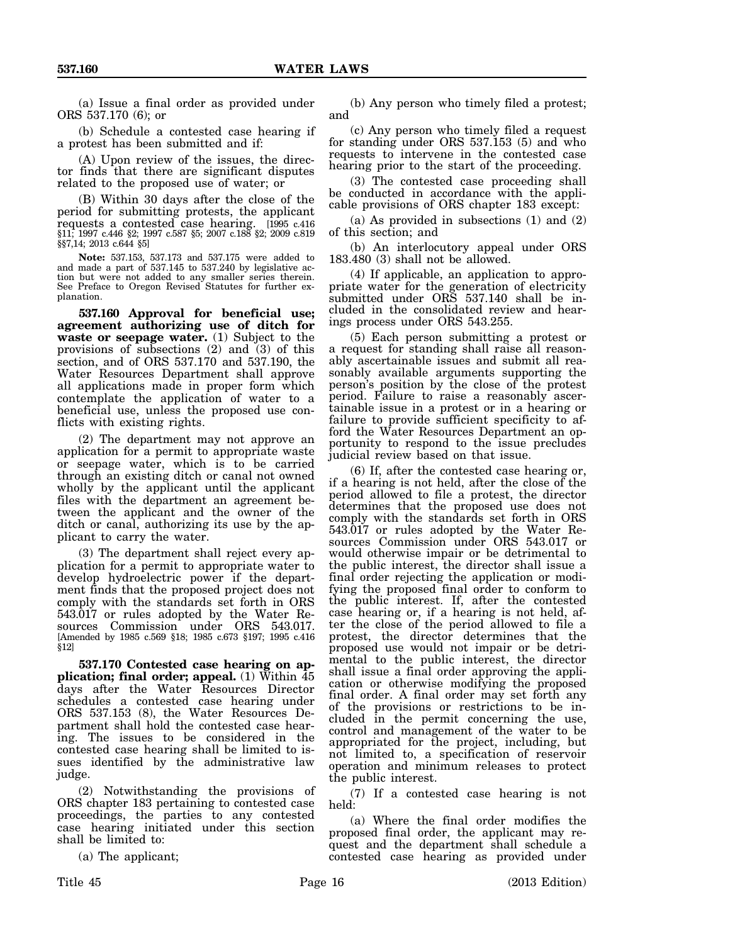(a) Issue a final order as provided under ORS 537.170 (6); or

(b) Schedule a contested case hearing if a protest has been submitted and if:

(A) Upon review of the issues, the director finds that there are significant disputes related to the proposed use of water; or

(B) Within 30 days after the close of the period for submitting protests, the applicant requests a contested case hearing. [1995 c.416 §11; 1997 c.446 §2; 1997 c.587 §5; 2007 c.188 §2; 2009 c.819 §§7,14; 2013 c.644 §5]

**Note:** 537.153, 537.173 and 537.175 were added to and made a part of 537.145 to 537.240 by legislative action but were not added to any smaller series therein. See Preface to Oregon Revised Statutes for further explanation.

**537.160 Approval for beneficial use; agreement authorizing use of ditch for waste or seepage water.** (1) Subject to the provisions of subsections (2) and (3) of this section, and of ORS 537.170 and 537.190, the Water Resources Department shall approve all applications made in proper form which contemplate the application of water to a beneficial use, unless the proposed use conflicts with existing rights.

(2) The department may not approve an application for a permit to appropriate waste or seepage water, which is to be carried through an existing ditch or canal not owned wholly by the applicant until the applicant files with the department an agreement between the applicant and the owner of the ditch or canal, authorizing its use by the applicant to carry the water.

(3) The department shall reject every application for a permit to appropriate water to develop hydroelectric power if the department finds that the proposed project does not comply with the standards set forth in ORS 543.017 or rules adopted by the Water Resources Commission under ORS 543.017. [Amended by 1985 c.569 §18; 1985 c.673 §197; 1995 c.416 §12]

**537.170 Contested case hearing on application; final order; appeal.** (1) Within 45 days after the Water Resources Director schedules a contested case hearing under ORS 537.153 (8), the Water Resources Department shall hold the contested case hearing. The issues to be considered in the contested case hearing shall be limited to issues identified by the administrative law judge.

(2) Notwithstanding the provisions of ORS chapter 183 pertaining to contested case proceedings, the parties to any contested case hearing initiated under this section shall be limited to:

(a) The applicant;

(b) Any person who timely filed a protest; and

(c) Any person who timely filed a request for standing under ORS 537.153 (5) and who requests to intervene in the contested case hearing prior to the start of the proceeding.

(3) The contested case proceeding shall be conducted in accordance with the applicable provisions of ORS chapter 183 except:

(a) As provided in subsections (1) and (2) of this section; and

(b) An interlocutory appeal under ORS 183.480 (3) shall not be allowed.

(4) If applicable, an application to appropriate water for the generation of electricity submitted under ORS 537.140 shall be included in the consolidated review and hearings process under ORS 543.255.

(5) Each person submitting a protest or a request for standing shall raise all reasonably ascertainable issues and submit all reasonably available arguments supporting the person's position by the close of the protest period. Failure to raise a reasonably ascertainable issue in a protest or in a hearing or failure to provide sufficient specificity to afford the Water Resources Department an opportunity to respond to the issue precludes judicial review based on that issue.

(6) If, after the contested case hearing or, if a hearing is not held, after the close of the period allowed to file a protest, the director determines that the proposed use does not comply with the standards set forth in ORS 543.017 or rules adopted by the Water Resources Commission under ORS 543.017 or would otherwise impair or be detrimental to the public interest, the director shall issue a final order rejecting the application or modifying the proposed final order to conform to the public interest. If, after the contested case hearing or, if a hearing is not held, after the close of the period allowed to file a protest, the director determines that the proposed use would not impair or be detrimental to the public interest, the director shall issue a final order approving the application or otherwise modifying the proposed final order. A final order may set forth any of the provisions or restrictions to be included in the permit concerning the use, control and management of the water to be appropriated for the project, including, but not limited to, a specification of reservoir operation and minimum releases to protect the public interest.

(7) If a contested case hearing is not held:

(a) Where the final order modifies the proposed final order, the applicant may request and the department shall schedule a contested case hearing as provided under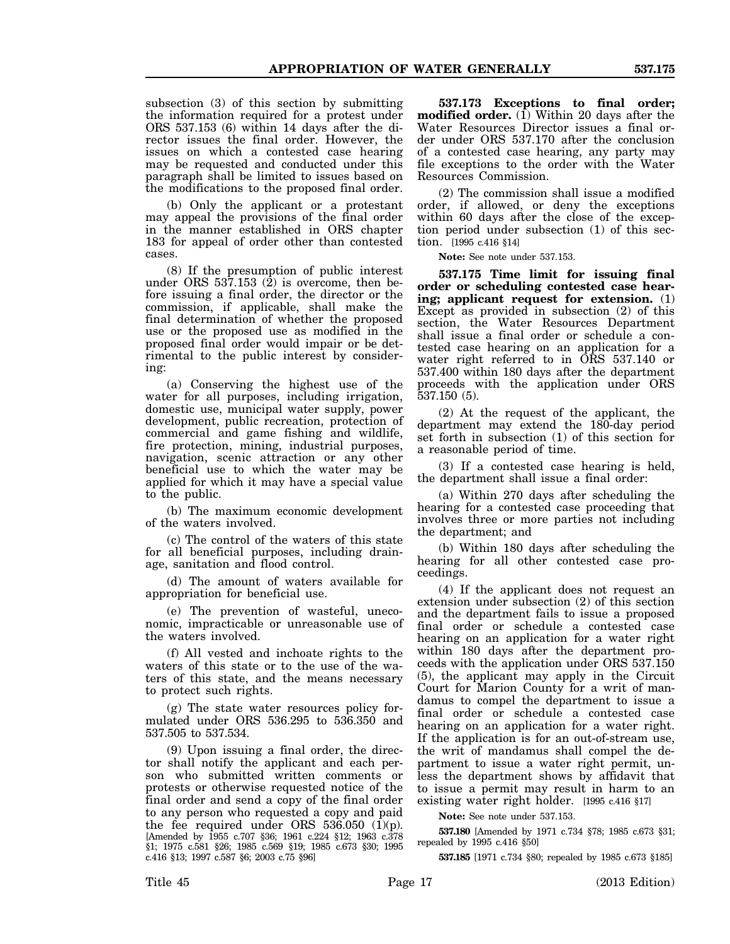subsection (3) of this section by submitting the information required for a protest under ORS 537.153 (6) within 14 days after the director issues the final order. However, the issues on which a contested case hearing may be requested and conducted under this paragraph shall be limited to issues based on the modifications to the proposed final order.

(b) Only the applicant or a protestant may appeal the provisions of the final order in the manner established in ORS chapter 183 for appeal of order other than contested cases.

(8) If the presumption of public interest under ORS 537.153 (2) is overcome, then before issuing a final order, the director or the commission, if applicable, shall make the final determination of whether the proposed use or the proposed use as modified in the proposed final order would impair or be detrimental to the public interest by considering:

(a) Conserving the highest use of the water for all purposes, including irrigation, domestic use, municipal water supply, power development, public recreation, protection of commercial and game fishing and wildlife, fire protection, mining, industrial purposes, navigation, scenic attraction or any other beneficial use to which the water may be applied for which it may have a special value to the public.

(b) The maximum economic development of the waters involved.

(c) The control of the waters of this state for all beneficial purposes, including drainage, sanitation and flood control.

(d) The amount of waters available for appropriation for beneficial use.

(e) The prevention of wasteful, uneconomic, impracticable or unreasonable use of the waters involved.

(f) All vested and inchoate rights to the waters of this state or to the use of the waters of this state, and the means necessary to protect such rights.

(g) The state water resources policy formulated under ORS 536.295 to 536.350 and 537.505 to 537.534.

(9) Upon issuing a final order, the director shall notify the applicant and each person who submitted written comments or protests or otherwise requested notice of the final order and send a copy of the final order to any person who requested a copy and paid the fee required under ORS 536.050  $(\overline{1})(p)$ . [Amended by 1955 c.707 §36; 1961 c.224 §12; 1963 c.378 §1; 1975 c.581 §26; 1985 c.569 §19; 1985 c.673 §30; 1995 c.416 §13; 1997 c.587 §6; 2003 c.75 §96]

**537.173 Exceptions to final order; modified order.** (1) Within 20 days after the Water Resources Director issues a final order under ORS 537.170 after the conclusion of a contested case hearing, any party may file exceptions to the order with the Water Resources Commission.

(2) The commission shall issue a modified order, if allowed, or deny the exceptions within 60 days after the close of the exception period under subsection (1) of this section. [1995 c.416 §14]

**Note:** See note under 537.153.

**537.175 Time limit for issuing final order or scheduling contested case hearing; applicant request for extension.** (1) Except as provided in subsection (2) of this section, the Water Resources Department shall issue a final order or schedule a contested case hearing on an application for a water right referred to in ORS 537.140 or 537.400 within 180 days after the department proceeds with the application under ORS 537.150 (5).

(2) At the request of the applicant, the department may extend the 180-day period set forth in subsection (1) of this section for a reasonable period of time.

(3) If a contested case hearing is held, the department shall issue a final order:

(a) Within 270 days after scheduling the hearing for a contested case proceeding that involves three or more parties not including the department; and

(b) Within 180 days after scheduling the hearing for all other contested case proceedings.

(4) If the applicant does not request an extension under subsection (2) of this section and the department fails to issue a proposed final order or schedule a contested case hearing on an application for a water right within 180 days after the department proceeds with the application under ORS 537.150 (5), the applicant may apply in the Circuit Court for Marion County for a writ of mandamus to compel the department to issue a final order or schedule a contested case hearing on an application for a water right. If the application is for an out-of-stream use, the writ of mandamus shall compel the department to issue a water right permit, unless the department shows by affidavit that to issue a permit may result in harm to an existing water right holder. [1995 c.416 §17]

**Note:** See note under 537.153.

**537.180** [Amended by 1971 c.734 §78; 1985 c.673 §31; repealed by 1995 c.416 §50]

**537.185** [1971 c.734 §80; repealed by 1985 c.673 §185]

Title 45 Page 17 Page 17 (2013 Edition)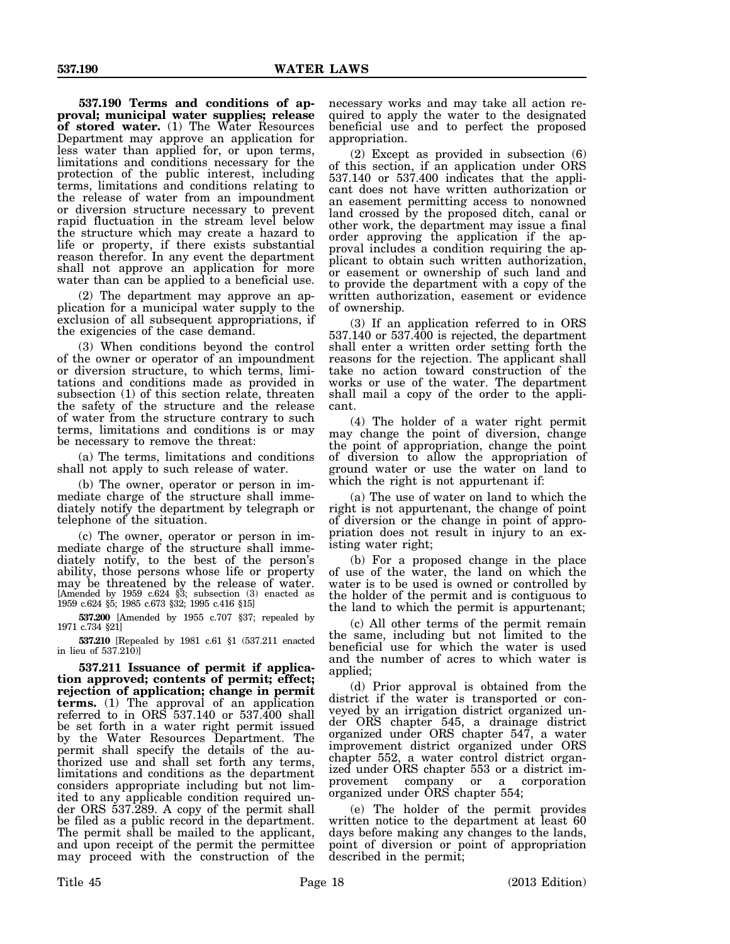**537.190 Terms and conditions of approval; municipal water supplies; release of stored water.** (1) The Water Resources Department may approve an application for less water than applied for, or upon terms, limitations and conditions necessary for the protection of the public interest, including terms, limitations and conditions relating to the release of water from an impoundment or diversion structure necessary to prevent rapid fluctuation in the stream level below the structure which may create a hazard to life or property, if there exists substantial reason therefor. In any event the department shall not approve an application for more water than can be applied to a beneficial use.

(2) The department may approve an application for a municipal water supply to the exclusion of all subsequent appropriations, if the exigencies of the case demand.

(3) When conditions beyond the control of the owner or operator of an impoundment or diversion structure, to which terms, limitations and conditions made as provided in subsection (1) of this section relate, threaten the safety of the structure and the release of water from the structure contrary to such terms, limitations and conditions is or may be necessary to remove the threat:

(a) The terms, limitations and conditions shall not apply to such release of water.

(b) The owner, operator or person in immediate charge of the structure shall immediately notify the department by telegraph or telephone of the situation.

(c) The owner, operator or person in immediate charge of the structure shall immediately notify, to the best of the person's ability, those persons whose life or property may be threatened by the release of water. [Amended by 1959 c.624 §3; subsection (3) enacted as 1959 c.624 §5; 1985 c.673 §32; 1995 c.416 §15]

**537.200** [Amended by 1955 c.707 §37; repealed by 1971 c.734 §21]

**537.210** [Repealed by 1981 c.61 §1 (537.211 enacted in lieu of 537.210)]

**537.211 Issuance of permit if application approved; contents of permit; effect; rejection of application; change in permit terms.** (1) The approval of an application referred to in ORS 537.140 or 537.400 shall be set forth in a water right permit issued by the Water Resources Department. The permit shall specify the details of the authorized use and shall set forth any terms, limitations and conditions as the department considers appropriate including but not limited to any applicable condition required under ORS 537.289. A copy of the permit shall be filed as a public record in the department. The permit shall be mailed to the applicant, and upon receipt of the permit the permittee may proceed with the construction of the

necessary works and may take all action required to apply the water to the designated beneficial use and to perfect the proposed appropriation.

(2) Except as provided in subsection (6) of this section, if an application under ORS 537.140 or 537.400 indicates that the applicant does not have written authorization or an easement permitting access to nonowned land crossed by the proposed ditch, canal or other work, the department may issue a final order approving the application if the approval includes a condition requiring the applicant to obtain such written authorization, or easement or ownership of such land and to provide the department with a copy of the written authorization, easement or evidence of ownership.

(3) If an application referred to in ORS 537.140 or 537.400 is rejected, the department shall enter a written order setting forth the reasons for the rejection. The applicant shall take no action toward construction of the works or use of the water. The department shall mail a copy of the order to the applicant.

(4) The holder of a water right permit may change the point of diversion, change the point of appropriation, change the point of diversion to allow the appropriation of ground water or use the water on land to which the right is not appurtenant if:

(a) The use of water on land to which the right is not appurtenant, the change of point of diversion or the change in point of appropriation does not result in injury to an existing water right;

(b) For a proposed change in the place of use of the water, the land on which the water is to be used is owned or controlled by the holder of the permit and is contiguous to the land to which the permit is appurtenant;

(c) All other terms of the permit remain the same, including but not limited to the beneficial use for which the water is used and the number of acres to which water is applied;

(d) Prior approval is obtained from the district if the water is transported or conveyed by an irrigation district organized under ORS chapter 545, a drainage district organized under ORS chapter 547, a water improvement district organized under ORS chapter 552, a water control district organized under ORS chapter 553 or a district improvement company or a corporation organized under ORS chapter 554;

(e) The holder of the permit provides written notice to the department at least 60 days before making any changes to the lands, point of diversion or point of appropriation described in the permit;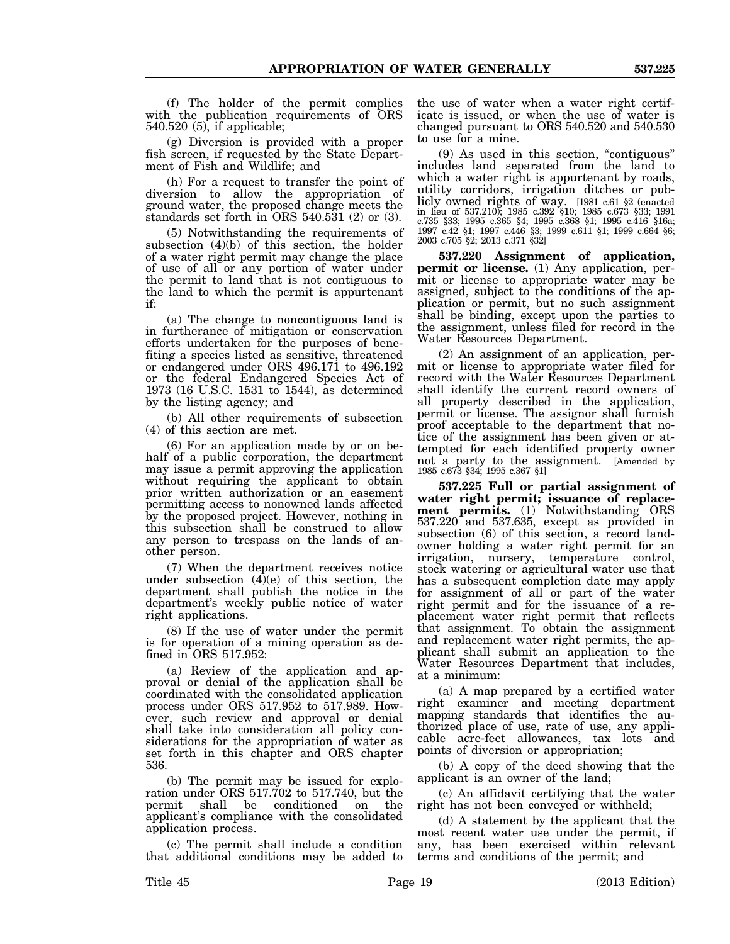(f) The holder of the permit complies with the publication requirements of ORS 540.520 (5), if applicable;

(g) Diversion is provided with a proper fish screen, if requested by the State Department of Fish and Wildlife; and

(h) For a request to transfer the point of diversion to allow the appropriation of ground water, the proposed change meets the standards set forth in ORS 540.531 (2) or (3).

(5) Notwithstanding the requirements of subsection  $(4)(b)$  of this section, the holder of a water right permit may change the place of use of all or any portion of water under the permit to land that is not contiguous to the land to which the permit is appurtenant if:

(a) The change to noncontiguous land is in furtherance of mitigation or conservation efforts undertaken for the purposes of benefiting a species listed as sensitive, threatened or endangered under ORS 496.171 to 496.192 or the federal Endangered Species Act of 1973 (16 U.S.C. 1531 to 1544), as determined by the listing agency; and

(b) All other requirements of subsection (4) of this section are met.

(6) For an application made by or on behalf of a public corporation, the department may issue a permit approving the application without requiring the applicant to obtain prior written authorization or an easement permitting access to nonowned lands affected by the proposed project. However, nothing in this subsection shall be construed to allow any person to trespass on the lands of another person.

(7) When the department receives notice under subsection  $(4)(e)$  of this section, the department shall publish the notice in the department's weekly public notice of water right applications.

(8) If the use of water under the permit is for operation of a mining operation as defined in ORS 517.952:

(a) Review of the application and approval or denial of the application shall be coordinated with the consolidated application process under ORS 517.952 to 517.989. However, such review and approval or denial shall take into consideration all policy considerations for the appropriation of water as set forth in this chapter and ORS chapter 536.

(b) The permit may be issued for exploration under ORS 517.702 to 517.740, but the permit shall be conditioned on the applicant's compliance with the consolidated application process.

(c) The permit shall include a condition that additional conditions may be added to the use of water when a water right certificate is issued, or when the use of water is changed pursuant to ORS 540.520 and 540.530 to use for a mine.

(9) As used in this section, "contiguous" includes land separated from the land to which a water right is appurtenant by roads, utility corridors, irrigation ditches or publicly owned rights of way. [1981 c.61 §2 (enacted in lieu of 537.210); 1985 c.392 §10; 1985 c.673 §33; 1991 c.735 §33; 1995 c.365 §4; 1995 c.368 §1; 1995 c.416 §16a; 1997 c.42 §1; 1997 c.446 §3; 1999 c.611 §1; 1999 c.664 §6; 2003 c.705 §2; 2013 c.371 §32]

**537.220 Assignment of application, permit or license.** (1) Any application, permit or license to appropriate water may be assigned, subject to the conditions of the application or permit, but no such assignment shall be binding, except upon the parties to the assignment, unless filed for record in the Water Resources Department.

(2) An assignment of an application, permit or license to appropriate water filed for record with the Water Resources Department shall identify the current record owners of all property described in the application, permit or license. The assignor shall furnish proof acceptable to the department that notice of the assignment has been given or attempted for each identified property owner not a party to the assignment. [Amended by 1985 c.673 §34; 1995 c.367 §1]

**537.225 Full or partial assignment of water right permit; issuance of replacement permits.** (1) Notwithstanding ORS 537.220 and 537.635, except as provided in subsection (6) of this section, a record landowner holding a water right permit for an irrigation, nursery, temperature control, stock watering or agricultural water use that has a subsequent completion date may apply for assignment of all or part of the water right permit and for the issuance of a replacement water right permit that reflects that assignment. To obtain the assignment and replacement water right permits, the applicant shall submit an application to the Water Resources Department that includes, at a minimum:

(a) A map prepared by a certified water right examiner and meeting department mapping standards that identifies the authorized place of use, rate of use, any applicable acre-feet allowances, tax lots and points of diversion or appropriation;

(b) A copy of the deed showing that the applicant is an owner of the land;

(c) An affidavit certifying that the water right has not been conveyed or withheld;

(d) A statement by the applicant that the most recent water use under the permit, if any, has been exercised within relevant terms and conditions of the permit; and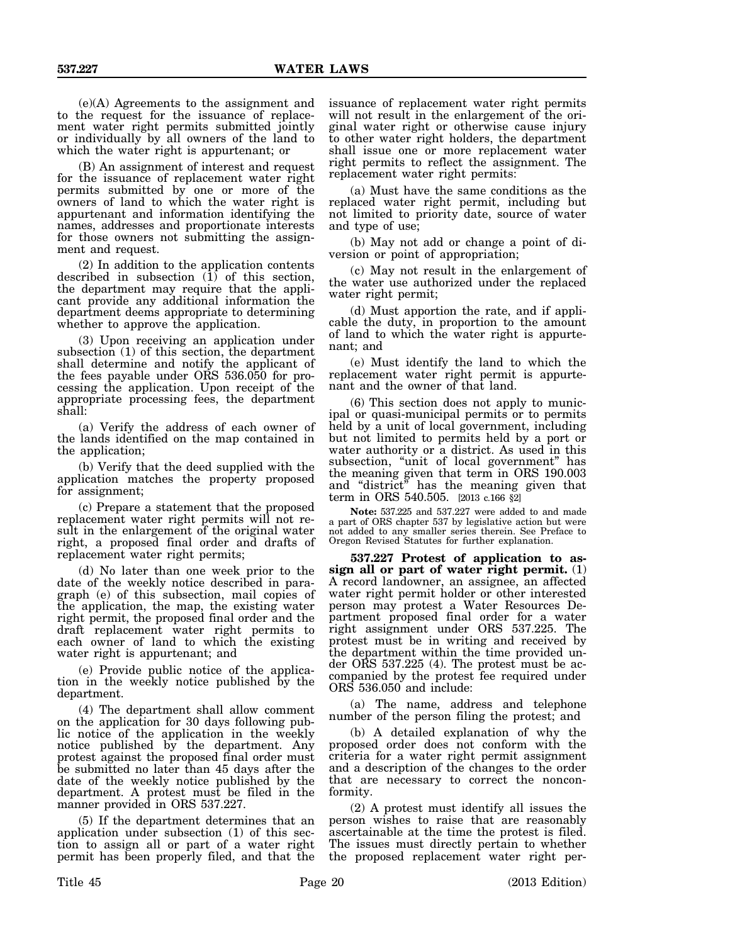(e)(A) Agreements to the assignment and to the request for the issuance of replacement water right permits submitted jointly or individually by all owners of the land to which the water right is appurtenant; or

(B) An assignment of interest and request for the issuance of replacement water right permits submitted by one or more of the owners of land to which the water right is appurtenant and information identifying the names, addresses and proportionate interests for those owners not submitting the assignment and request.

(2) In addition to the application contents described in subsection  $(1)$  of this section, the department may require that the applicant provide any additional information the department deems appropriate to determining whether to approve the application.

(3) Upon receiving an application under subsection (1) of this section, the department shall determine and notify the applicant of the fees payable under ORS 536.050 for processing the application. Upon receipt of the appropriate processing fees, the department shall:

(a) Verify the address of each owner of the lands identified on the map contained in the application;

(b) Verify that the deed supplied with the application matches the property proposed for assignment;

(c) Prepare a statement that the proposed replacement water right permits will not result in the enlargement of the original water right, a proposed final order and drafts of replacement water right permits;

(d) No later than one week prior to the date of the weekly notice described in paragraph (e) of this subsection, mail copies of the application, the map, the existing water right permit, the proposed final order and the draft replacement water right permits to each owner of land to which the existing water right is appurtenant; and

(e) Provide public notice of the application in the weekly notice published by the department.

(4) The department shall allow comment on the application for 30 days following public notice of the application in the weekly notice published by the department. Any protest against the proposed final order must be submitted no later than 45 days after the date of the weekly notice published by the department. A protest must be filed in the manner provided in ORS 537.227.

(5) If the department determines that an application under subsection (1) of this section to assign all or part of a water right permit has been properly filed, and that the issuance of replacement water right permits will not result in the enlargement of the original water right or otherwise cause injury to other water right holders, the department shall issue one or more replacement water right permits to reflect the assignment. The replacement water right permits:

(a) Must have the same conditions as the replaced water right permit, including but not limited to priority date, source of water and type of use;

(b) May not add or change a point of diversion or point of appropriation;

(c) May not result in the enlargement of the water use authorized under the replaced water right permit;

(d) Must apportion the rate, and if applicable the duty, in proportion to the amount of land to which the water right is appurtenant; and

(e) Must identify the land to which the replacement water right permit is appurtenant and the owner of that land.

(6) This section does not apply to municipal or quasi-municipal permits or to permits held by a unit of local government, including but not limited to permits held by a port or water authority or a district. As used in this subsection, "unit of local government" has the meaning given that term in ORS 190.003 and "district" has the meaning given that term in ORS 540.505. [2013 c.166 §2]

**Note:** 537.225 and 537.227 were added to and made a part of ORS chapter 537 by legislative action but were not added to any smaller series therein. See Preface to Oregon Revised Statutes for further explanation.

**537.227 Protest of application to assign all or part of water right permit.** (1) A record landowner, an assignee, an affected water right permit holder or other interested person may protest a Water Resources Department proposed final order for a water right assignment under ORS 537.225. The protest must be in writing and received by the department within the time provided under ORS 537.225 (4). The protest must be accompanied by the protest fee required under ORS 536.050 and include:

(a) The name, address and telephone number of the person filing the protest; and

(b) A detailed explanation of why the proposed order does not conform with the criteria for a water right permit assignment and a description of the changes to the order that are necessary to correct the nonconformity.

(2) A protest must identify all issues the person wishes to raise that are reasonably ascertainable at the time the protest is filed. The issues must directly pertain to whether the proposed replacement water right per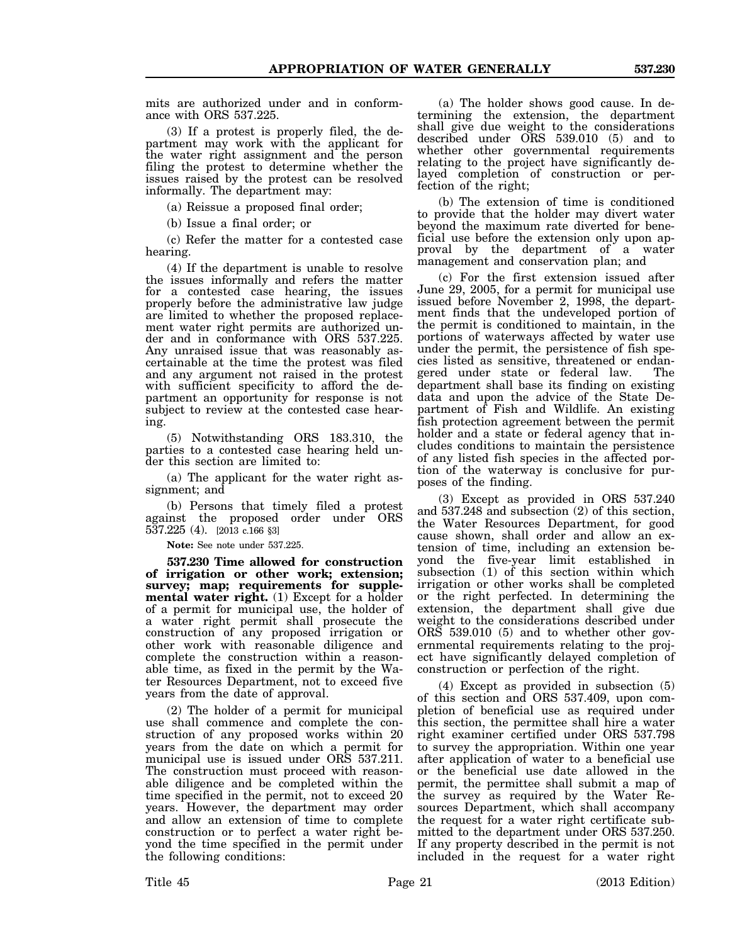mits are authorized under and in conformance with ORS 537.225.

(3) If a protest is properly filed, the department may work with the applicant for the water right assignment and the person filing the protest to determine whether the issues raised by the protest can be resolved informally. The department may:

(a) Reissue a proposed final order;

(b) Issue a final order; or

(c) Refer the matter for a contested case hearing.

(4) If the department is unable to resolve the issues informally and refers the matter for a contested case hearing, the issues properly before the administrative law judge are limited to whether the proposed replacement water right permits are authorized under and in conformance with ORS 537.225. Any unraised issue that was reasonably ascertainable at the time the protest was filed and any argument not raised in the protest with sufficient specificity to afford the department an opportunity for response is not subject to review at the contested case hearing.

(5) Notwithstanding ORS 183.310, the parties to a contested case hearing held under this section are limited to:

(a) The applicant for the water right assignment; and

(b) Persons that timely filed a protest against the proposed order under ORS 537.225 (4). [2013 c.166 §3]

**Note:** See note under 537.225.

**537.230 Time allowed for construction of irrigation or other work; extension; survey; map; requirements for supplemental water right.** (1) Except for a holder of a permit for municipal use, the holder of a water right permit shall prosecute the construction of any proposed irrigation or other work with reasonable diligence and complete the construction within a reasonable time, as fixed in the permit by the Water Resources Department, not to exceed five years from the date of approval.

(2) The holder of a permit for municipal use shall commence and complete the construction of any proposed works within 20 years from the date on which a permit for municipal use is issued under ORS 537.211. The construction must proceed with reasonable diligence and be completed within the time specified in the permit, not to exceed 20 years. However, the department may order and allow an extension of time to complete construction or to perfect a water right beyond the time specified in the permit under the following conditions:

(a) The holder shows good cause. In determining the extension, the department shall give due weight to the considerations described under ORS 539.010 (5) and to whether other governmental requirements relating to the project have significantly delayed completion of construction or perfection of the right;

(b) The extension of time is conditioned to provide that the holder may divert water beyond the maximum rate diverted for beneficial use before the extension only upon approval by the department of a water management and conservation plan; and

(c) For the first extension issued after June 29, 2005, for a permit for municipal use issued before November 2, 1998, the department finds that the undeveloped portion of the permit is conditioned to maintain, in the portions of waterways affected by water use under the permit, the persistence of fish species listed as sensitive, threatened or endangered under state or federal law. The department shall base its finding on existing data and upon the advice of the State Department of Fish and Wildlife. An existing fish protection agreement between the permit holder and a state or federal agency that includes conditions to maintain the persistence of any listed fish species in the affected portion of the waterway is conclusive for purposes of the finding.

(3) Except as provided in ORS 537.240 and 537.248 and subsection (2) of this section, the Water Resources Department, for good cause shown, shall order and allow an extension of time, including an extension beyond the five-year limit established in subsection (1) of this section within which irrigation or other works shall be completed or the right perfected. In determining the extension, the department shall give due weight to the considerations described under ORS 539.010 (5) and to whether other governmental requirements relating to the project have significantly delayed completion of construction or perfection of the right.

(4) Except as provided in subsection (5) of this section and ORS 537.409, upon completion of beneficial use as required under this section, the permittee shall hire a water right examiner certified under ORS 537.798 to survey the appropriation. Within one year after application of water to a beneficial use or the beneficial use date allowed in the permit, the permittee shall submit a map of the survey as required by the Water Resources Department, which shall accompany the request for a water right certificate submitted to the department under ORS 537.250. If any property described in the permit is not included in the request for a water right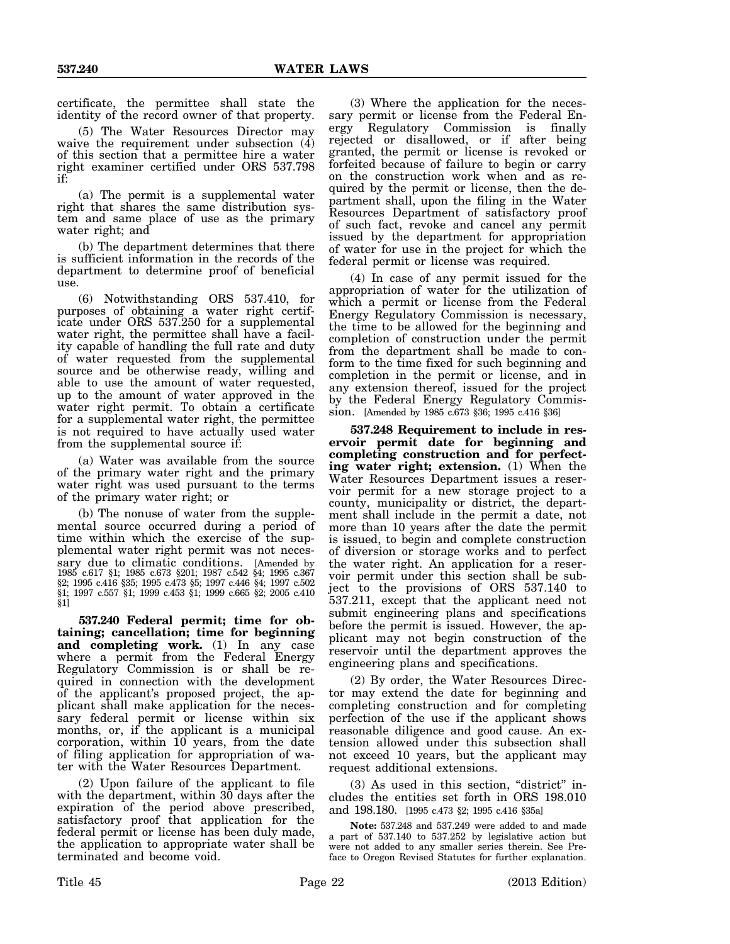certificate, the permittee shall state the identity of the record owner of that property.

(5) The Water Resources Director may waive the requirement under subsection (4) of this section that a permittee hire a water right examiner certified under ORS 537.798 if:

(a) The permit is a supplemental water right that shares the same distribution system and same place of use as the primary water right; and

(b) The department determines that there is sufficient information in the records of the department to determine proof of beneficial use.

(6) Notwithstanding ORS 537.410, for purposes of obtaining a water right certificate under ORS 537.250 for a supplemental water right, the permittee shall have a facility capable of handling the full rate and duty of water requested from the supplemental source and be otherwise ready, willing and able to use the amount of water requested, up to the amount of water approved in the water right permit. To obtain a certificate for a supplemental water right, the permittee is not required to have actually used water from the supplemental source if:

(a) Water was available from the source of the primary water right and the primary water right was used pursuant to the terms of the primary water right; or

(b) The nonuse of water from the supplemental source occurred during a period of time within which the exercise of the supplemental water right permit was not necessary due to climatic conditions. [Amended by 1985 c.617 §1; 1985 c.673 §201; 1987 c.542 §4; 1995 c.367 §2; 1995 c.416 §35; 1995 c.473 §5; 1997 c.446 §4; 1997 c.502 §1; 1997 c.557 §1; 1999 c.453 §1; 1999 c.665 §2; 2005 c.410 §1]

**537.240 Federal permit; time for obtaining; cancellation; time for beginning and completing work.** (1) In any case where a permit from the Federal Energy Regulatory Commission is or shall be required in connection with the development of the applicant's proposed project, the applicant shall make application for the necessary federal permit or license within six months, or, if the applicant is a municipal corporation, within 10 years, from the date of filing application for appropriation of water with the Water Resources Department.

(2) Upon failure of the applicant to file with the department, within 30 days after the expiration of the period above prescribed, satisfactory proof that application for the federal permit or license has been duly made, the application to appropriate water shall be terminated and become void.

(3) Where the application for the necessary permit or license from the Federal Energy Regulatory Commission is finally rejected or disallowed, or if after being granted, the permit or license is revoked or forfeited because of failure to begin or carry on the construction work when and as required by the permit or license, then the department shall, upon the filing in the Water Resources Department of satisfactory proof of such fact, revoke and cancel any permit issued by the department for appropriation of water for use in the project for which the federal permit or license was required.

(4) In case of any permit issued for the appropriation of water for the utilization of which a permit or license from the Federal Energy Regulatory Commission is necessary, the time to be allowed for the beginning and completion of construction under the permit from the department shall be made to conform to the time fixed for such beginning and completion in the permit or license, and in any extension thereof, issued for the project by the Federal Energy Regulatory Commission. [Amended by 1985 c.673 §36; 1995 c.416 §36]

**537.248 Requirement to include in reservoir permit date for beginning and completing construction and for perfecting water right; extension.** (1) When the Water Resources Department issues a reservoir permit for a new storage project to a county, municipality or district, the department shall include in the permit a date, not more than 10 years after the date the permit is issued, to begin and complete construction of diversion or storage works and to perfect the water right. An application for a reservoir permit under this section shall be subject to the provisions of ORS 537.140 to 537.211, except that the applicant need not submit engineering plans and specifications before the permit is issued. However, the applicant may not begin construction of the reservoir until the department approves the engineering plans and specifications.

(2) By order, the Water Resources Director may extend the date for beginning and completing construction and for completing perfection of the use if the applicant shows reasonable diligence and good cause. An extension allowed under this subsection shall not exceed 10 years, but the applicant may request additional extensions.

(3) As used in this section, "district" includes the entities set forth in ORS 198.010 and 198.180. [1995 c.473 §2; 1995 c.416 §35a]

**Note:** 537.248 and 537.249 were added to and made a part of 537.140 to 537.252 by legislative action but were not added to any smaller series therein. See Preface to Oregon Revised Statutes for further explanation.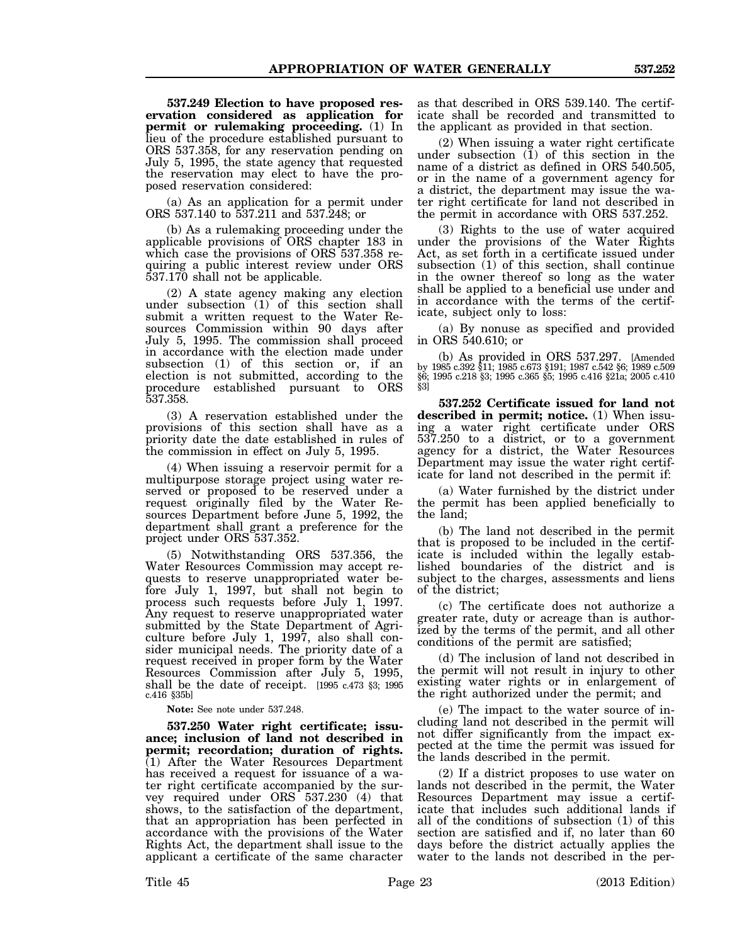**537.249 Election to have proposed reservation considered as application for permit or rulemaking proceeding.** (1) In lieu of the procedure established pursuant to ORS 537.358, for any reservation pending on July 5, 1995, the state agency that requested the reservation may elect to have the proposed reservation considered:

(a) As an application for a permit under ORS 537.140 to 537.211 and 537.248; or

(b) As a rulemaking proceeding under the applicable provisions of ORS chapter 183 in which case the provisions of ORS 537.358 requiring a public interest review under ORS 537.170 shall not be applicable.

(2) A state agency making any election under subsection (1) of this section shall submit a written request to the Water Resources Commission within 90 days after July 5, 1995. The commission shall proceed in accordance with the election made under subsection (1) of this section or, if an election is not submitted, according to the procedure established pursuant to ORS 537.358.

(3) A reservation established under the provisions of this section shall have as a priority date the date established in rules of the commission in effect on July 5, 1995.

(4) When issuing a reservoir permit for a multipurpose storage project using water reserved or proposed to be reserved under a request originally filed by the Water Resources Department before June 5, 1992, the department shall grant a preference for the project under ORS 537.352.

(5) Notwithstanding ORS 537.356, the Water Resources Commission may accept requests to reserve unappropriated water before July 1, 1997, but shall not begin to process such requests before July 1, 1997. Any request to reserve unappropriated water submitted by the State Department of Agriculture before July 1, 1997, also shall consider municipal needs. The priority date of a request received in proper form by the Water Resources Commission after July 5, 1995, shall be the date of receipt.  $[1995]$  c.473 §3; 1995 c.416 §35b]

**Note:** See note under 537.248.

**537.250 Water right certificate; issuance; inclusion of land not described in permit; recordation; duration of rights.**  $(1)$  After the Water Resources Department has received a request for issuance of a water right certificate accompanied by the survey required under ORS 537.230 (4) that shows, to the satisfaction of the department, that an appropriation has been perfected in accordance with the provisions of the Water Rights Act, the department shall issue to the applicant a certificate of the same character

as that described in ORS 539.140. The certificate shall be recorded and transmitted to the applicant as provided in that section.

(2) When issuing a water right certificate under subsection (1) of this section in the name of a district as defined in ORS 540.505, or in the name of a government agency for a district, the department may issue the water right certificate for land not described in the permit in accordance with ORS 537.252.

(3) Rights to the use of water acquired under the provisions of the Water Rights Act, as set forth in a certificate issued under subsection (1) of this section, shall continue in the owner thereof so long as the water shall be applied to a beneficial use under and in accordance with the terms of the certificate, subject only to loss:

(a) By nonuse as specified and provided in ORS 540.610; or

(b) As provided in ORS 537.297. [Amended by 1985 c.392 §11; 1985 c.673 §191; 1987 c.542 §6; 1989 c.509 §6; 1995 c.218 §3; 1995 c.365 §5; 1995 c.416 §21a; 2005 c.410 §3]

**537.252 Certificate issued for land not described in permit; notice.** (1) When issuing a water right certificate under ORS 537.250 to a district, or to a government agency for a district, the Water Resources Department may issue the water right certificate for land not described in the permit if:

(a) Water furnished by the district under the permit has been applied beneficially to the land;

(b) The land not described in the permit that is proposed to be included in the certificate is included within the legally established boundaries of the district and is subject to the charges, assessments and liens of the district;

(c) The certificate does not authorize a greater rate, duty or acreage than is authorized by the terms of the permit, and all other conditions of the permit are satisfied;

(d) The inclusion of land not described in the permit will not result in injury to other existing water rights or in enlargement of the right authorized under the permit; and

(e) The impact to the water source of including land not described in the permit will not differ significantly from the impact expected at the time the permit was issued for the lands described in the permit.

(2) If a district proposes to use water on lands not described in the permit, the Water Resources Department may issue a certificate that includes such additional lands if all of the conditions of subsection (1) of this section are satisfied and if, no later than 60 days before the district actually applies the water to the lands not described in the per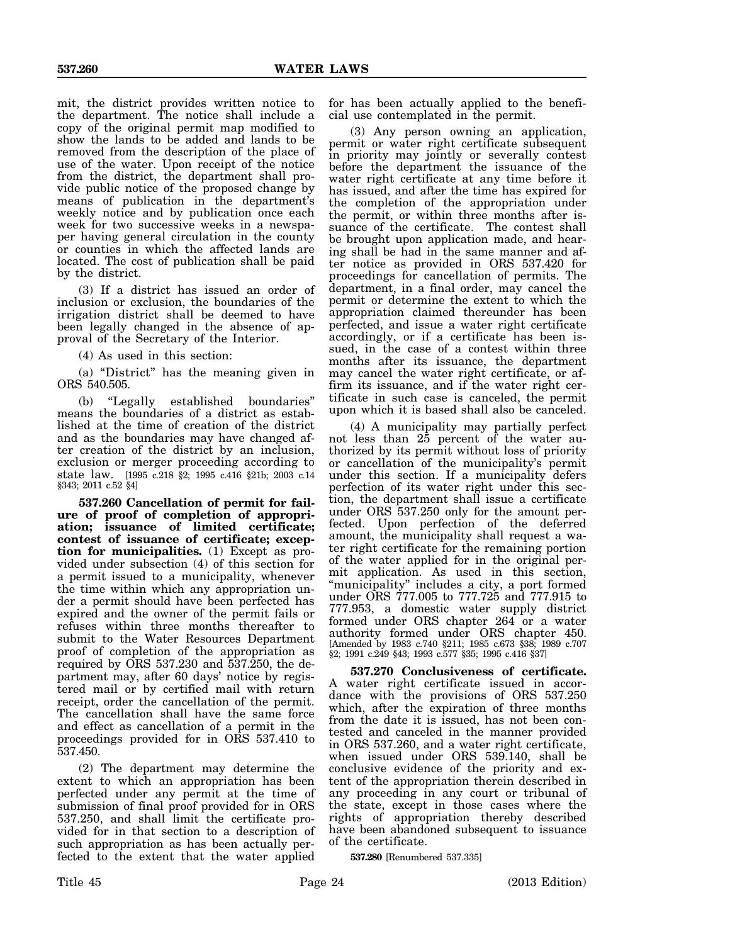mit, the district provides written notice to the department. The notice shall include a copy of the original permit map modified to show the lands to be added and lands to be removed from the description of the place of use of the water. Upon receipt of the notice from the district, the department shall provide public notice of the proposed change by means of publication in the department's weekly notice and by publication once each week for two successive weeks in a newspaper having general circulation in the county or counties in which the affected lands are located. The cost of publication shall be paid by the district.

(3) If a district has issued an order of inclusion or exclusion, the boundaries of the irrigation district shall be deemed to have been legally changed in the absence of approval of the Secretary of the Interior.

(4) As used in this section:

(a) "District" has the meaning given in ORS 540.505.

(b) "Legally established boundaries" means the boundaries of a district as established at the time of creation of the district and as the boundaries may have changed after creation of the district by an inclusion, exclusion or merger proceeding according to state law. [1995 c.218 §2; 1995 c.416 §21b; 2003 c.14 §343; 2011 c.52 §4]

**537.260 Cancellation of permit for failure of proof of completion of appropriation; issuance of limited certificate; contest of issuance of certificate; exception for municipalities.** (1) Except as provided under subsection (4) of this section for a permit issued to a municipality, whenever the time within which any appropriation under a permit should have been perfected has expired and the owner of the permit fails or refuses within three months thereafter to submit to the Water Resources Department proof of completion of the appropriation as required by ORS 537.230 and 537.250, the department may, after 60 days' notice by registered mail or by certified mail with return receipt, order the cancellation of the permit. The cancellation shall have the same force and effect as cancellation of a permit in the proceedings provided for in ORS 537.410 to 537.450.

(2) The department may determine the extent to which an appropriation has been perfected under any permit at the time of submission of final proof provided for in ORS 537.250, and shall limit the certificate provided for in that section to a description of such appropriation as has been actually perfected to the extent that the water applied

for has been actually applied to the beneficial use contemplated in the permit.

(3) Any person owning an application, permit or water right certificate subsequent in priority may jointly or severally contest before the department the issuance of the water right certificate at any time before it has issued, and after the time has expired for the completion of the appropriation under the permit, or within three months after issuance of the certificate. The contest shall be brought upon application made, and hearing shall be had in the same manner and after notice as provided in ORS 537.420 for proceedings for cancellation of permits. The department, in a final order, may cancel the permit or determine the extent to which the appropriation claimed thereunder has been perfected, and issue a water right certificate accordingly, or if a certificate has been issued, in the case of a contest within three months after its issuance, the department may cancel the water right certificate, or affirm its issuance, and if the water right certificate in such case is canceled, the permit upon which it is based shall also be canceled.

(4) A municipality may partially perfect not less than 25 percent of the water authorized by its permit without loss of priority or cancellation of the municipality's permit under this section. If a municipality defers perfection of its water right under this section, the department shall issue a certificate under ORS 537.250 only for the amount perfected. Upon perfection of the deferred amount, the municipality shall request a water right certificate for the remaining portion of the water applied for in the original permit application. As used in this section, "municipality" includes a city, a port formed under ORS 777.005 to 777.725 and 777.915 to 777.953, a domestic water supply district formed under ORS chapter 264 or a water authority formed under ORS chapter 450. [Amended by 1983 c.740 §211; 1985 c.673 §38; 1989 c.707 §2; 1991 c.249 §43; 1993 c.577 §35; 1995 c.416 §37]

**537.270 Conclusiveness of certificate.** A water right certificate issued in accordance with the provisions of ORS 537.250 which, after the expiration of three months from the date it is issued, has not been contested and canceled in the manner provided in ORS 537.260, and a water right certificate, when issued under ORS 539.140, shall be conclusive evidence of the priority and extent of the appropriation therein described in any proceeding in any court or tribunal of the state, except in those cases where the rights of appropriation thereby described have been abandoned subsequent to issuance of the certificate.

**537.280** [Renumbered 537.335]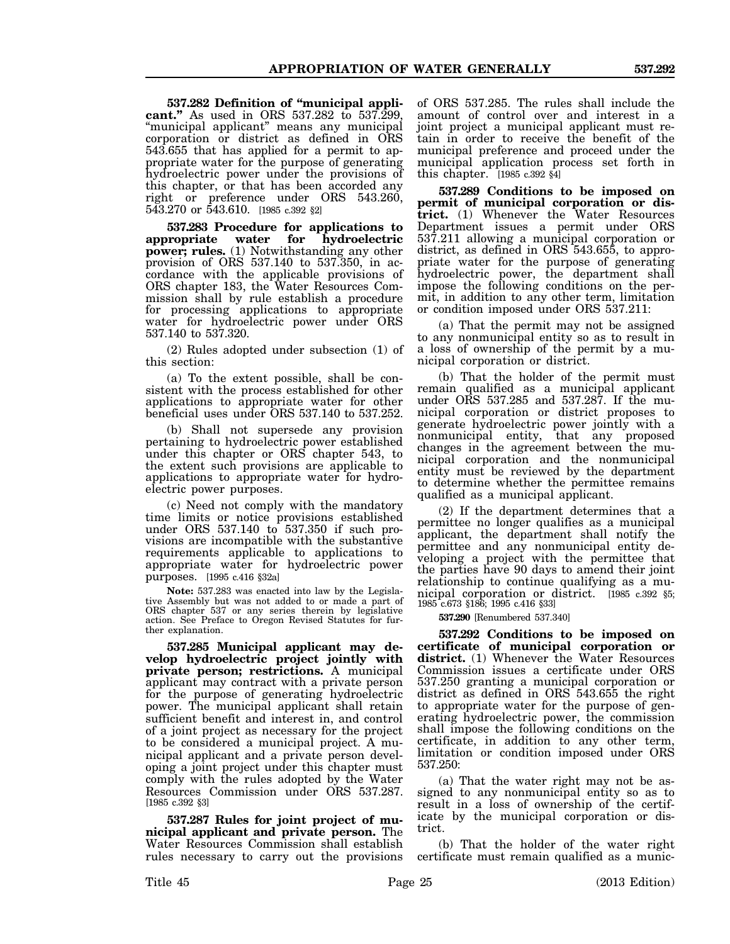**537.282 Definition of "municipal applicant."** As used in ORS 537.282 to 537.299, "municipal applicant" means any municipal corporation or district as defined in ORS 543.655 that has applied for a permit to appropriate water for the purpose of generating hydroelectric power under the provisions of this chapter, or that has been accorded any right or preference under ORS 543.260, 543.270 or 543.610. [1985 c.392 §2]

**537.283 Procedure for applications to appropriate** water **power; rules.** (1) Notwithstanding any other provision of ORS 537.140 to 537.350, in accordance with the applicable provisions of ORS chapter 183, the Water Resources Commission shall by rule establish a procedure for processing applications to appropriate water for hydroelectric power under ORS 537.140 to 537.320.

(2) Rules adopted under subsection (1) of this section:

(a) To the extent possible, shall be consistent with the process established for other applications to appropriate water for other beneficial uses under ORS 537.140 to 537.252.

(b) Shall not supersede any provision pertaining to hydroelectric power established under this chapter or ORS chapter 543, to the extent such provisions are applicable to applications to appropriate water for hydroelectric power purposes.

(c) Need not comply with the mandatory time limits or notice provisions established under ORS 537.140 to 537.350 if such provisions are incompatible with the substantive requirements applicable to applications to appropriate water for hydroelectric power purposes. [1995 c.416 §32a]

**Note:** 537.283 was enacted into law by the Legislative Assembly but was not added to or made a part of ORS chapter 537 or any series therein by legislative action. See Preface to Oregon Revised Statutes for further explanation.

**537.285 Municipal applicant may develop hydroelectric project jointly with private person; restrictions.** A municipal applicant may contract with a private person for the purpose of generating hydroelectric power. The municipal applicant shall retain sufficient benefit and interest in, and control of a joint project as necessary for the project to be considered a municipal project. A municipal applicant and a private person developing a joint project under this chapter must comply with the rules adopted by the Water Resources Commission under ORS 537.287. [1985 c.392 §3]

**537.287 Rules for joint project of municipal applicant and private person.** The Water Resources Commission shall establish rules necessary to carry out the provisions

of ORS 537.285. The rules shall include the amount of control over and interest in a joint project a municipal applicant must retain in order to receive the benefit of the municipal preference and proceed under the municipal application process set forth in this chapter. [1985 c.392 §4]

**537.289 Conditions to be imposed on permit of municipal corporation or district.** (1) Whenever the Water Resources Department issues a permit under ORS 537.211 allowing a municipal corporation or district, as defined in ORS 543.655, to appropriate water for the purpose of generating hydroelectric power, the department shall impose the following conditions on the permit, in addition to any other term, limitation or condition imposed under ORS 537.211:

(a) That the permit may not be assigned to any nonmunicipal entity so as to result in a loss of ownership of the permit by a municipal corporation or district.

(b) That the holder of the permit must remain qualified as a municipal applicant under ORS 537.285 and 537.287. If the municipal corporation or district proposes to generate hydroelectric power jointly with a nonmunicipal entity, that any proposed changes in the agreement between the municipal corporation and the nonmunicipal entity must be reviewed by the department to determine whether the permittee remains qualified as a municipal applicant.

(2) If the department determines that a permittee no longer qualifies as a municipal applicant, the department shall notify the permittee and any nonmunicipal entity developing a project with the permittee that the parties have 90 days to amend their joint relationship to continue qualifying as a municipal corporation or district. [1985 c.392 §5; 1985 c.673 §186; 1995 c.416 §33]

**537.290** [Renumbered 537.340]

**537.292 Conditions to be imposed on certificate of municipal corporation or** district. (1) Whenever the Water Resources Commission issues a certificate under ORS 537.250 granting a municipal corporation or district as defined in ORS 543.655 the right to appropriate water for the purpose of generating hydroelectric power, the commission shall impose the following conditions on the certificate, in addition to any other term, limitation or condition imposed under ORS 537.250:

(a) That the water right may not be assigned to any nonmunicipal entity so as to result in a loss of ownership of the certificate by the municipal corporation or district.

(b) That the holder of the water right certificate must remain qualified as a munic-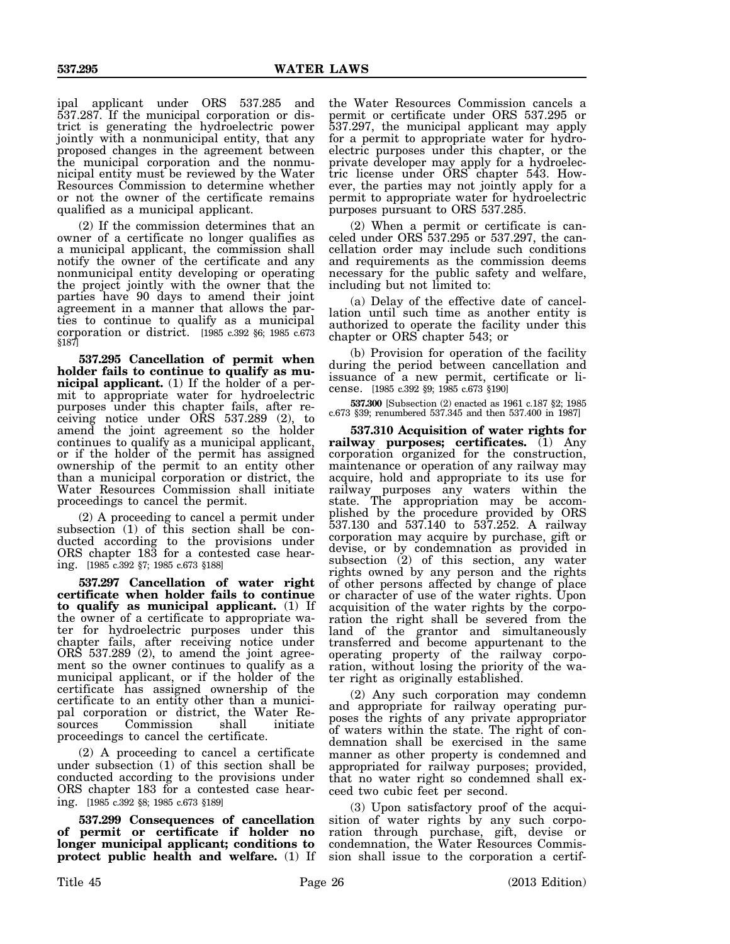ipal applicant under ORS 537.285 and 537.287. If the municipal corporation or district is generating the hydroelectric power jointly with a nonmunicipal entity, that any proposed changes in the agreement between the municipal corporation and the nonmunicipal entity must be reviewed by the Water Resources Commission to determine whether or not the owner of the certificate remains qualified as a municipal applicant.

(2) If the commission determines that an owner of a certificate no longer qualifies as a municipal applicant, the commission shall notify the owner of the certificate and any nonmunicipal entity developing or operating the project jointly with the owner that the parties have 90 days to amend their joint agreement in a manner that allows the parties to continue to qualify as a municipal corporation or district. [1985 c.392 §6; 1985 c.673 §187]

**537.295 Cancellation of permit when holder fails to continue to qualify as municipal applicant.** (1) If the holder of a permit to appropriate water for hydroelectric purposes under this chapter fails, after receiving notice under ORS 537.289 (2), to amend the joint agreement so the holder continues to qualify as a municipal applicant, or if the holder of the permit has assigned ownership of the permit to an entity other than a municipal corporation or district, the Water Resources Commission shall initiate proceedings to cancel the permit.

(2) A proceeding to cancel a permit under subsection (1) of this section shall be conducted according to the provisions under ORS chapter 183 for a contested case hearing. [1985 c.392 §7; 1985 c.673 §188]

**537.297 Cancellation of water right certificate when holder fails to continue to qualify as municipal applicant.** (1) If the owner of a certificate to appropriate water for hydroelectric purposes under this chapter fails, after receiving notice under ORS 537.289 (2), to amend the joint agreement so the owner continues to qualify as a municipal applicant, or if the holder of the certificate has assigned ownership of the certificate to an entity other than a municipal corporation or district, the Water Resources Commission shall initiate proceedings to cancel the certificate.

(2) A proceeding to cancel a certificate under subsection  $(1)$  of this section shall be conducted according to the provisions under ORS chapter 183 for a contested case hearing. [1985 c.392 §8; 1985 c.673 §189]

**537.299 Consequences of cancellation of permit or certificate if holder no longer municipal applicant; conditions to protect public health and welfare.** (1) If the Water Resources Commission cancels a permit or certificate under ORS 537.295 or 537.297, the municipal applicant may apply for a permit to appropriate water for hydroelectric purposes under this chapter, or the private developer may apply for a hydroelectric license under ORS chapter 543. However, the parties may not jointly apply for a permit to appropriate water for hydroelectric purposes pursuant to ORS 537.285.

(2) When a permit or certificate is canceled under ORS 537.295 or 537.297, the cancellation order may include such conditions and requirements as the commission deems necessary for the public safety and welfare, including but not limited to:

(a) Delay of the effective date of cancellation until such time as another entity is authorized to operate the facility under this chapter or ORS chapter 543; or

(b) Provision for operation of the facility during the period between cancellation and issuance of a new permit, certificate or license. [1985 c.392 §9; 1985 c.673 §190]

**537.300** [Subsection (2) enacted as 1961 c.187 §2; 1985 c.673 §39; renumbered 537.345 and then 537.400 in 1987]

**537.310 Acquisition of water rights for railway purposes; certificates.** (1) Any corporation organized for the construction, maintenance or operation of any railway may acquire, hold and appropriate to its use for railway purposes any waters within the state. The appropriation may be accomplished by the procedure provided by ORS 537.130 and 537.140 to 537.252. A railway corporation may acquire by purchase, gift or devise, or by condemnation as provided in subsection (2) of this section, any water rights owned by any person and the rights of other persons affected by change of place or character of use of the water rights. Upon acquisition of the water rights by the corporation the right shall be severed from the land of the grantor and simultaneously transferred and become appurtenant to the operating property of the railway corporation, without losing the priority of the water right as originally established.

(2) Any such corporation may condemn and appropriate for railway operating purposes the rights of any private appropriator of waters within the state. The right of condemnation shall be exercised in the same manner as other property is condemned and appropriated for railway purposes; provided, that no water right so condemned shall exceed two cubic feet per second.

(3) Upon satisfactory proof of the acquisition of water rights by any such corporation through purchase, gift, devise or condemnation, the Water Resources Commission shall issue to the corporation a certif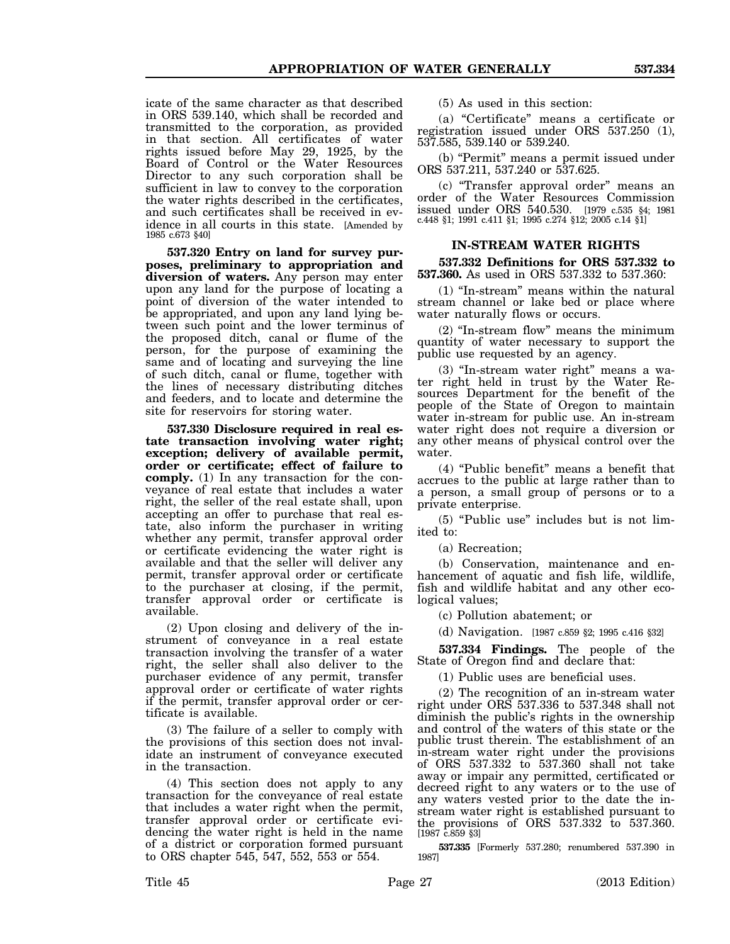icate of the same character as that described in ORS 539.140, which shall be recorded and transmitted to the corporation, as provided in that section. All certificates of water rights issued before May 29, 1925, by the Board of Control or the Water Resources Director to any such corporation shall be sufficient in law to convey to the corporation the water rights described in the certificates, and such certificates shall be received in evidence in all courts in this state. [Amended by 1985 c.673 §40]

**537.320 Entry on land for survey purposes, preliminary to appropriation and diversion of waters.** Any person may enter upon any land for the purpose of locating a point of diversion of the water intended to be appropriated, and upon any land lying between such point and the lower terminus of the proposed ditch, canal or flume of the person, for the purpose of examining the same and of locating and surveying the line of such ditch, canal or flume, together with the lines of necessary distributing ditches and feeders, and to locate and determine the site for reservoirs for storing water.

**537.330 Disclosure required in real estate transaction involving water right; exception; delivery of available permit, order or certificate; effect of failure to comply.** (1) In any transaction for the conveyance of real estate that includes a water right, the seller of the real estate shall, upon accepting an offer to purchase that real estate, also inform the purchaser in writing whether any permit, transfer approval order or certificate evidencing the water right is available and that the seller will deliver any permit, transfer approval order or certificate to the purchaser at closing, if the permit, transfer approval order or certificate is available.

(2) Upon closing and delivery of the instrument of conveyance in a real estate transaction involving the transfer of a water right, the seller shall also deliver to the purchaser evidence of any permit, transfer approval order or certificate of water rights if the permit, transfer approval order or certificate is available.

(3) The failure of a seller to comply with the provisions of this section does not invalidate an instrument of conveyance executed in the transaction.

(4) This section does not apply to any transaction for the conveyance of real estate that includes a water right when the permit, transfer approval order or certificate evidencing the water right is held in the name of a district or corporation formed pursuant to ORS chapter 545, 547, 552, 553 or 554.

(5) As used in this section:

(a) "Certificate" means a certificate or registration issued under ORS 537.250 (1), 537.585, 539.140 or 539.240.

(b) "Permit" means a permit issued under ORS 537.211, 537.240 or 537.625.

(c) "Transfer approval order" means an order of the Water Resources Commission issued under ORS 540.530. [1979 c.535 §4; 1981 c.448 §1; 1991 c.411 §1; 1995 c.274 §12; 2005 c.14 §1]

## **IN-STREAM WATER RIGHTS**

**537.332 Definitions for ORS 537.332 to 537.360.** As used in ORS 537.332 to 537.360:

(1) "In-stream" means within the natural stream channel or lake bed or place where water naturally flows or occurs.

(2) "In-stream flow" means the minimum quantity of water necessary to support the public use requested by an agency.

(3) "In-stream water right" means a water right held in trust by the Water Resources Department for the benefit of the people of the State of Oregon to maintain water in-stream for public use. An in-stream water right does not require a diversion or any other means of physical control over the water.

(4) "Public benefit" means a benefit that accrues to the public at large rather than to a person, a small group of persons or to a private enterprise.

(5) "Public use" includes but is not limited to:

(a) Recreation;

(b) Conservation, maintenance and enhancement of aquatic and fish life, wildlife, fish and wildlife habitat and any other ecological values;

(c) Pollution abatement; or

(d) Navigation. [1987 c.859 §2; 1995 c.416 §32]

**537.334 Findings.** The people of the State of Oregon find and declare that:

(1) Public uses are beneficial uses.

(2) The recognition of an in-stream water right under ORS 537.336 to 537.348 shall not diminish the public's rights in the ownership and control of the waters of this state or the public trust therein. The establishment of an in-stream water right under the provisions of ORS 537.332 to 537.360 shall not take away or impair any permitted, certificated or decreed right to any waters or to the use of any waters vested prior to the date the instream water right is established pursuant to the provisions of ORS 537.332 to 537.360. [1987 c.859 §3]

**537.335** [Formerly 537.280; renumbered 537.390 in 1987]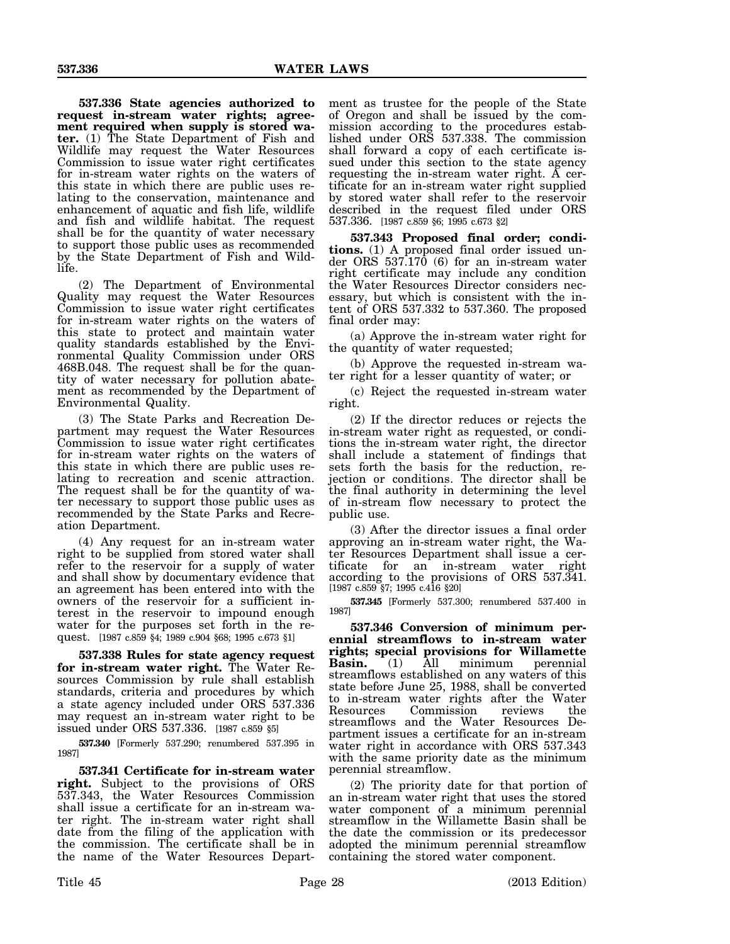**537.336 State agencies authorized to request in-stream water rights; agreement required when supply is stored water.** (1) The State Department of Fish and Wildlife may request the Water Resources Commission to issue water right certificates for in-stream water rights on the waters of this state in which there are public uses relating to the conservation, maintenance and enhancement of aquatic and fish life, wildlife and fish and wildlife habitat. The request shall be for the quantity of water necessary to support those public uses as recommended by the State Department of Fish and Wildlife.

(2) The Department of Environmental Quality may request the Water Resources Commission to issue water right certificates for in-stream water rights on the waters of this state to protect and maintain water quality standards established by the Environmental Quality Commission under ORS 468B.048. The request shall be for the quantity of water necessary for pollution abatement as recommended by the Department of Environmental Quality.

(3) The State Parks and Recreation Department may request the Water Resources Commission to issue water right certificates for in-stream water rights on the waters of this state in which there are public uses relating to recreation and scenic attraction. The request shall be for the quantity of water necessary to support those public uses as recommended by the State Parks and Recreation Department.

(4) Any request for an in-stream water right to be supplied from stored water shall refer to the reservoir for a supply of water and shall show by documentary evidence that an agreement has been entered into with the owners of the reservoir for a sufficient interest in the reservoir to impound enough water for the purposes set forth in the request. [1987 c.859 §4; 1989 c.904 §68; 1995 c.673 §1]

**537.338 Rules for state agency request for in-stream water right.** The Water Resources Commission by rule shall establish standards, criteria and procedures by which a state agency included under ORS 537.336 may request an in-stream water right to be issued under ORS 537.336. [1987 c.859 §5]

**537.340** [Formerly 537.290; renumbered 537.395 in 1987]

**537.341 Certificate for in-stream water right.** Subject to the provisions of ORS 537.343, the Water Resources Commission shall issue a certificate for an in-stream water right. The in-stream water right shall date from the filing of the application with the commission. The certificate shall be in the name of the Water Resources Department as trustee for the people of the State of Oregon and shall be issued by the commission according to the procedures established under ORS 537.338. The commission shall forward a copy of each certificate issued under this section to the state agency requesting the in-stream water right. A certificate for an in-stream water right supplied by stored water shall refer to the reservoir described in the request filed under ORS 537.336. [1987 c.859 §6; 1995 c.673 §2]

**537.343 Proposed final order; conditions.** (1) A proposed final order issued under ORS 537.170 (6) for an in-stream water right certificate may include any condition the Water Resources Director considers necessary, but which is consistent with the intent of ORS 537.332 to 537.360. The proposed final order may:

(a) Approve the in-stream water right for the quantity of water requested;

(b) Approve the requested in-stream water right for a lesser quantity of water; or

(c) Reject the requested in-stream water right.

(2) If the director reduces or rejects the in-stream water right as requested, or conditions the in-stream water right, the director shall include a statement of findings that sets forth the basis for the reduction, rejection or conditions. The director shall be the final authority in determining the level of in-stream flow necessary to protect the public use.

(3) After the director issues a final order approving an in-stream water right, the Water Resources Department shall issue a certificate for an in-stream water right according to the provisions of ORS 537.341. [1987 c.859 §7; 1995 c.416 §20]

**537.345** [Formerly 537.300; renumbered 537.400 in 1987]

**537.346 Conversion of minimum perennial streamflows to in-stream water rights; special provisions for Willamette Basin.** (1) All minimum streamflows established on any waters of this state before June 25, 1988, shall be converted to in-stream water rights after the Water Resources Commission reviews the streamflows and the Water Resources Department issues a certificate for an in-stream water right in accordance with ORS 537.343 with the same priority date as the minimum perennial streamflow.

(2) The priority date for that portion of an in-stream water right that uses the stored water component of a minimum perennial streamflow in the Willamette Basin shall be the date the commission or its predecessor adopted the minimum perennial streamflow containing the stored water component.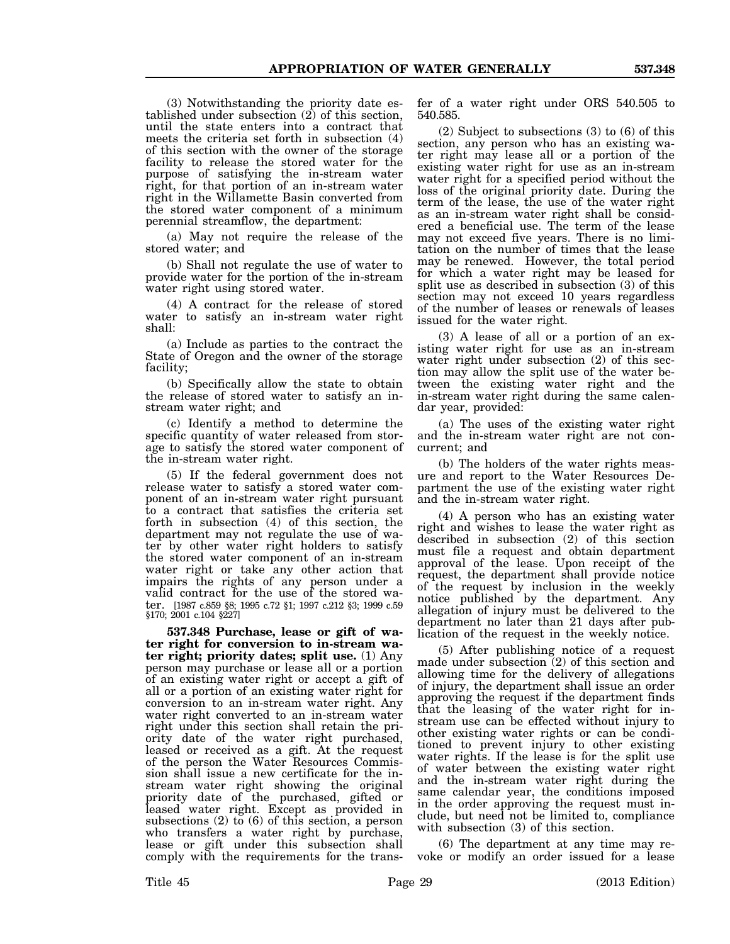(3) Notwithstanding the priority date established under subsection (2) of this section, until the state enters into a contract that meets the criteria set forth in subsection (4) of this section with the owner of the storage facility to release the stored water for the purpose of satisfying the in-stream water right, for that portion of an in-stream water right in the Willamette Basin converted from the stored water component of a minimum perennial streamflow, the department:

(a) May not require the release of the stored water; and

(b) Shall not regulate the use of water to provide water for the portion of the in-stream water right using stored water.

(4) A contract for the release of stored water to satisfy an in-stream water right shall:

(a) Include as parties to the contract the State of Oregon and the owner of the storage facility;

(b) Specifically allow the state to obtain the release of stored water to satisfy an instream water right; and

(c) Identify a method to determine the specific quantity of water released from storage to satisfy the stored water component of the in-stream water right.

(5) If the federal government does not release water to satisfy a stored water component of an in-stream water right pursuant to a contract that satisfies the criteria set forth in subsection (4) of this section, the department may not regulate the use of water by other water right holders to satisfy the stored water component of an in-stream water right or take any other action that impairs the rights of any person under a valid contract for the use of the stored water. [1987 c.859 §8; 1995 c.72 §1; 1997 c.212 §3; 1999 c.59 §170; 2001 c.104 §227]

**537.348 Purchase, lease or gift of water right for conversion to in-stream water right; priority dates; split use.** (1) Any person may purchase or lease all or a portion of an existing water right or accept a gift of all or a portion of an existing water right for conversion to an in-stream water right. Any water right converted to an in-stream water right under this section shall retain the priority date of the water right purchased, leased or received as a gift. At the request of the person the Water Resources Commission shall issue a new certificate for the instream water right showing the original priority date of the purchased, gifted or leased water right. Except as provided in subsections (2) to (6) of this section, a person who transfers a water right by purchase, lease or gift under this subsection shall comply with the requirements for the trans-

fer of a water right under ORS 540.505 to 540.585.

(2) Subject to subsections (3) to (6) of this section, any person who has an existing water right may lease all or a portion of the existing water right for use as an in-stream water right for a specified period without the loss of the original priority date. During the term of the lease, the use of the water right as an in-stream water right shall be considered a beneficial use. The term of the lease may not exceed five years. There is no limitation on the number of times that the lease may be renewed. However, the total period for which a water right may be leased for split use as described in subsection (3) of this section may not exceed 10 years regardless of the number of leases or renewals of leases issued for the water right.

(3) A lease of all or a portion of an existing water right for use as an in-stream water right under subsection (2) of this section may allow the split use of the water between the existing water right and the in-stream water right during the same calendar year, provided:

(a) The uses of the existing water right and the in-stream water right are not concurrent; and

(b) The holders of the water rights measure and report to the Water Resources Department the use of the existing water right and the in-stream water right.

(4) A person who has an existing water right and wishes to lease the water right as described in subsection (2) of this section must file a request and obtain department approval of the lease. Upon receipt of the request, the department shall provide notice of the request by inclusion in the weekly notice published by the department. Any allegation of injury must be delivered to the department no later than 21 days after publication of the request in the weekly notice.

(5) After publishing notice of a request made under subsection (2) of this section and allowing time for the delivery of allegations of injury, the department shall issue an order approving the request if the department finds that the leasing of the water right for instream use can be effected without injury to other existing water rights or can be conditioned to prevent injury to other existing water rights. If the lease is for the split use of water between the existing water right and the in-stream water right during the same calendar year, the conditions imposed in the order approving the request must include, but need not be limited to, compliance with subsection (3) of this section.

(6) The department at any time may revoke or modify an order issued for a lease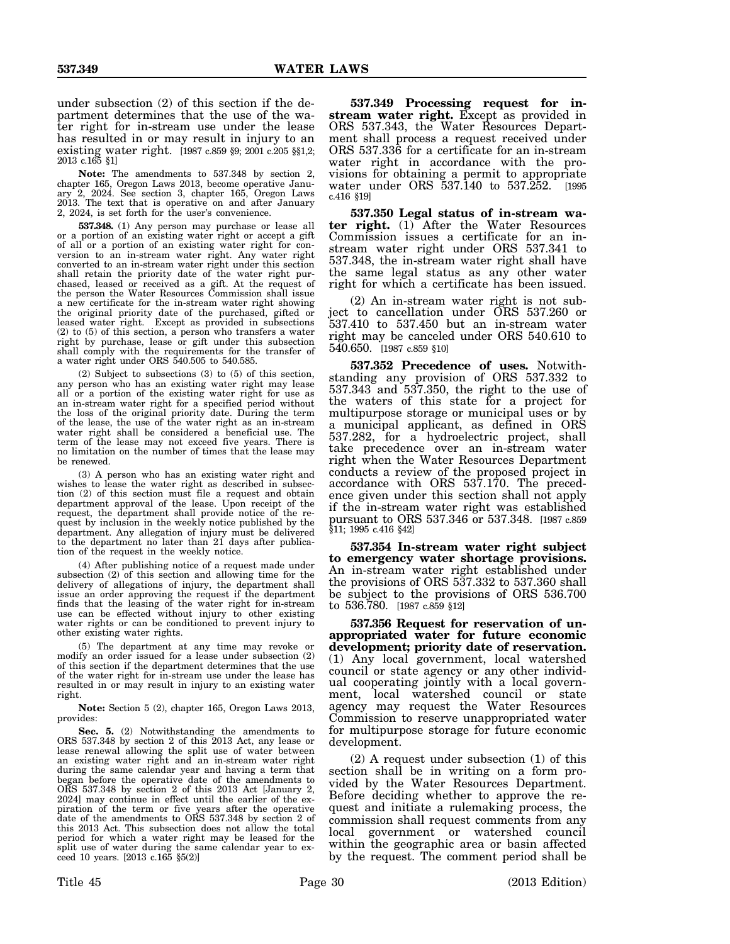under subsection (2) of this section if the department determines that the use of the water right for in-stream use under the lease has resulted in or may result in injury to an existing water right. [1987 c.859 §9; 2001 c.205 §§1,2; 2013 c.165 §1]

**Note:** The amendments to 537.348 by section 2, chapter 165, Oregon Laws 2013, become operative January 2, 2024. See section 3, chapter 165, Oregon Laws 2013. The text that is operative on and after January 2, 2024, is set forth for the user's convenience.

**537.348.** (1) Any person may purchase or lease all or a portion of an existing water right or accept a gift of all or a portion of an existing water right for conversion to an in-stream water right. Any water right converted to an in-stream water right under this section shall retain the priority date of the water right purchased, leased or received as a gift. At the request of the person the Water Resources Commission shall issue a new certificate for the in-stream water right showing the original priority date of the purchased, gifted or leased water right. Except as provided in subsections (2) to (5) of this section, a person who transfers a water right by purchase, lease or gift under this subsection shall comply with the requirements for the transfer of a water right under ORS 540.505 to 540.585.

(2) Subject to subsections (3) to (5) of this section, any person who has an existing water right may lease all or a portion of the existing water right for use as an in-stream water right for a specified period without the loss of the original priority date. During the term of the lease, the use of the water right as an in-stream water right shall be considered a beneficial use. The term of the lease may not exceed five years. There is no limitation on the number of times that the lease may be renewed.

(3) A person who has an existing water right and wishes to lease the water right as described in subsection (2) of this section must file a request and obtain department approval of the lease. Upon receipt of the request, the department shall provide notice of the request by inclusion in the weekly notice published by the department. Any allegation of injury must be delivered to the department no later than 21 days after publication of the request in the weekly notice.

(4) After publishing notice of a request made under subsection (2) of this section and allowing time for the delivery of allegations of injury, the department shall issue an order approving the request if the department finds that the leasing of the water right for in-stream use can be effected without injury to other existing water rights or can be conditioned to prevent injury to other existing water rights.

(5) The department at any time may revoke or modify an order issued for a lease under subsection (2) of this section if the department determines that the use of the water right for in-stream use under the lease has resulted in or may result in injury to an existing water right.

**Note:** Section 5 (2), chapter 165, Oregon Laws 2013, provides:

**Sec. 5.** (2) Notwithstanding the amendments to ORS 537.348 by section 2 of this 2013 Act, any lease or lease renewal allowing the split use of water between an existing water right and an in-stream water right during the same calendar year and having a term that began before the operative date of the amendments to ORS 537.348 by section 2 of this 2013 Act [January 2, 2024] may continue in effect until the earlier of the expiration of the term or five years after the operative date of the amendments to ORS 537.348 by section 2 of this 2013 Act. This subsection does not allow the total period for which a water right may be leased for the split use of water during the same calendar year to exceed 10 years. [2013 c.165 §5(2)]

**537.349 Processing request for instream water right.** Except as provided in ORS 537.343, the Water Resources Department shall process a request received under ORS 537.336 for a certificate for an in-stream water right in accordance with the provisions for obtaining a permit to appropriate water under ORS 537.140 to 537.252. [1995] c.416 §19]

**537.350 Legal status of in-stream wa**ter right. (1) After the Water Resources Commission issues a certificate for an instream water right under ORS 537.341 to 537.348, the in-stream water right shall have the same legal status as any other water right for which a certificate has been issued.

(2) An in-stream water right is not subject to cancellation under ORS 537.260 or 537.410 to 537.450 but an in-stream water right may be canceled under ORS 540.610 to 540.650. [1987 c.859 §10]

**537.352 Precedence of uses.** Notwithstanding any provision of ORS 537.332 to 537.343 and 537.350, the right to the use of the waters of this state for a project for multipurpose storage or municipal uses or by a municipal applicant, as defined in ORS 537.282, for a hydroelectric project, shall take precedence over an in-stream water right when the Water Resources Department conducts a review of the proposed project in accordance with ORS 537.170. The precedence given under this section shall not apply if the in-stream water right was established pursuant to ORS 537.346 or 537.348. [1987 c.859 §11; 1995 c.416 §42]

**537.354 In-stream water right subject to emergency water shortage provisions.** An in-stream water right established under the provisions of ORS 537.332 to 537.360 shall be subject to the provisions of ORS 536.700 to 536.780. [1987 c.859 §12]

**537.356 Request for reservation of unappropriated water for future economic development; priority date of reservation.** (1) Any local government, local watershed council or state agency or any other individual cooperating jointly with a local government, local watershed council or state agency may request the Water Resources Commission to reserve unappropriated water for multipurpose storage for future economic development.

(2) A request under subsection (1) of this section shall be in writing on a form provided by the Water Resources Department. Before deciding whether to approve the request and initiate a rulemaking process, the commission shall request comments from any local government or watershed council within the geographic area or basin affected by the request. The comment period shall be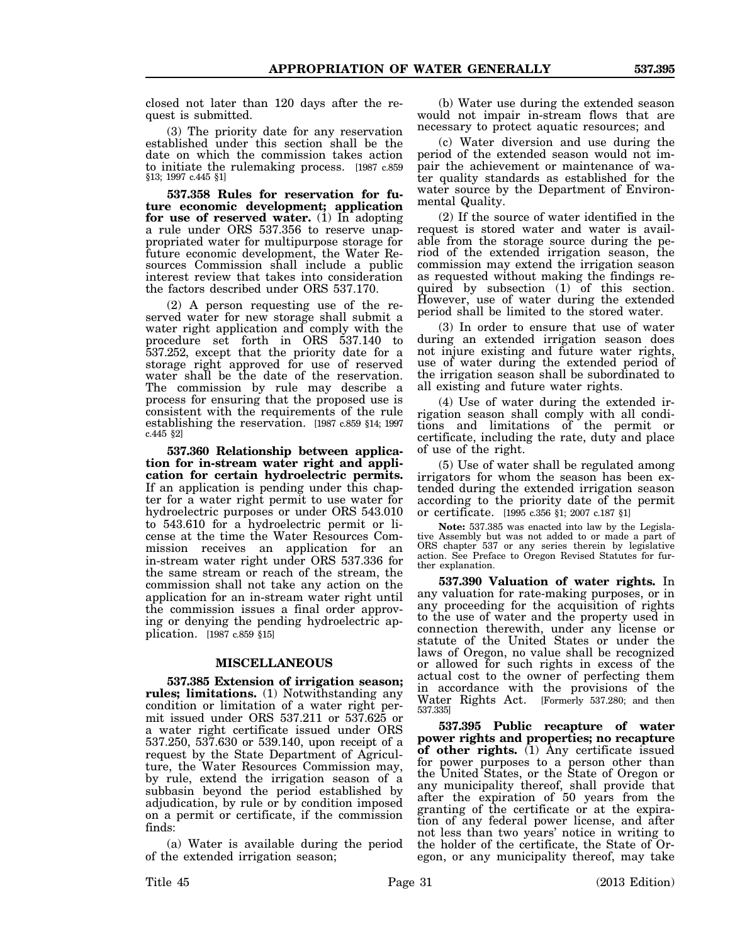closed not later than 120 days after the request is submitted.

(3) The priority date for any reservation established under this section shall be the date on which the commission takes action to initiate the rulemaking process. [1987 c.859 §13; 1997 c.445 §1]

**537.358 Rules for reservation for future economic development; application** for use of reserved water. (1) In adopting a rule under ORS 537.356 to reserve unappropriated water for multipurpose storage for future economic development, the Water Resources Commission shall include a public interest review that takes into consideration the factors described under ORS 537.170.

(2) A person requesting use of the reserved water for new storage shall submit a water right application and comply with the procedure set forth in ORS 537.140 to 537.252, except that the priority date for a storage right approved for use of reserved water shall be the date of the reservation. The commission by rule may describe a process for ensuring that the proposed use is consistent with the requirements of the rule establishing the reservation. [1987 c.859 §14; 1997 c.445 §2]

**537.360 Relationship between application for in-stream water right and application for certain hydroelectric permits.** If an application is pending under this chapter for a water right permit to use water for hydroelectric purposes or under ORS 543.010 to 543.610 for a hydroelectric permit or license at the time the Water Resources Commission receives an application for an in-stream water right under ORS 537.336 for the same stream or reach of the stream, the commission shall not take any action on the application for an in-stream water right until the commission issues a final order approving or denying the pending hydroelectric application. [1987 c.859 §15]

#### **MISCELLANEOUS**

**537.385 Extension of irrigation season; rules; limitations.** (1) Notwithstanding any condition or limitation of a water right permit issued under ORS 537.211 or 537.625 or a water right certificate issued under ORS 537.250, 537.630 or 539.140, upon receipt of a request by the State Department of Agriculture, the Water Resources Commission may, by rule, extend the irrigation season of a subbasin beyond the period established by adjudication, by rule or by condition imposed on a permit or certificate, if the commission finds:

(a) Water is available during the period of the extended irrigation season;

(b) Water use during the extended season would not impair in-stream flows that are necessary to protect aquatic resources; and

(c) Water diversion and use during the period of the extended season would not impair the achievement or maintenance of water quality standards as established for the water source by the Department of Environmental Quality.

(2) If the source of water identified in the request is stored water and water is available from the storage source during the period of the extended irrigation season, the commission may extend the irrigation season as requested without making the findings required by subsection (1) of this section. However, use of water during the extended period shall be limited to the stored water.

(3) In order to ensure that use of water during an extended irrigation season does not injure existing and future water rights, use of water during the extended period of the irrigation season shall be subordinated to all existing and future water rights.

(4) Use of water during the extended irrigation season shall comply with all conditions and limitations of the permit or certificate, including the rate, duty and place of use of the right.

(5) Use of water shall be regulated among irrigators for whom the season has been extended during the extended irrigation season according to the priority date of the permit or certificate. [1995 c.356 §1; 2007 c.187 §1]

**Note:** 537.385 was enacted into law by the Legislative Assembly but was not added to or made a part of ORS chapter 537 or any series therein by legislative action. See Preface to Oregon Revised Statutes for further explanation.

**537.390 Valuation of water rights.** In any valuation for rate-making purposes, or in any proceeding for the acquisition of rights to the use of water and the property used in connection therewith, under any license or statute of the United States or under the laws of Oregon, no value shall be recognized or allowed for such rights in excess of the actual cost to the owner of perfecting them in accordance with the provisions of the Water Rights Act. [Formerly 537.280; and then 537.335]

**537.395 Public recapture of water power rights and properties; no recapture of other rights.** (1) Any certificate issued for power purposes to a person other than the United States, or the State of Oregon or any municipality thereof, shall provide that after the expiration of 50 years from the granting of the certificate or at the expiration of any federal power license, and after not less than two years' notice in writing to the holder of the certificate, the State of Oregon, or any municipality thereof, may take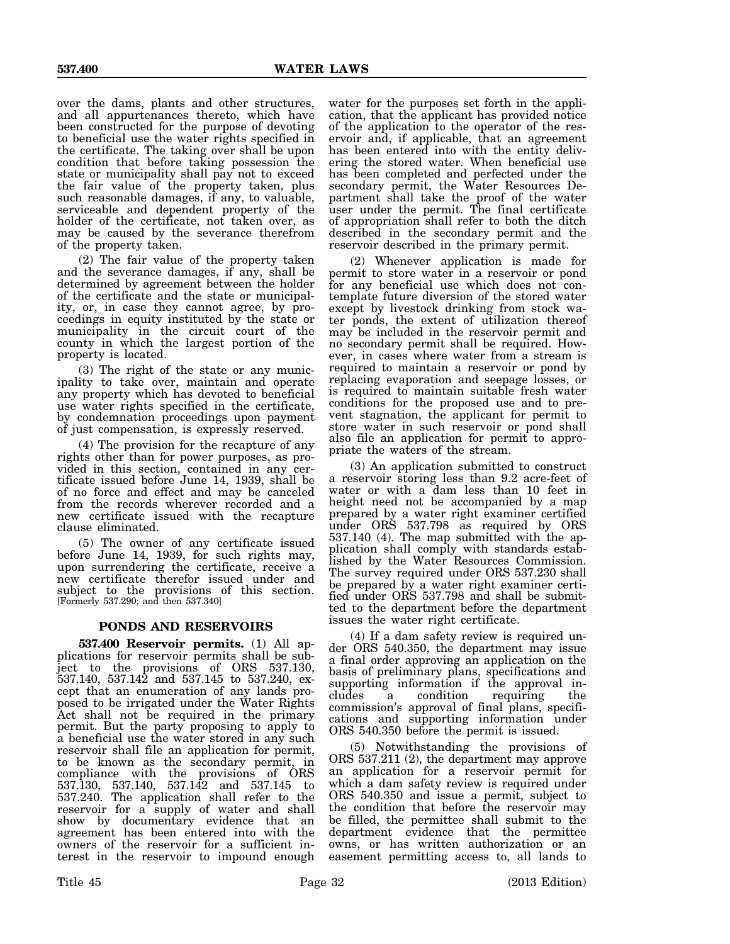over the dams, plants and other structures, and all appurtenances thereto, which have been constructed for the purpose of devoting to beneficial use the water rights specified in the certificate. The taking over shall be upon condition that before taking possession the state or municipality shall pay not to exceed the fair value of the property taken, plus such reasonable damages, if any, to valuable, serviceable and dependent property of the holder of the certificate, not taken over, as may be caused by the severance therefrom of the property taken.

(2) The fair value of the property taken and the severance damages, if any, shall be determined by agreement between the holder of the certificate and the state or municipality, or, in case they cannot agree, by proceedings in equity instituted by the state or municipality in the circuit court of the county in which the largest portion of the property is located.

(3) The right of the state or any municipality to take over, maintain and operate any property which has devoted to beneficial use water rights specified in the certificate, by condemnation proceedings upon payment of just compensation, is expressly reserved.

(4) The provision for the recapture of any rights other than for power purposes, as provided in this section, contained in any certificate issued before June 14, 1939, shall be of no force and effect and may be canceled from the records wherever recorded and a new certificate issued with the recapture clause eliminated.

(5) The owner of any certificate issued before June 14, 1939, for such rights may, upon surrendering the certificate, receive a new certificate therefor issued under and subject to the provisions of this section. [Formerly 537.290; and then 537.340]

# **PONDS AND RESERVOIRS**

**537.400 Reservoir permits.** (1) All applications for reservoir permits shall be subject to the provisions of ORS 537.130,  $537.140, 537.142$  and  $537.145$  to  $537.240, 6x$ cept that an enumeration of any lands proposed to be irrigated under the Water Rights Act shall not be required in the primary permit. But the party proposing to apply to a beneficial use the water stored in any such reservoir shall file an application for permit, to be known as the secondary permit, in compliance with the provisions of ORS 537.130, 537.140, 537.142 and 537.145 to 537.240. The application shall refer to the reservoir for a supply of water and shall show by documentary evidence that an agreement has been entered into with the owners of the reservoir for a sufficient interest in the reservoir to impound enough

water for the purposes set forth in the application, that the applicant has provided notice of the application to the operator of the reservoir and, if applicable, that an agreement has been entered into with the entity delivering the stored water. When beneficial use has been completed and perfected under the secondary permit, the Water Resources Department shall take the proof of the water user under the permit. The final certificate of appropriation shall refer to both the ditch described in the secondary permit and the reservoir described in the primary permit.

(2) Whenever application is made for permit to store water in a reservoir or pond for any beneficial use which does not contemplate future diversion of the stored water except by livestock drinking from stock water ponds, the extent of utilization thereof may be included in the reservoir permit and no secondary permit shall be required. However, in cases where water from a stream is required to maintain a reservoir or pond by replacing evaporation and seepage losses, or is required to maintain suitable fresh water conditions for the proposed use and to prevent stagnation, the applicant for permit to store water in such reservoir or pond shall also file an application for permit to appropriate the waters of the stream.

(3) An application submitted to construct a reservoir storing less than 9.2 acre-feet of water or with a dam less than 10 feet in height need not be accompanied by a map prepared by a water right examiner certified under ORS 537.798 as required by ORS 537.140 (4). The map submitted with the application shall comply with standards established by the Water Resources Commission. The survey required under ORS 537.230 shall be prepared by a water right examiner certified under ORS 537.798 and shall be submitted to the department before the department issues the water right certificate.

(4) If a dam safety review is required under ORS 540.350, the department may issue a final order approving an application on the basis of preliminary plans, specifications and supporting information if the approval includes a condition requiring the commission's approval of final plans, specifications and supporting information under ORS 540.350 before the permit is issued.

(5) Notwithstanding the provisions of ORS 537.211 (2), the department may approve an application for a reservoir permit for which a dam safety review is required under ORS 540.350 and issue a permit, subject to the condition that before the reservoir may be filled, the permittee shall submit to the department evidence that the permittee owns, or has written authorization or an easement permitting access to, all lands to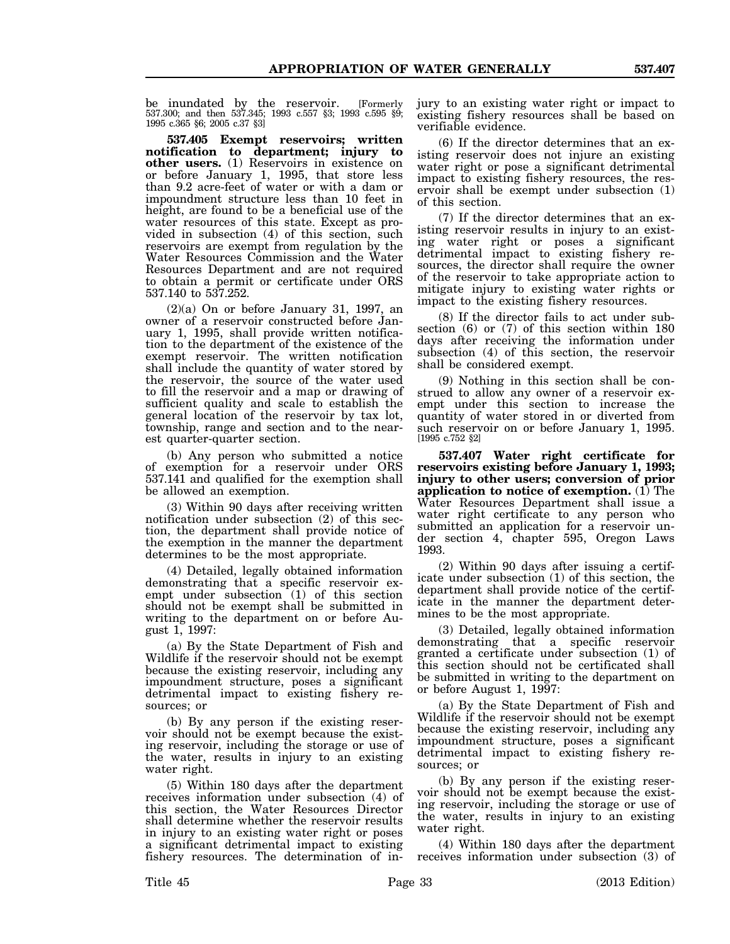be inundated by the reservoir. [Formerly 537.300; and then 537.345; 1993 c.557 §3; 1993 c.595 §9; 1995 c.365 §6; 2005 c.37 §3]

**537.405 Exempt reservoirs; written notification to department; injury to other users.** (1) Reservoirs in existence on or before January 1, 1995, that store less than 9.2 acre-feet of water or with a dam or impoundment structure less than 10 feet in height, are found to be a beneficial use of the water resources of this state. Except as provided in subsection (4) of this section, such reservoirs are exempt from regulation by the Water Resources Commission and the Water Resources Department and are not required to obtain a permit or certificate under ORS 537.140 to 537.252.

(2)(a) On or before January 31, 1997, an owner of a reservoir constructed before January 1, 1995, shall provide written notification to the department of the existence of the exempt reservoir. The written notification shall include the quantity of water stored by the reservoir, the source of the water used to fill the reservoir and a map or drawing of sufficient quality and scale to establish the general location of the reservoir by tax lot, township, range and section and to the nearest quarter-quarter section.

(b) Any person who submitted a notice of exemption for a reservoir under ORS 537.141 and qualified for the exemption shall be allowed an exemption.

(3) Within 90 days after receiving written notification under subsection (2) of this section, the department shall provide notice of the exemption in the manner the department determines to be the most appropriate.

(4) Detailed, legally obtained information demonstrating that a specific reservoir exempt under subsection  $(1)$  of this section should not be exempt shall be submitted in writing to the department on or before August 1, 1997:

(a) By the State Department of Fish and Wildlife if the reservoir should not be exempt because the existing reservoir, including any impoundment structure, poses a significant detrimental impact to existing fishery resources; or

(b) By any person if the existing reservoir should not be exempt because the existing reservoir, including the storage or use of the water, results in injury to an existing water right.

(5) Within 180 days after the department receives information under subsection (4) of this section, the Water Resources Director shall determine whether the reservoir results in injury to an existing water right or poses a significant detrimental impact to existing fishery resources. The determination of in-

jury to an existing water right or impact to existing fishery resources shall be based on verifiable evidence.

(6) If the director determines that an existing reservoir does not injure an existing water right or pose a significant detrimental impact to existing fishery resources, the reservoir shall be exempt under subsection (1) of this section.

(7) If the director determines that an existing reservoir results in injury to an existing water right or poses a significant detrimental impact to existing fishery resources, the director shall require the owner of the reservoir to take appropriate action to mitigate injury to existing water rights or impact to the existing fishery resources.

(8) If the director fails to act under subsection (6) or (7) of this section within 180 days after receiving the information under subsection (4) of this section, the reservoir shall be considered exempt.

(9) Nothing in this section shall be construed to allow any owner of a reservoir exempt under this section to increase the quantity of water stored in or diverted from such reservoir on or before January 1, 1995. [1995 c.752 §2]

**537.407 Water right certificate for reservoirs existing before January 1, 1993; injury to other users; conversion of prior application to notice of exemption.** (1) The Water Resources Department shall issue a water right certificate to any person who submitted an application for a reservoir under section 4, chapter 595, Oregon Laws 1993.

(2) Within 90 days after issuing a certificate under subsection (1) of this section, the department shall provide notice of the certificate in the manner the department determines to be the most appropriate.

(3) Detailed, legally obtained information demonstrating that a specific reservoir granted a certificate under subsection (1) of this section should not be certificated shall be submitted in writing to the department on or before August 1, 1997:

(a) By the State Department of Fish and Wildlife if the reservoir should not be exempt because the existing reservoir, including any impoundment structure, poses a significant detrimental impact to existing fishery resources; or

(b) By any person if the existing reservoir should not be exempt because the existing reservoir, including the storage or use of the water, results in injury to an existing water right.

(4) Within 180 days after the department receives information under subsection (3) of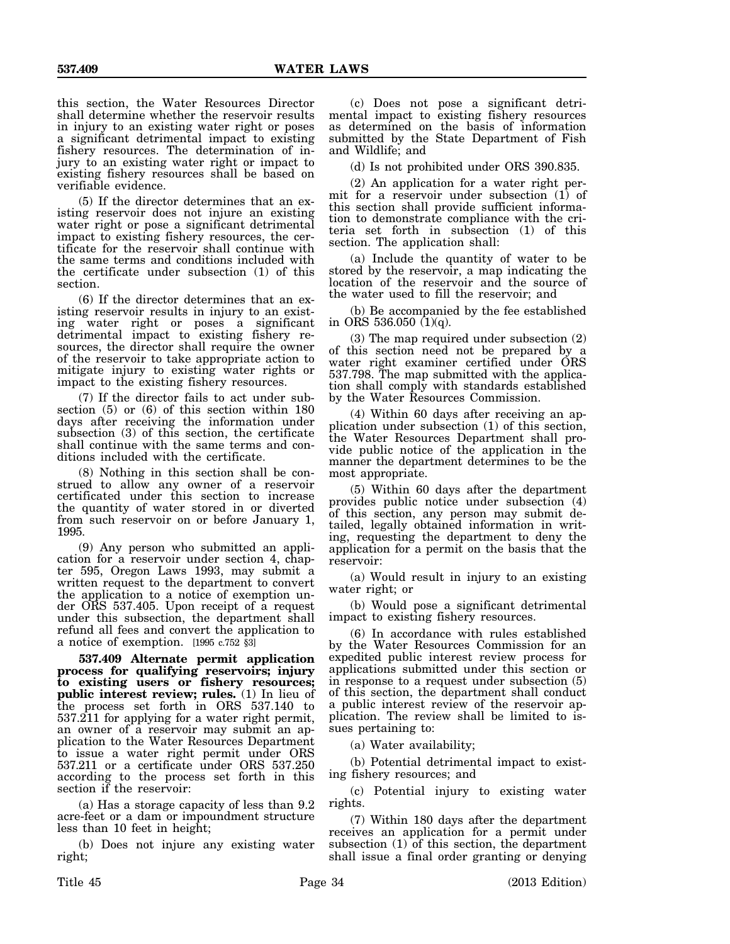this section, the Water Resources Director shall determine whether the reservoir results in injury to an existing water right or poses a significant detrimental impact to existing fishery resources. The determination of injury to an existing water right or impact to existing fishery resources shall be based on verifiable evidence.

(5) If the director determines that an existing reservoir does not injure an existing water right or pose a significant detrimental impact to existing fishery resources, the certificate for the reservoir shall continue with the same terms and conditions included with the certificate under subsection (1) of this section.

(6) If the director determines that an existing reservoir results in injury to an existing water right or poses a significant detrimental impact to existing fishery resources, the director shall require the owner of the reservoir to take appropriate action to mitigate injury to existing water rights or impact to the existing fishery resources.

(7) If the director fails to act under subsection (5) or (6) of this section within 180 days after receiving the information under subsection (3) of this section, the certificate shall continue with the same terms and conditions included with the certificate.

(8) Nothing in this section shall be construed to allow any owner of a reservoir certificated under this section to increase the quantity of water stored in or diverted from such reservoir on or before January 1, 1995.

(9) Any person who submitted an application for a reservoir under section 4, chapter 595, Oregon Laws 1993, may submit a written request to the department to convert the application to a notice of exemption under ORS 537.405. Upon receipt of a request under this subsection, the department shall refund all fees and convert the application to a notice of exemption. [1995 c.752 §3]

**537.409 Alternate permit application process for qualifying reservoirs; injury to existing users or fishery resources; public interest review; rules.** (1) In lieu of the process set forth in ORS 537.140 to 537.211 for applying for a water right permit, an owner of a reservoir may submit an application to the Water Resources Department to issue a water right permit under ORS 537.211 or a certificate under ORS 537.250 according to the process set forth in this section if the reservoir:

(a) Has a storage capacity of less than 9.2 acre-feet or a dam or impoundment structure less than 10 feet in height;

(b) Does not injure any existing water right;

(c) Does not pose a significant detrimental impact to existing fishery resources as determined on the basis of information submitted by the State Department of Fish and Wildlife; and

(d) Is not prohibited under ORS 390.835.

(2) An application for a water right permit for a reservoir under subsection (1) of this section shall provide sufficient information to demonstrate compliance with the criteria set forth in subsection (1) of this section. The application shall:

(a) Include the quantity of water to be stored by the reservoir, a map indicating the location of the reservoir and the source of the water used to fill the reservoir; and

(b) Be accompanied by the fee established in ORS 536.050  $(1)(q)$ .

(3) The map required under subsection (2) of this section need not be prepared by a water right examiner certified under ORS 537.798. The map submitted with the application shall comply with standards established by the Water Resources Commission.

(4) Within 60 days after receiving an application under subsection (1) of this section, the Water Resources Department shall provide public notice of the application in the manner the department determines to be the most appropriate.

(5) Within 60 days after the department provides public notice under subsection (4) of this section, any person may submit detailed, legally obtained information in writing, requesting the department to deny the application for a permit on the basis that the reservoir:

(a) Would result in injury to an existing water right; or

(b) Would pose a significant detrimental impact to existing fishery resources.

(6) In accordance with rules established by the Water Resources Commission for an expedited public interest review process for applications submitted under this section or in response to a request under subsection (5) of this section, the department shall conduct a public interest review of the reservoir application. The review shall be limited to issues pertaining to:

(a) Water availability;

(b) Potential detrimental impact to existing fishery resources; and

(c) Potential injury to existing water rights.

(7) Within 180 days after the department receives an application for a permit under subsection (1) of this section, the department shall issue a final order granting or denying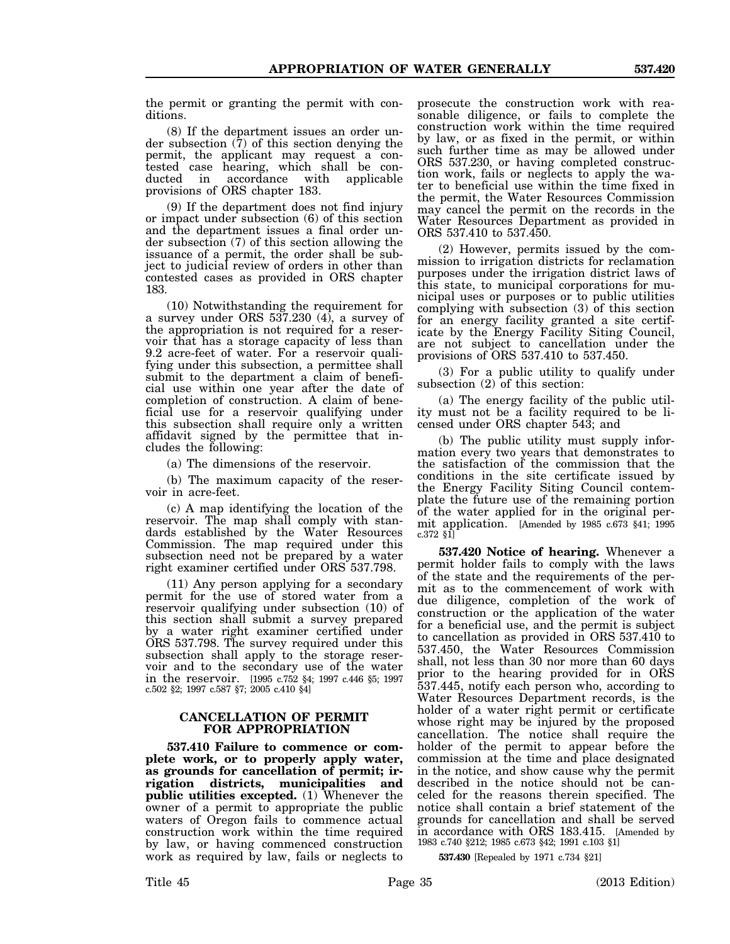the permit or granting the permit with conditions.

(8) If the department issues an order under subsection (7) of this section denying the permit, the applicant may request a contested case hearing, which shall be conaccordance with provisions of ORS chapter 183.

(9) If the department does not find injury or impact under subsection (6) of this section and the department issues a final order under subsection (7) of this section allowing the issuance of a permit, the order shall be subject to judicial review of orders in other than contested cases as provided in ORS chapter 183.

(10) Notwithstanding the requirement for a survey under ORS 537.230 (4), a survey of the appropriation is not required for a reservoir that has a storage capacity of less than 9.2 acre-feet of water. For a reservoir qualifying under this subsection, a permittee shall submit to the department a claim of beneficial use within one year after the date of completion of construction. A claim of beneficial use for a reservoir qualifying under this subsection shall require only a written affidavit signed by the permittee that includes the following:

(a) The dimensions of the reservoir.

(b) The maximum capacity of the reservoir in acre-feet.

(c) A map identifying the location of the reservoir. The map shall comply with standards established by the Water Resources Commission. The map required under this subsection need not be prepared by a water right examiner certified under ORS 537.798.

(11) Any person applying for a secondary permit for the use of stored water from a reservoir qualifying under subsection (10) of this section shall submit a survey prepared by a water right examiner certified under ORS 537.798. The survey required under this subsection shall apply to the storage reservoir and to the secondary use of the water in the reservoir. [1995 c.752 §4; 1997 c.446 §5; 1997 c.502 §2; 1997 c.587 §7; 2005 c.410 §4]

# **CANCELLATION OF PERMIT FOR APPROPRIATION**

**537.410 Failure to commence or complete work, or to properly apply water, as grounds for cancellation of permit; irrigation districts, municipalities and public utilities excepted.** (1) Whenever the owner of a permit to appropriate the public waters of Oregon fails to commence actual construction work within the time required by law, or having commenced construction work as required by law, fails or neglects to

prosecute the construction work with reasonable diligence, or fails to complete the construction work within the time required by law, or as fixed in the permit, or within such further time as may be allowed under ORS 537.230, or having completed construction work, fails or neglects to apply the water to beneficial use within the time fixed in the permit, the Water Resources Commission may cancel the permit on the records in the Water Resources Department as provided in ORS 537.410 to 537.450.

(2) However, permits issued by the commission to irrigation districts for reclamation purposes under the irrigation district laws of this state, to municipal corporations for municipal uses or purposes or to public utilities complying with subsection (3) of this section for an energy facility granted a site certificate by the Energy Facility Siting Council, are not subject to cancellation under the provisions of ORS 537.410 to 537.450.

(3) For a public utility to qualify under subsection (2) of this section:

(a) The energy facility of the public utility must not be a facility required to be licensed under ORS chapter 543; and

(b) The public utility must supply information every two years that demonstrates to the satisfaction of the commission that the conditions in the site certificate issued by the Energy Facility Siting Council contemplate the future use of the remaining portion of the water applied for in the original permit application. [Amended by 1985 c.673 §41; 1995 c.372 §1]

**537.420 Notice of hearing.** Whenever a permit holder fails to comply with the laws of the state and the requirements of the permit as to the commencement of work with due diligence, completion of the work of construction or the application of the water for a beneficial use, and the permit is subject to cancellation as provided in ORS 537.410 to 537.450, the Water Resources Commission shall, not less than 30 nor more than 60 days prior to the hearing provided for in ORS 537.445, notify each person who, according to Water Resources Department records, is the holder of a water right permit or certificate whose right may be injured by the proposed cancellation. The notice shall require the holder of the permit to appear before the commission at the time and place designated in the notice, and show cause why the permit described in the notice should not be canceled for the reasons therein specified. The notice shall contain a brief statement of the grounds for cancellation and shall be served in accordance with ORS 183.415. [Amended by 1983 c.740 §212; 1985 c.673 §42; 1991 c.103 §1]

**537.430** [Repealed by 1971 c.734 §21]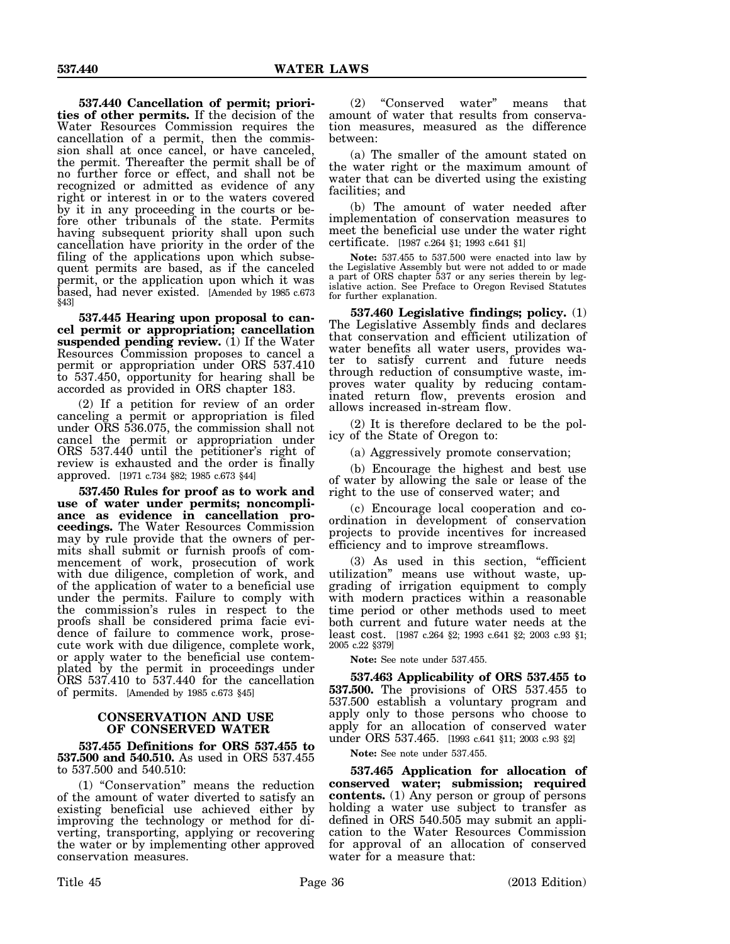**537.440 Cancellation of permit; priorities of other permits.** If the decision of the Water Resources Commission requires the cancellation of a permit, then the commission shall at once cancel, or have canceled, the permit. Thereafter the permit shall be of no further force or effect, and shall not be recognized or admitted as evidence of any right or interest in or to the waters covered by it in any proceeding in the courts or before other tribunals of the state. Permits having subsequent priority shall upon such cancellation have priority in the order of the filing of the applications upon which subsequent permits are based, as if the canceled permit, or the application upon which it was based, had never existed. [Amended by 1985 c.673 §43]

**537.445 Hearing upon proposal to cancel permit or appropriation; cancellation suspended pending review.** (1) If the Water Resources Commission proposes to cancel a permit or appropriation under ORS 537.410 to 537.450, opportunity for hearing shall be accorded as provided in ORS chapter 183.

(2) If a petition for review of an order canceling a permit or appropriation is filed under ORS 536.075, the commission shall not cancel the permit or appropriation under ORS 537.440 until the petitioner's right of review is exhausted and the order is finally approved. [1971 c.734 §82; 1985 c.673 §44]

**537.450 Rules for proof as to work and use of water under permits; noncompliance as evidence in cancellation proceedings.** The Water Resources Commission may by rule provide that the owners of permits shall submit or furnish proofs of commencement of work, prosecution of work with due diligence, completion of work, and of the application of water to a beneficial use under the permits. Failure to comply with the commission's rules in respect to the proofs shall be considered prima facie evidence of failure to commence work, prosecute work with due diligence, complete work, or apply water to the beneficial use contemplated by the permit in proceedings under ORS 537.410 to 537.440 for the cancellation of permits. [Amended by 1985 c.673 §45]

## **CONSERVATION AND USE OF CONSERVED WATER**

**537.455 Definitions for ORS 537.455 to 537.500 and 540.510.** As used in ORS 537.455 to 537.500 and 540.510:

(1) "Conservation" means the reduction of the amount of water diverted to satisfy an existing beneficial use achieved either by improving the technology or method for diverting, transporting, applying or recovering the water or by implementing other approved conservation measures.

(2) "Conserved water" means that amount of water that results from conservation measures, measured as the difference between:

(a) The smaller of the amount stated on the water right or the maximum amount of water that can be diverted using the existing facilities; and

(b) The amount of water needed after implementation of conservation measures to meet the beneficial use under the water right certificate. [1987 c.264 §1; 1993 c.641 §1]

**Note:** 537.455 to 537.500 were enacted into law by the Legislative Assembly but were not added to or made a part of ORS chapter 537 or any series therein by legislative action. See Preface to Oregon Revised Statutes for further explanation.

**537.460 Legislative findings; policy.** (1) The Legislative Assembly finds and declares that conservation and efficient utilization of water benefits all water users, provides water to satisfy current and future needs through reduction of consumptive waste, improves water quality by reducing contaminated return flow, prevents erosion and allows increased in-stream flow.

(2) It is therefore declared to be the policy of the State of Oregon to:

(a) Aggressively promote conservation;

(b) Encourage the highest and best use of water by allowing the sale or lease of the right to the use of conserved water; and

(c) Encourage local cooperation and coordination in development of conservation projects to provide incentives for increased efficiency and to improve streamflows.

(3) As used in this section, "efficient utilization" means use without waste, upgrading of irrigation equipment to comply with modern practices within a reasonable time period or other methods used to meet both current and future water needs at the least cost. [1987 c.264 §2; 1993 c.641 §2; 2003 c.93 §1; 2005 c.22 §379]

**Note:** See note under 537.455.

**537.463 Applicability of ORS 537.455 to 537.500.** The provisions of ORS 537.455 to 537.500 establish a voluntary program and apply only to those persons who choose to apply for an allocation of conserved water under ORS 537.465. [1993 c.641 §11; 2003 c.93 §2]

**Note:** See note under 537.455.

**537.465 Application for allocation of conserved water; submission; required contents.** (1) Any person or group of persons holding a water use subject to transfer as defined in ORS 540.505 may submit an application to the Water Resources Commission for approval of an allocation of conserved water for a measure that: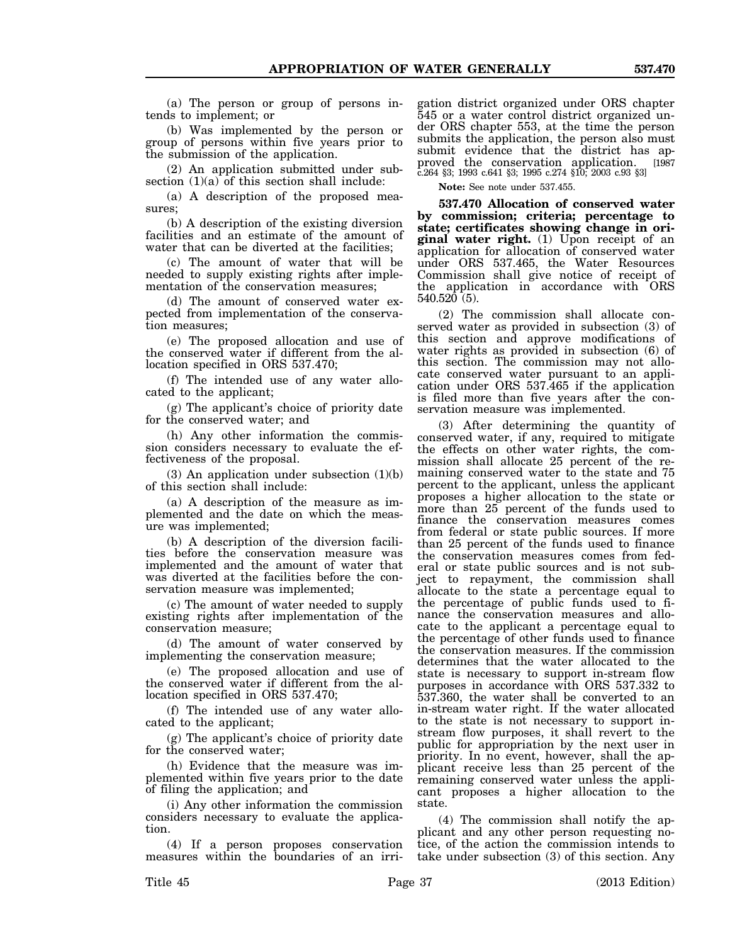(a) The person or group of persons intends to implement; or

(b) Was implemented by the person or group of persons within five years prior to the submission of the application.

(2) An application submitted under subsection  $(1)(a)$  of this section shall include:

(a) A description of the proposed measures;

(b) A description of the existing diversion facilities and an estimate of the amount of water that can be diverted at the facilities;

(c) The amount of water that will be needed to supply existing rights after implementation of the conservation measures;

(d) The amount of conserved water expected from implementation of the conservation measures;

(e) The proposed allocation and use of the conserved water if different from the allocation specified in ORS 537.470;

(f) The intended use of any water allocated to the applicant;

(g) The applicant's choice of priority date for the conserved water; and

(h) Any other information the commission considers necessary to evaluate the effectiveness of the proposal.

 $(3)$  An application under subsection  $(1)(b)$ of this section shall include:

(a) A description of the measure as implemented and the date on which the measure was implemented;

(b) A description of the diversion facilities before the conservation measure was implemented and the amount of water that was diverted at the facilities before the conservation measure was implemented;

(c) The amount of water needed to supply existing rights after implementation of the conservation measure;

(d) The amount of water conserved by implementing the conservation measure;

(e) The proposed allocation and use of the conserved water if different from the allocation specified in ORS 537.470;

(f) The intended use of any water allocated to the applicant;

(g) The applicant's choice of priority date for the conserved water;

(h) Evidence that the measure was implemented within five years prior to the date of filing the application; and

(i) Any other information the commission considers necessary to evaluate the application.

(4) If a person proposes conservation measures within the boundaries of an irrigation district organized under ORS chapter 545 or a water control district organized under ORS chapter 553, at the time the person submits the application, the person also must submit evidence that the district has approved the conservation application. [1987 c.264 §3; 1993 c.641 §3; 1995 c.274 §10; 2003 c.93 §3]

**Note:** See note under 537.455.

**537.470 Allocation of conserved water by commission; criteria; percentage to state; certificates showing change in original water right.** (1) Upon receipt of an application for allocation of conserved water under ORS 537.465, the Water Resources Commission shall give notice of receipt of the application in accordance with ORS 540.520 (5).

(2) The commission shall allocate conserved water as provided in subsection (3) of this section and approve modifications of water rights as provided in subsection (6) of this section. The commission may not allocate conserved water pursuant to an application under ORS 537.465 if the application is filed more than five years after the conservation measure was implemented.

(3) After determining the quantity of conserved water, if any, required to mitigate the effects on other water rights, the commission shall allocate 25 percent of the remaining conserved water to the state and 75 percent to the applicant, unless the applicant proposes a higher allocation to the state or more than 25 percent of the funds used to finance the conservation measures comes from federal or state public sources. If more than 25 percent of the funds used to finance the conservation measures comes from federal or state public sources and is not subject to repayment, the commission shall allocate to the state a percentage equal to the percentage of public funds used to finance the conservation measures and allocate to the applicant a percentage equal to the percentage of other funds used to finance the conservation measures. If the commission determines that the water allocated to the state is necessary to support in-stream flow purposes in accordance with ORS 537.332 to 537.360, the water shall be converted to an in-stream water right. If the water allocated to the state is not necessary to support instream flow purposes, it shall revert to the public for appropriation by the next user in priority. In no event, however, shall the applicant receive less than 25 percent of the remaining conserved water unless the applicant proposes a higher allocation to the state.

(4) The commission shall notify the applicant and any other person requesting notice, of the action the commission intends to take under subsection (3) of this section. Any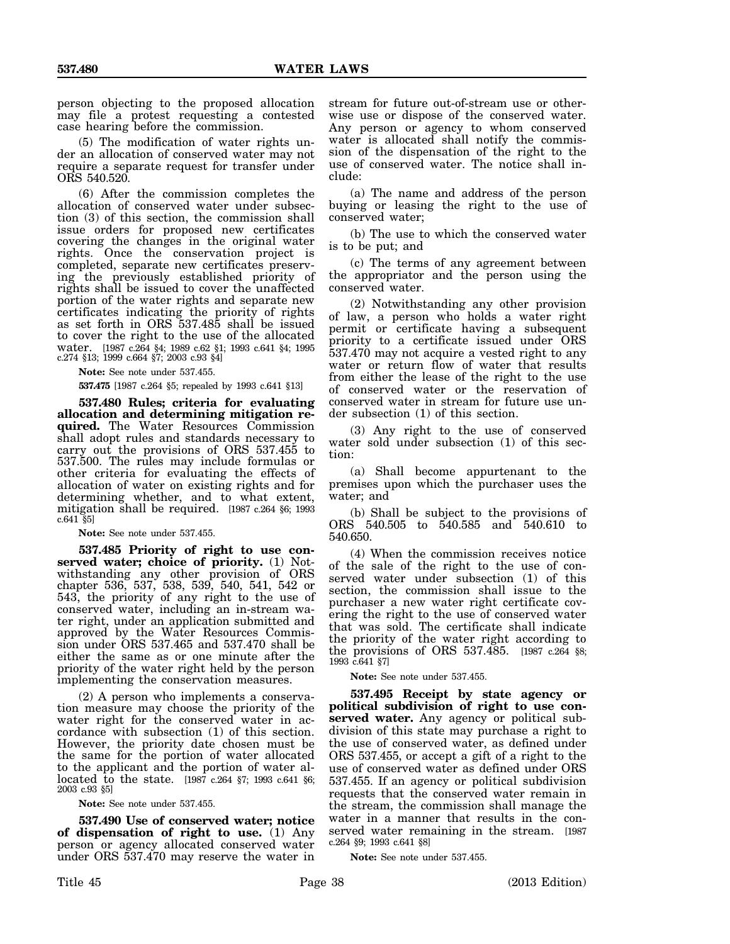person objecting to the proposed allocation may file a protest requesting a contested case hearing before the commission.

(5) The modification of water rights under an allocation of conserved water may not require a separate request for transfer under ORS 540.520.

(6) After the commission completes the allocation of conserved water under subsection (3) of this section, the commission shall issue orders for proposed new certificates covering the changes in the original water rights. Once the conservation project is completed, separate new certificates preserving the previously established priority of rights shall be issued to cover the unaffected portion of the water rights and separate new certificates indicating the priority of rights as set forth in ORS 537.485 shall be issued to cover the right to the use of the allocated water. [1987 c.264 §4; 1989 c.62 §1; 1993 c.641 §4; 1995 c.274 §13; 1999 c.664 §7; 2003 c.93 §4]

**Note:** See note under 537.455.

**537.475** [1987 c.264 §5; repealed by 1993 c.641 §13]

**537.480 Rules; criteria for evaluating allocation and determining mitigation required.** The Water Resources Commission shall adopt rules and standards necessary to carry out the provisions of ORS 537.455 to 537.500. The rules may include formulas or other criteria for evaluating the effects of allocation of water on existing rights and for determining whether, and to what extent, mitigation shall be required. [1987 c.264 §6; 1993  $c.641$   $\S5$ 

**Note:** See note under 537.455.

**537.485 Priority of right to use conserved water; choice of priority.** (1) Notwithstanding any other provision of ORS chapter 536, 537, 538, 539, 540, 541, 542 or 543, the priority of any right to the use of conserved water, including an in-stream water right, under an application submitted and approved by the Water Resources Commission under ORS 537.465 and 537.470 shall be either the same as or one minute after the priority of the water right held by the person implementing the conservation measures.

(2) A person who implements a conservation measure may choose the priority of the water right for the conserved water in accordance with subsection (1) of this section. However, the priority date chosen must be the same for the portion of water allocated to the applicant and the portion of water allocated to the state. [1987 c.264 §7; 1993 c.641 §6; 2003 c.93 §5]

**Note:** See note under 537.455.

**537.490 Use of conserved water; notice of dispensation of right to use.** (1) Any person or agency allocated conserved water under ORS 537.470 may reserve the water in

(a) The name and address of the person buying or leasing the right to the use of conserved water;

(b) The use to which the conserved water is to be put; and

(c) The terms of any agreement between the appropriator and the person using the conserved water.

(2) Notwithstanding any other provision of law, a person who holds a water right permit or certificate having a subsequent priority to a certificate issued under ORS 537.470 may not acquire a vested right to any water or return flow of water that results from either the lease of the right to the use of conserved water or the reservation of conserved water in stream for future use under subsection (1) of this section.

(3) Any right to the use of conserved water sold under subsection (1) of this section:

(a) Shall become appurtenant to the premises upon which the purchaser uses the water; and

(b) Shall be subject to the provisions of ORS 540.505 to 540.585 and 540.610 to 540.650.

(4) When the commission receives notice of the sale of the right to the use of conserved water under subsection (1) of this section, the commission shall issue to the purchaser a new water right certificate covering the right to the use of conserved water that was sold. The certificate shall indicate the priority of the water right according to the provisions of ORS 537.485. [1987 c.264 §8; 1993 c.641 §7]

**Note:** See note under 537.455.

**537.495 Receipt by state agency or political subdivision of right to use conserved water.** Any agency or political subdivision of this state may purchase a right to the use of conserved water, as defined under ORS 537.455, or accept a gift of a right to the use of conserved water as defined under ORS 537.455. If an agency or political subdivision requests that the conserved water remain in the stream, the commission shall manage the water in a manner that results in the conserved water remaining in the stream. [1987 c.264 §9; 1993 c.641 §8]

**Note:** See note under 537.455.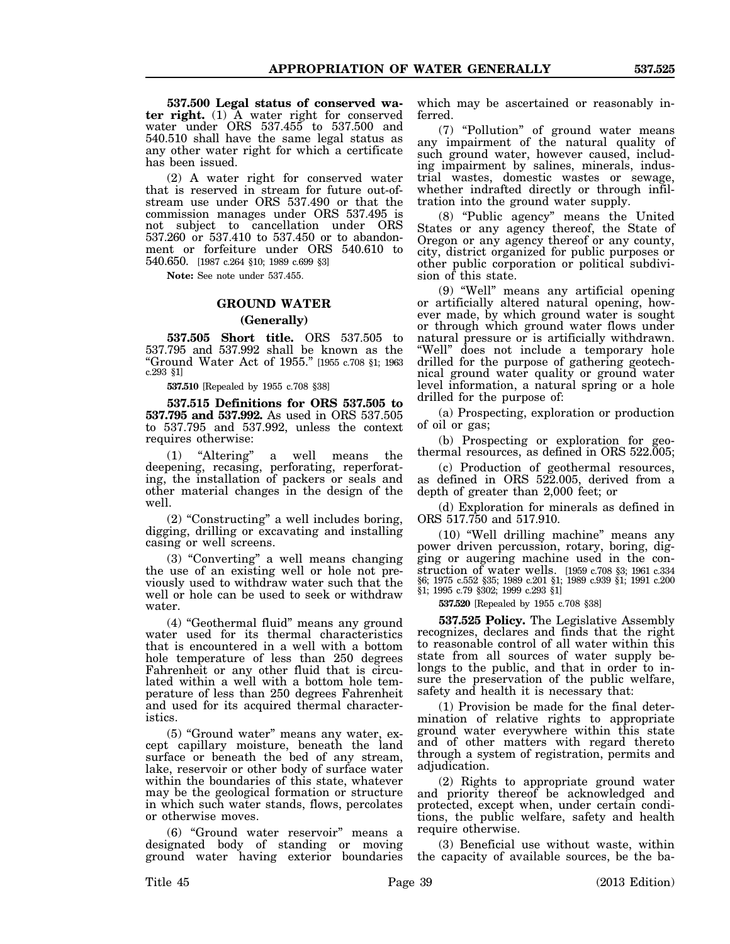**537.500 Legal status of conserved water right.** (1) A water right for conserved water under ORS 537.455 to 537.500 and 540.510 shall have the same legal status as any other water right for which a certificate has been issued.

(2) A water right for conserved water that is reserved in stream for future out-ofstream use under ORS 537.490 or that the commission manages under ORS 537.495 is not subject to cancellation under ORS 537.260 or 537.410 to 537.450 or to abandonment or forfeiture under ORS 540.610 to 540.650. [1987 c.264 §10; 1989 c.699 §3]

**Note:** See note under 537.455.

# **GROUND WATER**

## **(Generally)**

**537.505 Short title.** ORS 537.505 to 537.795 and 537.992 shall be known as the "Ground Water Act of 1955." [1955 c.708 §1; 1963 c.293 §1]

**537.510** [Repealed by 1955 c.708 §38]

**537.515 Definitions for ORS 537.505 to 537.795 and 537.992.** As used in ORS 537.505 to 537.795 and 537.992, unless the context requires otherwise:

(1) "Altering" a well means the deepening, recasing, perforating, reperforating, the installation of packers or seals and other material changes in the design of the well.

(2) "Constructing" a well includes boring, digging, drilling or excavating and installing casing or well screens.

(3) "Converting" a well means changing the use of an existing well or hole not previously used to withdraw water such that the well or hole can be used to seek or withdraw water.

(4) "Geothermal fluid" means any ground water used for its thermal characteristics that is encountered in a well with a bottom hole temperature of less than 250 degrees Fahrenheit or any other fluid that is circulated within a well with a bottom hole temperature of less than 250 degrees Fahrenheit and used for its acquired thermal characteristics.

(5) "Ground water" means any water, except capillary moisture, beneath the land surface or beneath the bed of any stream, lake, reservoir or other body of surface water within the boundaries of this state, whatever may be the geological formation or structure in which such water stands, flows, percolates or otherwise moves.

(6) "Ground water reservoir" means a designated body of standing or moving ground water having exterior boundaries which may be ascertained or reasonably inferred.

(7) "Pollution" of ground water means any impairment of the natural quality of such ground water, however caused, including impairment by salines, minerals, industrial wastes, domestic wastes or sewage, whether indrafted directly or through infiltration into the ground water supply.

(8) "Public agency" means the United States or any agency thereof, the State of Oregon or any agency thereof or any county, city, district organized for public purposes or other public corporation or political subdivision of this state.

(9) "Well" means any artificial opening or artificially altered natural opening, however made, by which ground water is sought or through which ground water flows under natural pressure or is artificially withdrawn. "Well" does not include a temporary hole drilled for the purpose of gathering geotechnical ground water quality or ground water level information, a natural spring or a hole drilled for the purpose of:

(a) Prospecting, exploration or production of oil or gas;

(b) Prospecting or exploration for geothermal resources, as defined in ORS 522.005;

(c) Production of geothermal resources, as defined in ORS 522.005, derived from a depth of greater than 2,000 feet; or

(d) Exploration for minerals as defined in ORS 517.750 and 517.910.

(10) "Well drilling machine" means any power driven percussion, rotary, boring, digging or augering machine used in the construction of water wells. [1959 c.708 §3; 1961 c.334 §6; 1975 c.552 §35; 1989 c.201 §1; 1989 c.939 §1; 1991 c.200 §1; 1995 c.79 §302; 1999 c.293 §1]

**537.520** [Repealed by 1955 c.708 §38]

**537.525 Policy.** The Legislative Assembly recognizes, declares and finds that the right to reasonable control of all water within this state from all sources of water supply belongs to the public, and that in order to insure the preservation of the public welfare, safety and health it is necessary that:

(1) Provision be made for the final determination of relative rights to appropriate ground water everywhere within this state and of other matters with regard thereto through a system of registration, permits and adjudication.

(2) Rights to appropriate ground water and priority thereof be acknowledged and protected, except when, under certain conditions, the public welfare, safety and health require otherwise.

(3) Beneficial use without waste, within the capacity of available sources, be the ba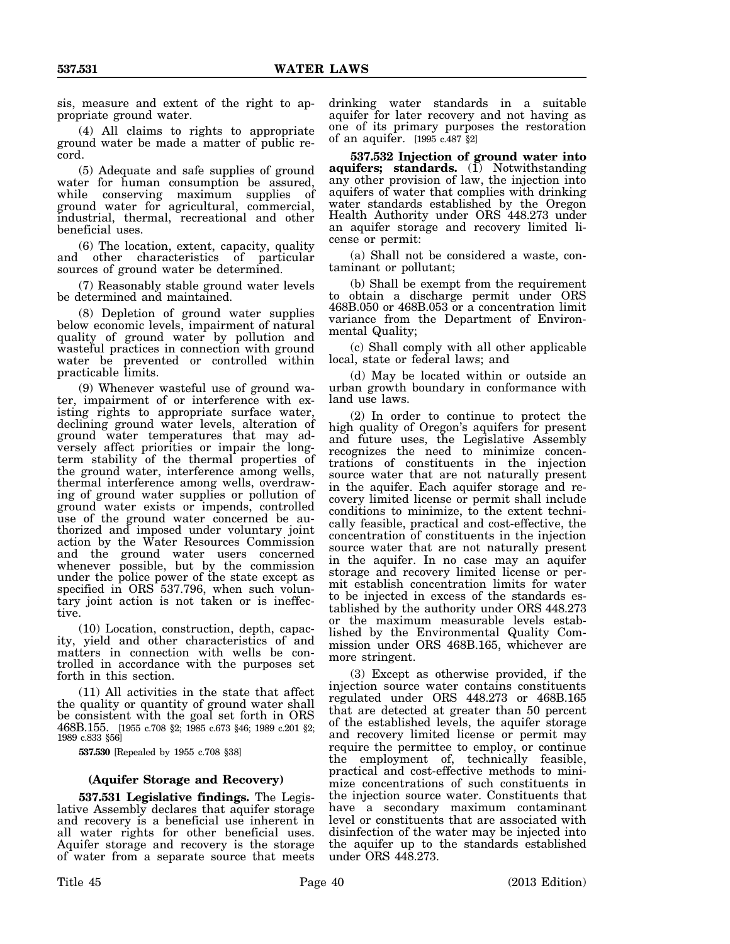sis, measure and extent of the right to appropriate ground water.

(4) All claims to rights to appropriate ground water be made a matter of public record.

(5) Adequate and safe supplies of ground water for human consumption be assured, while conserving maximum supplies of ground water for agricultural, commercial, industrial, thermal, recreational and other beneficial uses.

(6) The location, extent, capacity, quality and other characteristics of particular sources of ground water be determined.

(7) Reasonably stable ground water levels be determined and maintained.

(8) Depletion of ground water supplies below economic levels, impairment of natural quality of ground water by pollution and wasteful practices in connection with ground water be prevented or controlled within practicable limits.

(9) Whenever wasteful use of ground water, impairment of or interference with existing rights to appropriate surface water, declining ground water levels, alteration of ground water temperatures that may adversely affect priorities or impair the longterm stability of the thermal properties of the ground water, interference among wells, thermal interference among wells, overdrawing of ground water supplies or pollution of ground water exists or impends, controlled use of the ground water concerned be authorized and imposed under voluntary joint action by the Water Resources Commission and the ground water users concerned whenever possible, but by the commission under the police power of the state except as specified in ORS 537.796, when such voluntary joint action is not taken or is ineffective.

(10) Location, construction, depth, capacity, yield and other characteristics of and matters in connection with wells be controlled in accordance with the purposes set forth in this section.

(11) All activities in the state that affect the quality or quantity of ground water shall be consistent with the goal set forth in ORS 468B.155. [1955 c.708 §2; 1985 c.673 §46; 1989 c.201 §2; 1989 c.833 §56]

**537.530** [Repealed by 1955 c.708 §38]

# **(Aquifer Storage and Recovery)**

**537.531 Legislative findings.** The Legislative Assembly declares that aquifer storage and recovery is a beneficial use inherent in all water rights for other beneficial uses. Aquifer storage and recovery is the storage of water from a separate source that meets

drinking water standards in a suitable aquifer for later recovery and not having as one of its primary purposes the restoration of an aquifer. [1995 c.487 §2]

**537.532 Injection of ground water into** aquifers; standards. (1) Notwithstanding any other provision of law, the injection into aquifers of water that complies with drinking water standards established by the Oregon Health Authority under ORS 448.273 under an aquifer storage and recovery limited license or permit:

(a) Shall not be considered a waste, contaminant or pollutant;

(b) Shall be exempt from the requirement to obtain a discharge permit under ORS 468B.050 or 468B.053 or a concentration limit variance from the Department of Environmental Quality;

(c) Shall comply with all other applicable local, state or federal laws; and

(d) May be located within or outside an urban growth boundary in conformance with land use laws.

(2) In order to continue to protect the high quality of Oregon's aquifers for present and future uses, the Legislative Assembly recognizes the need to minimize concentrations of constituents in the injection source water that are not naturally present in the aquifer. Each aquifer storage and recovery limited license or permit shall include conditions to minimize, to the extent technically feasible, practical and cost-effective, the concentration of constituents in the injection source water that are not naturally present in the aquifer. In no case may an aquifer storage and recovery limited license or permit establish concentration limits for water to be injected in excess of the standards established by the authority under ORS 448.273 or the maximum measurable levels established by the Environmental Quality Commission under ORS 468B.165, whichever are more stringent.

(3) Except as otherwise provided, if the injection source water contains constituents regulated under ORS 448.273 or 468B.165 that are detected at greater than 50 percent of the established levels, the aquifer storage and recovery limited license or permit may require the permittee to employ, or continue the employment of, technically feasible, practical and cost-effective methods to minimize concentrations of such constituents in the injection source water. Constituents that have a secondary maximum contaminant level or constituents that are associated with disinfection of the water may be injected into the aquifer up to the standards established under ORS 448.273.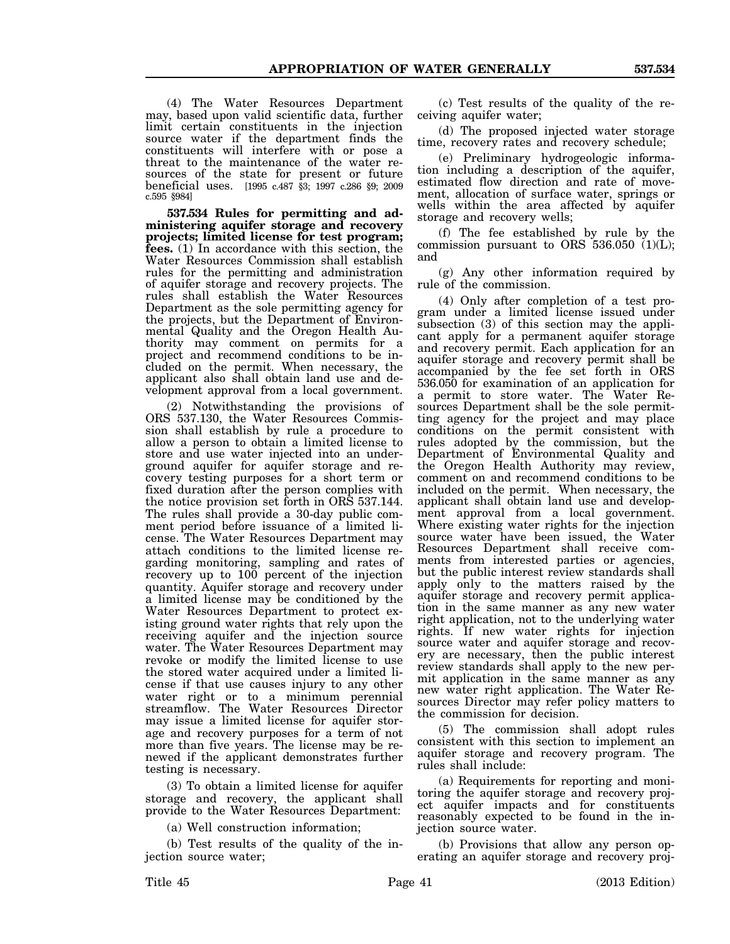(4) The Water Resources Department may, based upon valid scientific data, further limit certain constituents in the injection source water if the department finds the constituents will interfere with or pose a threat to the maintenance of the water resources of the state for present or future beneficial uses. [1995 c.487 §3; 1997 c.286 §9; 2009 c.595 §984]

**537.534 Rules for permitting and administering aquifer storage and recovery projects; limited license for test program; fees.** (1) In accordance with this section, the Water Resources Commission shall establish rules for the permitting and administration of aquifer storage and recovery projects. The rules shall establish the Water Resources Department as the sole permitting agency for the projects, but the Department of Environmental Quality and the Oregon Health Authority may comment on permits for a project and recommend conditions to be included on the permit. When necessary, the applicant also shall obtain land use and development approval from a local government.

(2) Notwithstanding the provisions of ORS 537.130, the Water Resources Commission shall establish by rule a procedure to allow a person to obtain a limited license to store and use water injected into an underground aquifer for aquifer storage and recovery testing purposes for a short term or fixed duration after the person complies with the notice provision set forth in ORS 537.144. The rules shall provide a 30-day public comment period before issuance of a limited license. The Water Resources Department may attach conditions to the limited license regarding monitoring, sampling and rates of recovery up to 100 percent of the injection quantity. Aquifer storage and recovery under a limited license may be conditioned by the Water Resources Department to protect existing ground water rights that rely upon the receiving aquifer and the injection source water. The Water Resources Department may revoke or modify the limited license to use the stored water acquired under a limited license if that use causes injury to any other water right or to a minimum perennial streamflow. The Water Resources Director may issue a limited license for aquifer storage and recovery purposes for a term of not more than five years. The license may be renewed if the applicant demonstrates further testing is necessary.

(3) To obtain a limited license for aquifer storage and recovery, the applicant shall provide to the Water Resources Department:

(a) Well construction information;

(b) Test results of the quality of the injection source water;

(c) Test results of the quality of the receiving aquifer water;

(d) The proposed injected water storage time, recovery rates and recovery schedule;

(e) Preliminary hydrogeologic information including a description of the aquifer, estimated flow direction and rate of movement, allocation of surface water, springs or wells within the area affected by aquifer storage and recovery wells;

(f) The fee established by rule by the commission pursuant to ORS  $536.050$  (1)(L); and

(g) Any other information required by rule of the commission.

(4) Only after completion of a test program under a limited license issued under subsection (3) of this section may the applicant apply for a permanent aquifer storage and recovery permit. Each application for an aquifer storage and recovery permit shall be accompanied by the fee set forth in ORS 536.050 for examination of an application for a permit to store water. The Water Resources Department shall be the sole permitting agency for the project and may place conditions on the permit consistent with rules adopted by the commission, but the Department of Environmental Quality and the Oregon Health Authority may review, comment on and recommend conditions to be included on the permit. When necessary, the applicant shall obtain land use and development approval from a local government. Where existing water rights for the injection source water have been issued, the Water Resources Department shall receive comments from interested parties or agencies, but the public interest review standards shall apply only to the matters raised by the aquifer storage and recovery permit application in the same manner as any new water right application, not to the underlying water rights. If new water rights for injection source water and aquifer storage and recovery are necessary, then the public interest review standards shall apply to the new permit application in the same manner as any new water right application. The Water Resources Director may refer policy matters to the commission for decision.

(5) The commission shall adopt rules consistent with this section to implement an aquifer storage and recovery program. The rules shall include:

(a) Requirements for reporting and monitoring the aquifer storage and recovery project aquifer impacts and for constituents reasonably expected to be found in the injection source water.

(b) Provisions that allow any person operating an aquifer storage and recovery proj-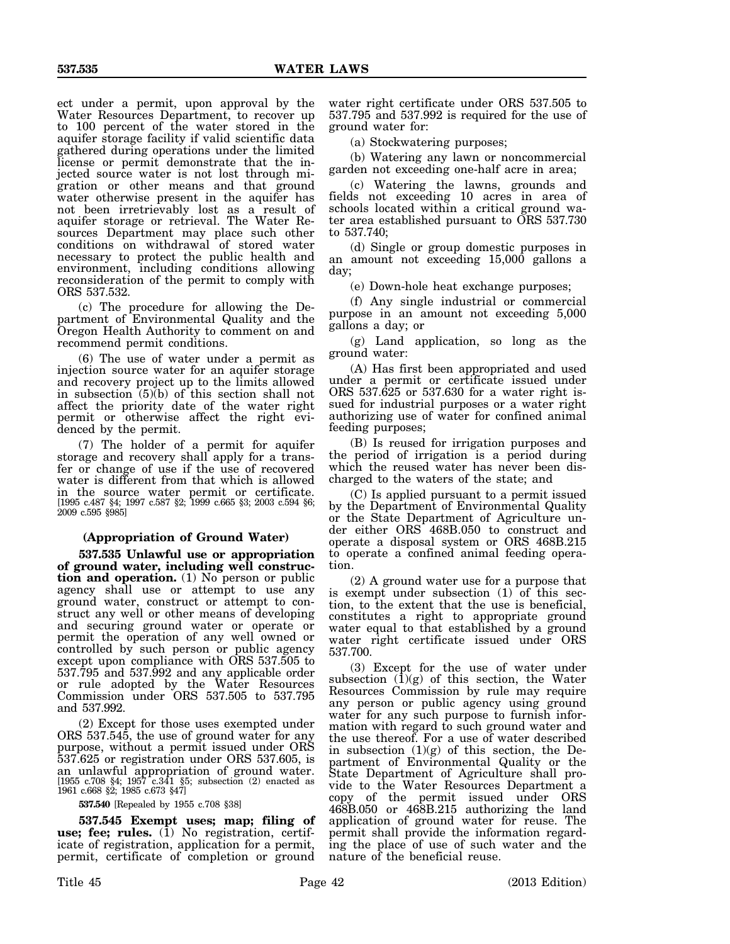ect under a permit, upon approval by the Water Resources Department, to recover up to 100 percent of the water stored in the aquifer storage facility if valid scientific data gathered during operations under the limited license or permit demonstrate that the injected source water is not lost through migration or other means and that ground water otherwise present in the aquifer has not been irretrievably lost as a result of aquifer storage or retrieval. The Water Resources Department may place such other conditions on withdrawal of stored water necessary to protect the public health and environment, including conditions allowing reconsideration of the permit to comply with ORS 537.532.

(c) The procedure for allowing the Department of Environmental Quality and the Oregon Health Authority to comment on and recommend permit conditions.

(6) The use of water under a permit as injection source water for an aquifer storage and recovery project up to the limits allowed in subsection (5)(b) of this section shall not affect the priority date of the water right permit or otherwise affect the right evidenced by the permit.

(7) The holder of a permit for aquifer storage and recovery shall apply for a transfer or change of use if the use of recovered water is different from that which is allowed in the source water permit or certificate. [1995 c.487 §4; 1997 c.587 §2; 1999 c.665 §3; 2003 c.594 §6; 2009 c.595 §985]

# **(Appropriation of Ground Water)**

**537.535 Unlawful use or appropriation of ground water, including well construction and operation.** (1) No person or public agency shall use or attempt to use any ground water, construct or attempt to construct any well or other means of developing and securing ground water or operate or permit the operation of any well owned or controlled by such person or public agency except upon compliance with ORS 537.505 to 537.795 and 537.992 and any applicable order or rule adopted by the Water Resources Commission under ORS 537.505 to 537.795 and 537.992.

(2) Except for those uses exempted under ORS 537.545, the use of ground water for any purpose, without a permit issued under ORS 537.625 or registration under ORS 537.605, is an unlawful appropriation of ground water. [1955 c.708 §4; 1957 c.341 §5; subsection (2) enacted as 1961 c.668 §2; 1985 c.673 §47]

**537.540** [Repealed by 1955 c.708 §38]

**537.545 Exempt uses; map; filing of** use; fee; rules. (1) No registration, certificate of registration, application for a permit, permit, certificate of completion or ground water right certificate under ORS 537.505 to 537.795 and 537.992 is required for the use of ground water for:

(a) Stockwatering purposes;

(b) Watering any lawn or noncommercial garden not exceeding one-half acre in area;

(c) Watering the lawns, grounds and fields not exceeding 10 acres in area of schools located within a critical ground water area established pursuant to ORS 537.730 to 537.740;

(d) Single or group domestic purposes in an amount not exceeding 15,000 gallons a day;

(e) Down-hole heat exchange purposes;

(f) Any single industrial or commercial purpose in an amount not exceeding 5,000 gallons a day; or

(g) Land application, so long as the ground water:

(A) Has first been appropriated and used under a permit or certificate issued under ORS 537.625 or 537.630 for a water right issued for industrial purposes or a water right authorizing use of water for confined animal feeding purposes;

(B) Is reused for irrigation purposes and the period of irrigation is a period during which the reused water has never been discharged to the waters of the state; and

(C) Is applied pursuant to a permit issued by the Department of Environmental Quality or the State Department of Agriculture under either ORS 468B.050 to construct and operate a disposal system or ORS 468B.215 to operate a confined animal feeding operation.

(2) A ground water use for a purpose that is exempt under subsection (1) of this section, to the extent that the use is beneficial, constitutes a right to appropriate ground water equal to that established by a ground water right certificate issued under ORS 537.700.

(3) Except for the use of water under subsection  $(1)(g)$  of this section, the Water Resources Commission by rule may require any person or public agency using ground water for any such purpose to furnish information with regard to such ground water and the use thereof. For a use of water described in subsection (1)(g) of this section, the Department of Environmental Quality or the State Department of Agriculture shall provide to the Water Resources Department a copy of the permit issued under ORS 468B.050 or 468B.215 authorizing the land application of ground water for reuse. The permit shall provide the information regarding the place of use of such water and the nature of the beneficial reuse.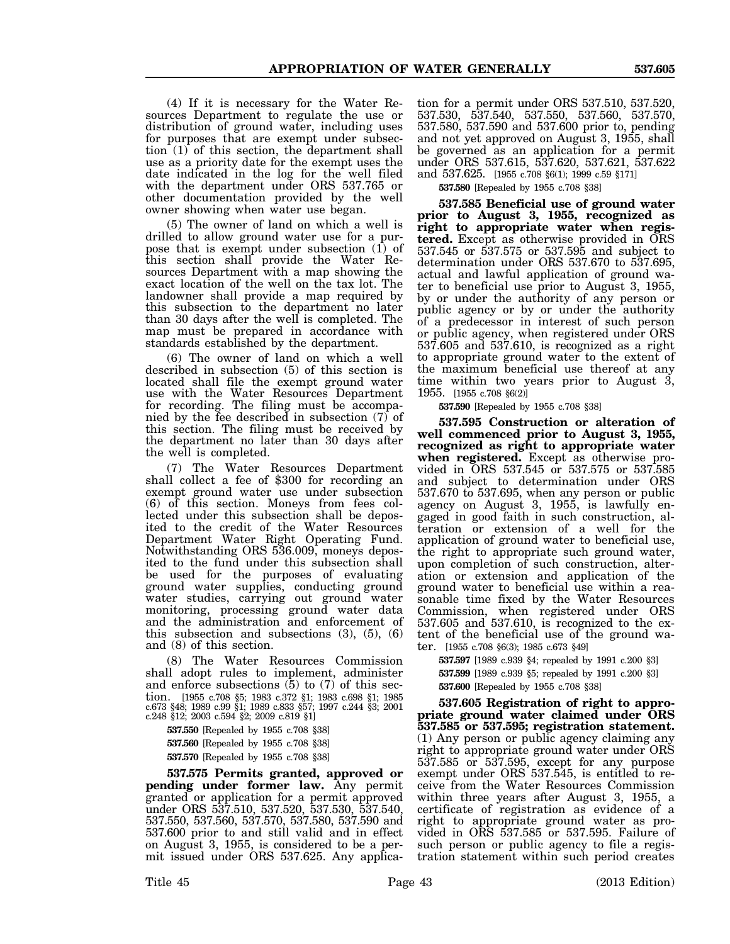(4) If it is necessary for the Water Resources Department to regulate the use or distribution of ground water, including uses for purposes that are exempt under subsection (1) of this section, the department shall use as a priority date for the exempt uses the date indicated in the log for the well filed with the department under ORS 537.765 or other documentation provided by the well owner showing when water use began.

(5) The owner of land on which a well is drilled to allow ground water use for a purpose that is exempt under subsection  $(1)$  of this section shall provide the Water Resources Department with a map showing the exact location of the well on the tax lot. The landowner shall provide a map required by this subsection to the department no later than 30 days after the well is completed. The map must be prepared in accordance with standards established by the department.

(6) The owner of land on which a well described in subsection (5) of this section is located shall file the exempt ground water use with the Water Resources Department for recording. The filing must be accompanied by the fee described in subsection (7) of this section. The filing must be received by the department no later than 30 days after the well is completed.

(7) The Water Resources Department shall collect a fee of \$300 for recording an exempt ground water use under subsection (6) of this section. Moneys from fees collected under this subsection shall be deposited to the credit of the Water Resources Department Water Right Operating Fund. Notwithstanding ORS 536.009, moneys deposited to the fund under this subsection shall be used for the purposes of evaluating ground water supplies, conducting ground water studies, carrying out ground water monitoring, processing ground water data and the administration and enforcement of this subsection and subsections  $(3)$ ,  $(5)$ ,  $(6)$ and (8) of this section.

(8) The Water Resources Commission shall adopt rules to implement, administer and enforce subsections (5) to (7) of this section. [1955 c.708 §5; 1983 c.372 §1; 1983 c.698 §1; 1985 c.673 §48; 1989 c.99 §1; 1989 c.833 §57; 1997 c.244 §3; 2001 c.248 §12; 2003 c.594 §2; 2009 c.819 §1]

**537.550** [Repealed by 1955 c.708 §38] **537.560** [Repealed by 1955 c.708 §38] **537.570** [Repealed by 1955 c.708 §38]

**537.575 Permits granted, approved or pending under former law.** Any permit granted or application for a permit approved under ORS 537.510, 537.520, 537.530, 537.540, 537.550, 537.560, 537.570, 537.580, 537.590 and 537.600 prior to and still valid and in effect on August 3, 1955, is considered to be a permit issued under ORS 537.625. Any applica-

tion for a permit under ORS 537.510, 537.520, 537.530, 537.540, 537.550, 537.560, 537.570, 537.580, 537.590 and 537.600 prior to, pending and not yet approved on August 3, 1955, shall be governed as an application for a permit under ORS 537.615, 537.620, 537.621, 537.622 and 537.625. [1955 c.708 §6(1); 1999 c.59 §171]

**537.580** [Repealed by 1955 c.708 §38]

**537.585 Beneficial use of ground water prior to August 3, 1955, recognized as right to appropriate water when registered.** Except as otherwise provided in ORS 537.545 or 537.575 or 537.595 and subject to determination under ORS 537.670 to 537.695, actual and lawful application of ground water to beneficial use prior to August 3, 1955, by or under the authority of any person or public agency or by or under the authority of a predecessor in interest of such person or public agency, when registered under ORS 537.605 and 537.610, is recognized as a right to appropriate ground water to the extent of the maximum beneficial use thereof at any time within two years prior to August 3, 1955. [1955 c.708 §6(2)]

**537.590** [Repealed by 1955 c.708 §38]

**537.595 Construction or alteration of well commenced prior to August 3, 1955, recognized as right to appropriate water when registered.** Except as otherwise provided in ORS 537.545 or 537.575 or 537.585 and subject to determination under ORS 537.670 to 537.695, when any person or public agency on August 3, 1955, is lawfully engaged in good faith in such construction, alteration or extension of a well for the application of ground water to beneficial use, the right to appropriate such ground water, upon completion of such construction, alteration or extension and application of the ground water to beneficial use within a reasonable time fixed by the Water Resources Commission, when registered under ORS 537.605 and 537.610, is recognized to the extent of the beneficial use of the ground water. [1955 c.708 §6(3); 1985 c.673 §49]

**537.597** [1989 c.939 §4; repealed by 1991 c.200 §3] **537.599** [1989 c.939 §5; repealed by 1991 c.200 §3] **537.600** [Repealed by 1955 c.708 §38]

**537.605 Registration of right to appropriate ground water claimed under ORS 537.585 or 537.595; registration statement.** (1) Any person or public agency claiming any right to appropriate ground water under ORS 537.585 or 537.595, except for any purpose exempt under ORS 537.545, is entitled to receive from the Water Resources Commission within three years after August 3, 1955, a certificate of registration as evidence of a right to appropriate ground water as provided in ORS 537.585 or 537.595. Failure of such person or public agency to file a registration statement within such period creates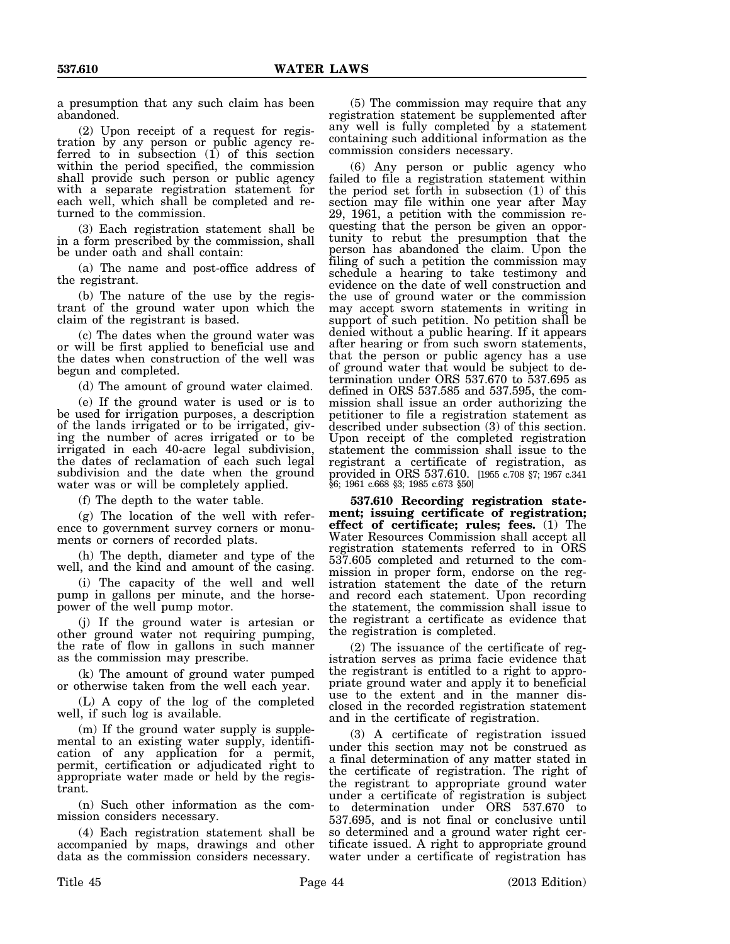a presumption that any such claim has been abandoned.

(2) Upon receipt of a request for registration by any person or public agency referred to in subsection (1) of this section within the period specified, the commission shall provide such person or public agency with a separate registration statement for each well, which shall be completed and returned to the commission.

(3) Each registration statement shall be in a form prescribed by the commission, shall be under oath and shall contain:

(a) The name and post-office address of the registrant.

(b) The nature of the use by the registrant of the ground water upon which the claim of the registrant is based.

(c) The dates when the ground water was or will be first applied to beneficial use and the dates when construction of the well was begun and completed.

(d) The amount of ground water claimed.

(e) If the ground water is used or is to be used for irrigation purposes, a description of the lands irrigated or to be irrigated, giving the number of acres irrigated or to be irrigated in each 40-acre legal subdivision, the dates of reclamation of each such legal subdivision and the date when the ground water was or will be completely applied.

(f) The depth to the water table.

(g) The location of the well with reference to government survey corners or monuments or corners of recorded plats.

(h) The depth, diameter and type of the well, and the kind and amount of the casing.

(i) The capacity of the well and well pump in gallons per minute, and the horsepower of the well pump motor.

(j) If the ground water is artesian or other ground water not requiring pumping, the rate of flow in gallons in such manner as the commission may prescribe.

(k) The amount of ground water pumped or otherwise taken from the well each year.

(L) A copy of the log of the completed well, if such log is available.

(m) If the ground water supply is supplemental to an existing water supply, identification of any application for a permit, permit, certification or adjudicated right to appropriate water made or held by the registrant.

(n) Such other information as the commission considers necessary.

(4) Each registration statement shall be accompanied by maps, drawings and other data as the commission considers necessary.

(5) The commission may require that any registration statement be supplemented after any well is fully completed by a statement containing such additional information as the commission considers necessary.

(6) Any person or public agency who failed to file a registration statement within the period set forth in subsection (1) of this section may file within one year after May 29, 1961, a petition with the commission requesting that the person be given an opportunity to rebut the presumption that the person has abandoned the claim. Upon the filing of such a petition the commission may schedule a hearing to take testimony and evidence on the date of well construction and the use of ground water or the commission may accept sworn statements in writing in support of such petition. No petition shall be denied without a public hearing. If it appears after hearing or from such sworn statements, that the person or public agency has a use of ground water that would be subject to determination under ORS 537.670 to 537.695 as defined in ORS 537.585 and 537.595, the commission shall issue an order authorizing the petitioner to file a registration statement as described under subsection (3) of this section. Upon receipt of the completed registration statement the commission shall issue to the registrant a certificate of registration, as provided in ORS 537.610. [1955 c.708 §7; 1957 c.341 §6; 1961 c.668 §3; 1985 c.673 §50]

**537.610 Recording registration statement; issuing certificate of registration; effect of certificate; rules; fees.** (1) The Water Resources Commission shall accept all registration statements referred to in ORS 537.605 completed and returned to the commission in proper form, endorse on the registration statement the date of the return and record each statement. Upon recording the statement, the commission shall issue to the registrant a certificate as evidence that the registration is completed.

(2) The issuance of the certificate of registration serves as prima facie evidence that the registrant is entitled to a right to appropriate ground water and apply it to beneficial use to the extent and in the manner disclosed in the recorded registration statement and in the certificate of registration.

(3) A certificate of registration issued under this section may not be construed as a final determination of any matter stated in the certificate of registration. The right of the registrant to appropriate ground water under a certificate of registration is subject to determination under ORS 537.670 to 537.695, and is not final or conclusive until so determined and a ground water right certificate issued. A right to appropriate ground water under a certificate of registration has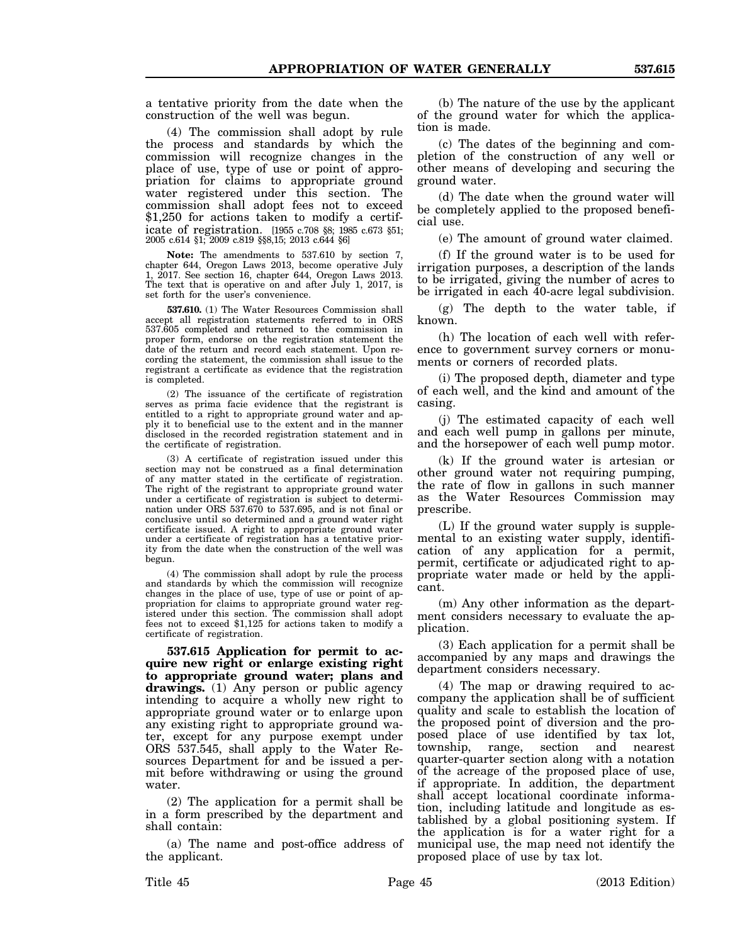a tentative priority from the date when the construction of the well was begun.

(4) The commission shall adopt by rule the process and standards by which the commission will recognize changes in the place of use, type of use or point of appropriation for claims to appropriate ground water registered under this section. The commission shall adopt fees not to exceed \$1,250 for actions taken to modify a certificate of registration. [1955 c.708 §8; 1985 c.673 §51; 2005 c.614 §1; 2009 c.819 §§8,15; 2013 c.644 §6]

**Note:** The amendments to 537.610 by section 7, chapter 644, Oregon Laws 2013, become operative July 1, 2017. See section 16, chapter 644, Oregon Laws 2013. The text that is operative on and after July 1, 2017, is set forth for the user's convenience.

**537.610.** (1) The Water Resources Commission shall accept all registration statements referred to in ORS 537.605 completed and returned to the commission in proper form, endorse on the registration statement the date of the return and record each statement. Upon recording the statement, the commission shall issue to the registrant a certificate as evidence that the registration is completed.

(2) The issuance of the certificate of registration serves as prima facie evidence that the registrant is entitled to a right to appropriate ground water and apply it to beneficial use to the extent and in the manner disclosed in the recorded registration statement and in the certificate of registration.

(3) A certificate of registration issued under this section may not be construed as a final determination of any matter stated in the certificate of registration. The right of the registrant to appropriate ground water under a certificate of registration is subject to determination under ORS 537.670 to 537.695, and is not final or conclusive until so determined and a ground water right certificate issued. A right to appropriate ground water under a certificate of registration has a tentative priority from the date when the construction of the well was begun.

(4) The commission shall adopt by rule the process and standards by which the commission will recognize changes in the place of use, type of use or point of appropriation for claims to appropriate ground water registered under this section. The commission shall adopt fees not to exceed \$1,125 for actions taken to modify a certificate of registration.

**537.615 Application for permit to acquire new right or enlarge existing right to appropriate ground water; plans and drawings.** (1) Any person or public agency intending to acquire a wholly new right to appropriate ground water or to enlarge upon any existing right to appropriate ground water, except for any purpose exempt under ORS 537.545, shall apply to the Water Resources Department for and be issued a permit before withdrawing or using the ground water.

(2) The application for a permit shall be in a form prescribed by the department and shall contain:

(a) The name and post-office address of the applicant.

(b) The nature of the use by the applicant of the ground water for which the application is made.

(c) The dates of the beginning and completion of the construction of any well or other means of developing and securing the ground water.

(d) The date when the ground water will be completely applied to the proposed beneficial use.

(e) The amount of ground water claimed.

(f) If the ground water is to be used for irrigation purposes, a description of the lands to be irrigated, giving the number of acres to be irrigated in each 40-acre legal subdivision.

(g) The depth to the water table, if known.

(h) The location of each well with reference to government survey corners or monuments or corners of recorded plats.

(i) The proposed depth, diameter and type of each well, and the kind and amount of the casing.

(j) The estimated capacity of each well and each well pump in gallons per minute, and the horsepower of each well pump motor.

(k) If the ground water is artesian or other ground water not requiring pumping, the rate of flow in gallons in such manner as the Water Resources Commission may prescribe.

(L) If the ground water supply is supplemental to an existing water supply, identification of any application for a permit, permit, certificate or adjudicated right to appropriate water made or held by the applicant.

(m) Any other information as the department considers necessary to evaluate the application.

(3) Each application for a permit shall be accompanied by any maps and drawings the department considers necessary.

(4) The map or drawing required to accompany the application shall be of sufficient quality and scale to establish the location of the proposed point of diversion and the proposed place of use identified by tax lot, township, range, section and nearest township, range, section and quarter-quarter section along with a notation of the acreage of the proposed place of use, if appropriate. In addition, the department shall accept locational coordinate information, including latitude and longitude as established by a global positioning system. If the application is for a water right for a municipal use, the map need not identify the proposed place of use by tax lot.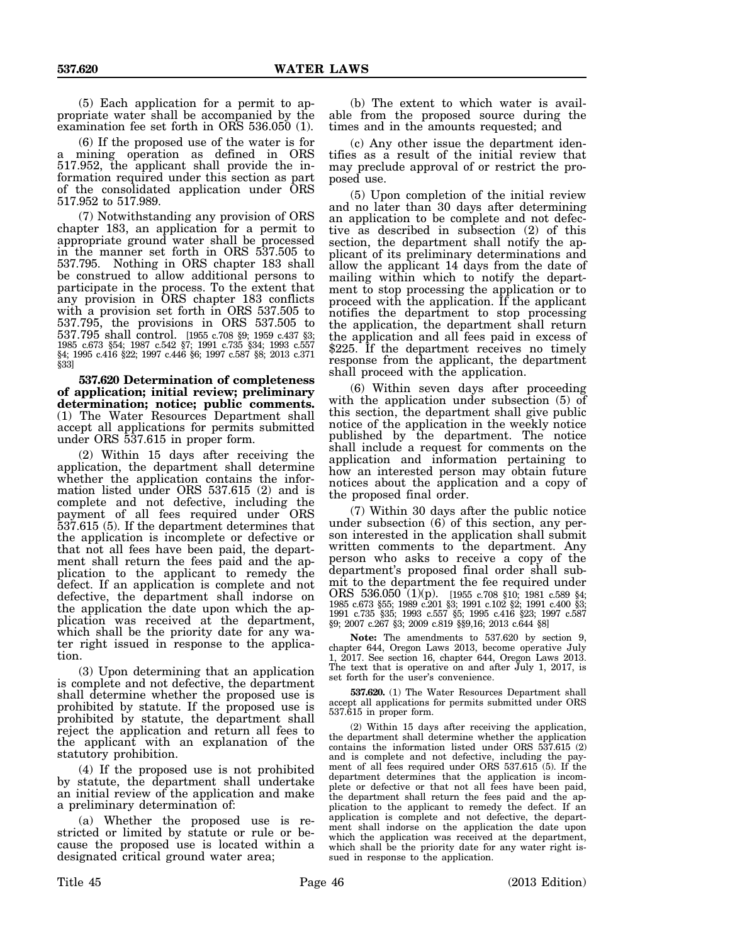(5) Each application for a permit to appropriate water shall be accompanied by the examination fee set forth in ORS 536.050 (1).

(6) If the proposed use of the water is for a mining operation as defined in ORS 517.952, the applicant shall provide the information required under this section as part of the consolidated application under ORS 517.952 to 517.989.

(7) Notwithstanding any provision of ORS chapter 183, an application for a permit to appropriate ground water shall be processed in the manner set forth in ORS 537.505 to 537.795. Nothing in ORS chapter 183 shall be construed to allow additional persons to participate in the process. To the extent that any provision in ORS chapter 183 conflicts with a provision set forth in ORS 537.505 to 537.795, the provisions in ORS 537.505 to 537.795 shall control. [1955 c.708 §9; 1959 c.437 §3; 1985 c.673 §54; 1987 c.542 §7; 1991 c.735 §34; 1993 c.557 §4; 1995 c.416 §22; 1997 c.446 §6; 1997 c.587 §8; 2013 c.371 §33]

**537.620 Determination of completeness of application; initial review; preliminary determination; notice; public comments.** (1) The Water Resources Department shall accept all applications for permits submitted under ORS 537.615 in proper form.

(2) Within 15 days after receiving the application, the department shall determine whether the application contains the information listed under ORS 537.615 (2) and is complete and not defective, including the payment of all fees required under ORS 537.615 (5). If the department determines that the application is incomplete or defective or that not all fees have been paid, the department shall return the fees paid and the application to the applicant to remedy the defect. If an application is complete and not defective, the department shall indorse on the application the date upon which the application was received at the department, which shall be the priority date for any water right issued in response to the application.

(3) Upon determining that an application is complete and not defective, the department shall determine whether the proposed use is prohibited by statute. If the proposed use is prohibited by statute, the department shall reject the application and return all fees to the applicant with an explanation of the statutory prohibition.

(4) If the proposed use is not prohibited by statute, the department shall undertake an initial review of the application and make a preliminary determination of:

(a) Whether the proposed use is restricted or limited by statute or rule or because the proposed use is located within a designated critical ground water area;

(b) The extent to which water is available from the proposed source during the times and in the amounts requested; and

(c) Any other issue the department identifies as a result of the initial review that may preclude approval of or restrict the proposed use.

(5) Upon completion of the initial review and no later than 30 days after determining an application to be complete and not defective as described in subsection (2) of this section, the department shall notify the applicant of its preliminary determinations and allow the applicant 14 days from the date of mailing within which to notify the department to stop processing the application or to proceed with the application. If the applicant notifies the department to stop processing the application, the department shall return the application and all fees paid in excess of \$225. If the department receives no timely response from the applicant, the department shall proceed with the application.

(6) Within seven days after proceeding with the application under subsection (5) of this section, the department shall give public notice of the application in the weekly notice published by the department. The notice shall include a request for comments on the application and information pertaining to how an interested person may obtain future notices about the application and a copy of the proposed final order.

(7) Within 30 days after the public notice under subsection (6) of this section, any person interested in the application shall submit written comments to the department. Any person who asks to receive a copy of the department's proposed final order shall submit to the department the fee required under ORS 536.050 (1)(p). [1955 c.708 §10; 1981 c.589 §4; 1985 c.673 §55; 1989 c.201 §3; 1991 c.102 §2; 1991 c.400 §3; 1991 c.735 §35; 1993 c.557 §5; 1995 c.416 §23; 1997 c.587 §9; 2007 c.267 §3; 2009 c.819 §§9,16; 2013 c.644 §8]

**Note:** The amendments to 537.620 by section 9, chapter 644, Oregon Laws 2013, become operative July 1, 2017. See section 16, chapter 644, Oregon Laws 2013. The text that is operative on and after July 1, 2017, is set forth for the user's convenience.

**537.620.** (1) The Water Resources Department shall accept all applications for permits submitted under ORS 537.615 in proper form.

(2) Within 15 days after receiving the application, the department shall determine whether the application contains the information listed under ORS 537.615 (2) and is complete and not defective, including the payment of all fees required under ORS 537.615 (5). If the department determines that the application is incomplete or defective or that not all fees have been paid, the department shall return the fees paid and the application to the applicant to remedy the defect. If an application is complete and not defective, the department shall indorse on the application the date upon which the application was received at the department, which shall be the priority date for any water right issued in response to the application.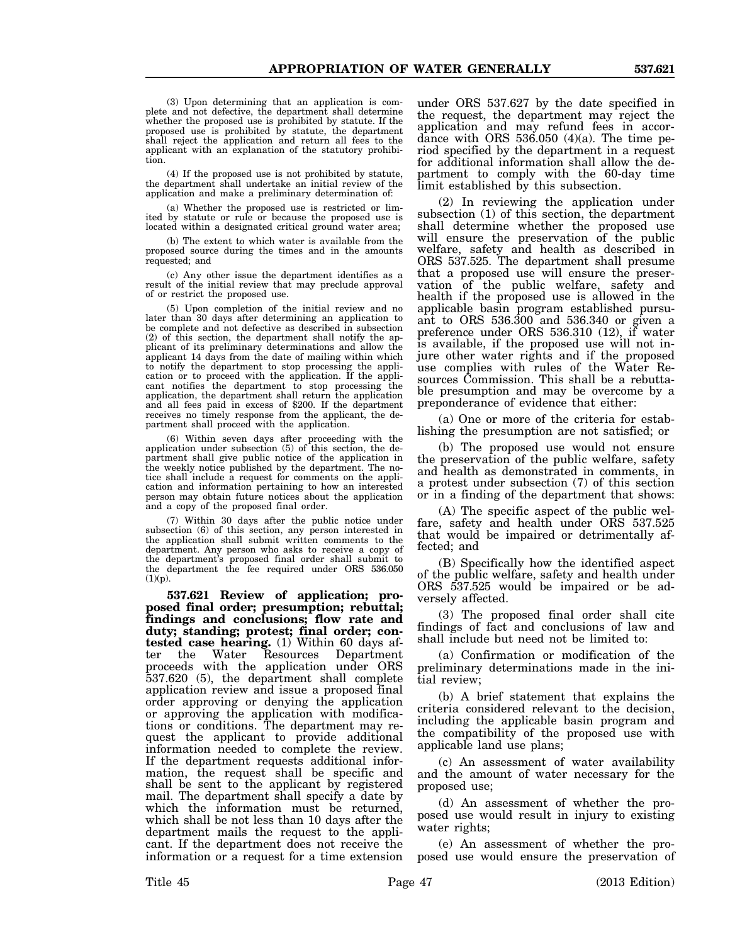(3) Upon determining that an application is complete and not defective, the department shall determine whether the proposed use is prohibited by statute. If the proposed use is prohibited by statute, the department shall reject the application and return all fees to the applicant with an explanation of the statutory prohibition.

(4) If the proposed use is not prohibited by statute, the department shall undertake an initial review of the application and make a preliminary determination of:

(a) Whether the proposed use is restricted or limited by statute or rule or because the proposed use is located within a designated critical ground water area;

(b) The extent to which water is available from the proposed source during the times and in the amounts requested; and

(c) Any other issue the department identifies as a result of the initial review that may preclude approval of or restrict the proposed use.

(5) Upon completion of the initial review and no later than 30 days after determining an application to be complete and not defective as described in subsection (2) of this section, the department shall notify the applicant of its preliminary determinations and allow the applicant 14 days from the date of mailing within which to notify the department to stop processing the application or to proceed with the application. If the applicant notifies the department to stop processing the application, the department shall return the application and all fees paid in excess of \$200. If the department receives no timely response from the applicant, the department shall proceed with the application.

(6) Within seven days after proceeding with the application under subsection (5) of this section, the department shall give public notice of the application in the weekly notice published by the department. The notice shall include a request for comments on the application and information pertaining to how an interested person may obtain future notices about the application and a copy of the proposed final order.

(7) Within 30 days after the public notice under subsection (6) of this section, any person interested in the application shall submit written comments to the department. Any person who asks to receive a copy of the department's proposed final order shall submit to the department the fee required under ORS 536.050  $(1)(p)$ .

**537.621 Review of application; proposed final order; presumption; rebuttal; findings and conclusions; flow rate and duty; standing; protest; final order; contested case hearing.** (1) Within 60 days after the Water Resources Department proceeds with the application under ORS 537.620 (5), the department shall complete application review and issue a proposed final order approving or denying the application or approving the application with modifications or conditions. The department may request the applicant to provide additional information needed to complete the review. If the department requests additional information, the request shall be specific and shall be sent to the applicant by registered mail. The department shall specify a date by which the information must be returned, which shall be not less than 10 days after the department mails the request to the applicant. If the department does not receive the information or a request for a time extension

under ORS 537.627 by the date specified in the request, the department may reject the application and may refund fees in accordance with ORS  $536.050$  (4)(a). The time period specified by the department in a request for additional information shall allow the department to comply with the 60-day time limit established by this subsection.

(2) In reviewing the application under subsection (1) of this section, the department shall determine whether the proposed use will ensure the preservation of the public welfare, safety and health as described in ORS 537.525. The department shall presume that a proposed use will ensure the preservation of the public welfare, safety and health if the proposed use is allowed in the applicable basin program established pursuant to ORS 536.300 and 536.340 or given a preference under ORS 536.310 (12), if water is available, if the proposed use will not injure other water rights and if the proposed use complies with rules of the Water Resources Commission. This shall be a rebuttable presumption and may be overcome by a preponderance of evidence that either:

(a) One or more of the criteria for establishing the presumption are not satisfied; or

(b) The proposed use would not ensure the preservation of the public welfare, safety and health as demonstrated in comments, in a protest under subsection (7) of this section or in a finding of the department that shows:

(A) The specific aspect of the public welfare, safety and health under ORS 537.525 that would be impaired or detrimentally affected; and

(B) Specifically how the identified aspect of the public welfare, safety and health under ORS 537.525 would be impaired or be adversely affected.

(3) The proposed final order shall cite findings of fact and conclusions of law and shall include but need not be limited to:

(a) Confirmation or modification of the preliminary determinations made in the initial review;

(b) A brief statement that explains the criteria considered relevant to the decision, including the applicable basin program and the compatibility of the proposed use with applicable land use plans;

(c) An assessment of water availability and the amount of water necessary for the proposed use;

(d) An assessment of whether the proposed use would result in injury to existing water rights;

(e) An assessment of whether the proposed use would ensure the preservation of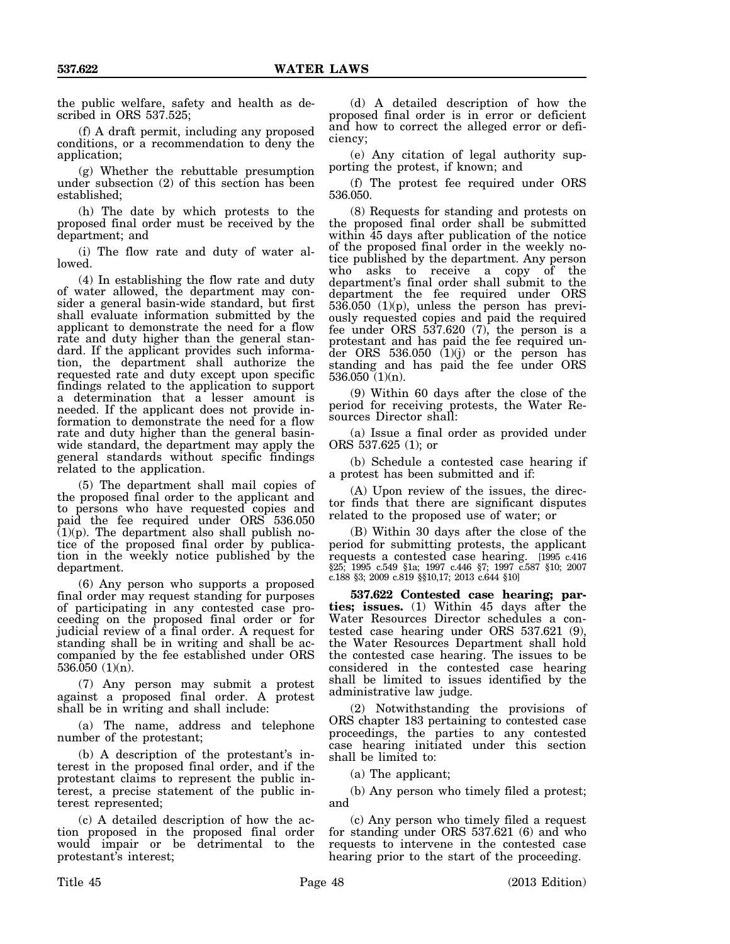the public welfare, safety and health as described in ORS 537.525;

(f) A draft permit, including any proposed conditions, or a recommendation to deny the application;

(g) Whether the rebuttable presumption under subsection (2) of this section has been established;

(h) The date by which protests to the proposed final order must be received by the department; and

(i) The flow rate and duty of water allowed.

(4) In establishing the flow rate and duty of water allowed, the department may consider a general basin-wide standard, but first shall evaluate information submitted by the applicant to demonstrate the need for a flow rate and duty higher than the general standard. If the applicant provides such information, the department shall authorize the requested rate and duty except upon specific findings related to the application to support a determination that a lesser amount is needed. If the applicant does not provide information to demonstrate the need for a flow rate and duty higher than the general basinwide standard, the department may apply the general standards without specific findings related to the application.

(5) The department shall mail copies of the proposed final order to the applicant and to persons who have requested copies and paid the fee required under ORS 536.050  $(1)(p)$ . The department also shall publish notice of the proposed final order by publication in the weekly notice published by the department.

(6) Any person who supports a proposed final order may request standing for purposes of participating in any contested case proceeding on the proposed final order or for judicial review of a final order. A request for standing shall be in writing and shall be accompanied by the fee established under ORS 536.050 (1)(n).

(7) Any person may submit a protest against a proposed final order. A protest shall be in writing and shall include:

(a) The name, address and telephone number of the protestant;

(b) A description of the protestant's interest in the proposed final order, and if the protestant claims to represent the public interest, a precise statement of the public interest represented;

(c) A detailed description of how the action proposed in the proposed final order would impair or be detrimental to the protestant's interest;

(d) A detailed description of how the proposed final order is in error or deficient and how to correct the alleged error or deficiency;

(e) Any citation of legal authority supporting the protest, if known; and

(f) The protest fee required under ORS 536.050.

(8) Requests for standing and protests on the proposed final order shall be submitted within 45 days after publication of the notice of the proposed final order in the weekly notice published by the department. Any person who asks to receive a copy of the department's final order shall submit to the department the fee required under ORS  $536.050$  (1)(p), unless the person has previously requested copies and paid the required fee under ORS 537.620 (7), the person is a protestant and has paid the fee required under ORS  $536.050$  (1)(j) or the person has standing and has paid the fee under ORS 536.050 (1)(n).

(9) Within 60 days after the close of the period for receiving protests, the Water Resources Director shall:

(a) Issue a final order as provided under ORS 537.625 (1); or

(b) Schedule a contested case hearing if a protest has been submitted and if:

(A) Upon review of the issues, the director finds that there are significant disputes related to the proposed use of water; or

(B) Within 30 days after the close of the period for submitting protests, the applicant requests a contested case hearing. [1995 c.416 §25; 1995 c.549 §1a; 1997 c.446 §7; 1997 c.587 §10; 2007 c.188 §3; 2009 c.819 §§10,17; 2013 c.644 §10]

**537.622 Contested case hearing; parties; issues.** (1) Within 45 days after the Water Resources Director schedules a contested case hearing under ORS 537.621 (9), the Water Resources Department shall hold the contested case hearing. The issues to be considered in the contested case hearing shall be limited to issues identified by the administrative law judge.

(2) Notwithstanding the provisions of ORS chapter 183 pertaining to contested case proceedings, the parties to any contested case hearing initiated under this section shall be limited to:

(a) The applicant;

(b) Any person who timely filed a protest; and

(c) Any person who timely filed a request for standing under ORS 537.621 (6) and who requests to intervene in the contested case hearing prior to the start of the proceeding.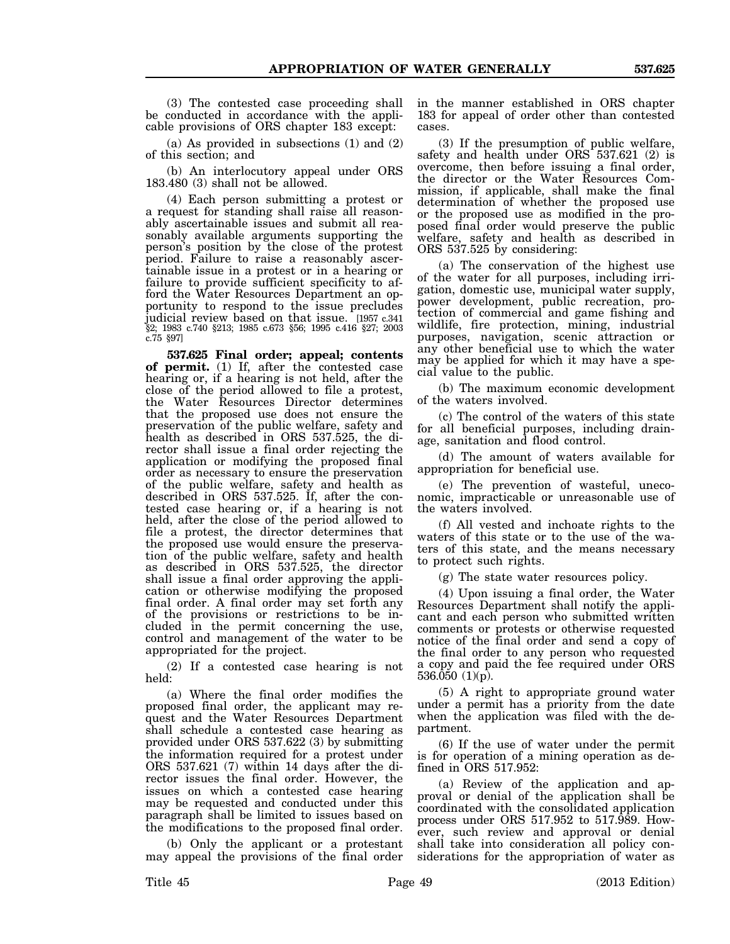(3) The contested case proceeding shall be conducted in accordance with the applicable provisions of ORS chapter 183 except:

(a) As provided in subsections (1) and (2) of this section; and

(b) An interlocutory appeal under ORS 183.480 (3) shall not be allowed.

(4) Each person submitting a protest or a request for standing shall raise all reasonably ascertainable issues and submit all reasonably available arguments supporting the person's position by the close of the protest period. Failure to raise a reasonably ascertainable issue in a protest or in a hearing or failure to provide sufficient specificity to afford the Water Resources Department an opportunity to respond to the issue precludes judicial review based on that issue. [1957 c.341] §2; 1983 c.740 §213; 1985 c.673 §56; 1995 c.416 §27; 2003 c.75 §97]

**537.625 Final order; appeal; contents of permit.** (1) If, after the contested case hearing or, if a hearing is not held, after the close of the period allowed to file a protest, the Water Resources Director determines that the proposed use does not ensure the preservation of the public welfare, safety and health as described in ORS 537.525, the director shall issue a final order rejecting the application or modifying the proposed final order as necessary to ensure the preservation of the public welfare, safety and health as described in ORS 537.525. If, after the contested case hearing or, if a hearing is not held, after the close of the period allowed to file a protest, the director determines that the proposed use would ensure the preservation of the public welfare, safety and health as described in ORS 537.525, the director shall issue a final order approving the application or otherwise modifying the proposed final order. A final order may set forth any of the provisions or restrictions to be included in the permit concerning the use, control and management of the water to be appropriated for the project.

(2) If a contested case hearing is not held:

(a) Where the final order modifies the proposed final order, the applicant may request and the Water Resources Department shall schedule a contested case hearing as provided under ORS 537.622 (3) by submitting the information required for a protest under ORS 537.621 (7) within 14 days after the director issues the final order. However, the issues on which a contested case hearing may be requested and conducted under this paragraph shall be limited to issues based on the modifications to the proposed final order.

(b) Only the applicant or a protestant may appeal the provisions of the final order in the manner established in ORS chapter 183 for appeal of order other than contested cases.

(3) If the presumption of public welfare, safety and health under ORS 537.621 (2) is overcome, then before issuing a final order, the director or the Water Resources Commission, if applicable, shall make the final determination of whether the proposed use or the proposed use as modified in the proposed final order would preserve the public welfare, safety and health as described in ORS 537.525 by considering:

(a) The conservation of the highest use of the water for all purposes, including irrigation, domestic use, municipal water supply, power development, public recreation, protection of commercial and game fishing and wildlife, fire protection, mining, industrial purposes, navigation, scenic attraction or any other beneficial use to which the water may be applied for which it may have a special value to the public.

(b) The maximum economic development of the waters involved.

(c) The control of the waters of this state for all beneficial purposes, including drainage, sanitation and flood control.

(d) The amount of waters available for appropriation for beneficial use.

(e) The prevention of wasteful, uneconomic, impracticable or unreasonable use of the waters involved.

(f) All vested and inchoate rights to the waters of this state or to the use of the waters of this state, and the means necessary to protect such rights.

(g) The state water resources policy.

(4) Upon issuing a final order, the Water Resources Department shall notify the applicant and each person who submitted written comments or protests or otherwise requested notice of the final order and send a copy of the final order to any person who requested a copy and paid the fee required under ORS 536.050 (1)(p).

(5) A right to appropriate ground water under a permit has a priority from the date when the application was filed with the department.

(6) If the use of water under the permit is for operation of a mining operation as defined in ORS 517.952:

(a) Review of the application and approval or denial of the application shall be coordinated with the consolidated application process under ORS 517.952 to 517.989. However, such review and approval or denial shall take into consideration all policy considerations for the appropriation of water as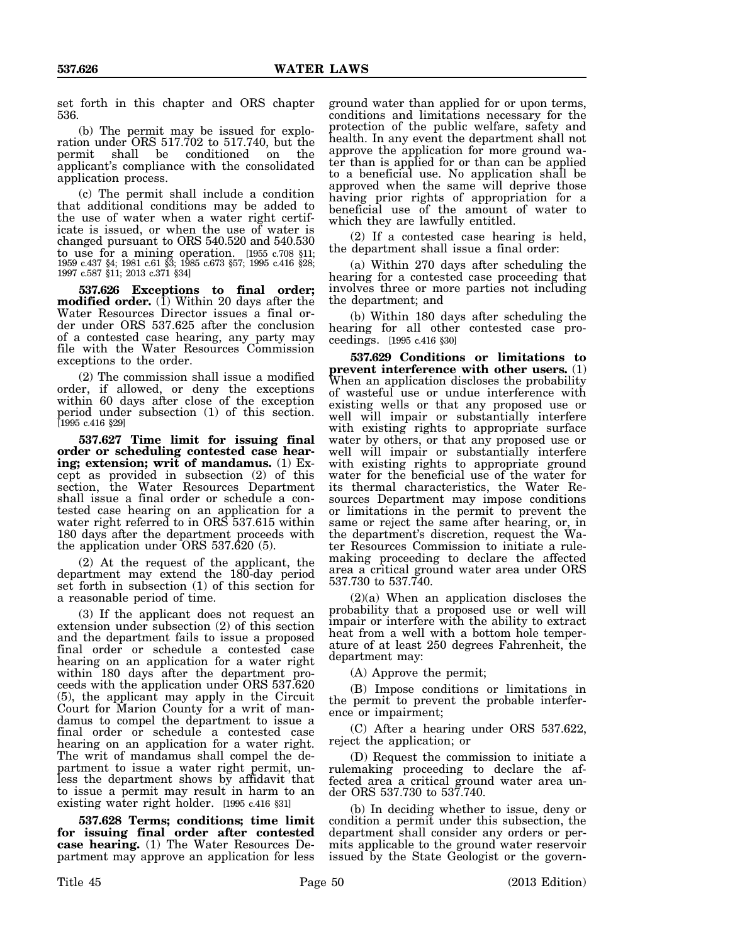set forth in this chapter and ORS chapter 536.

(b) The permit may be issued for exploration under ORS 517.702 to 517.740, but the permit shall be conditioned on the applicant's compliance with the consolidated application process.

(c) The permit shall include a condition that additional conditions may be added to the use of water when a water right certificate is issued, or when the use of water is changed pursuant to ORS 540.520 and 540.530 to use for a mining operation. [1955 c.708 §11; 1959 c.437 §4; 1981 c.61 §3; 1985 c.673 §57; 1995 c.416 §28; 1997 c.587 §11; 2013 c.371 §34]

**537.626 Exceptions to final order; modified order.** (1) Within 20 days after the Water Resources Director issues a final order under ORS 537.625 after the conclusion of a contested case hearing, any party may file with the Water Resources Commission exceptions to the order.

(2) The commission shall issue a modified order, if allowed, or deny the exceptions within 60 days after close of the exception period under subsection (1) of this section. [1995 c.416 §29]

**537.627 Time limit for issuing final order or scheduling contested case hearing; extension; writ of mandamus.** (1) Except as provided in subsection (2) of this section, the Water Resources Department shall issue a final order or schedule a contested case hearing on an application for a water right referred to in ORS 537.615 within 180 days after the department proceeds with the application under ORS 537.620 (5).

(2) At the request of the applicant, the department may extend the 180-day period set forth in subsection (1) of this section for a reasonable period of time.

(3) If the applicant does not request an extension under subsection (2) of this section and the department fails to issue a proposed final order or schedule a contested case hearing on an application for a water right within 180 days after the department proceeds with the application under ORS 537.620 (5), the applicant may apply in the Circuit Court for Marion County for a writ of mandamus to compel the department to issue a final order or schedule a contested case hearing on an application for a water right. The writ of mandamus shall compel the department to issue a water right permit, unless the department shows by affidavit that to issue a permit may result in harm to an existing water right holder. [1995 c.416 §31]

**537.628 Terms; conditions; time limit for issuing final order after contested case hearing.** (1) The Water Resources Department may approve an application for less

ground water than applied for or upon terms, conditions and limitations necessary for the protection of the public welfare, safety and health. In any event the department shall not approve the application for more ground water than is applied for or than can be applied to a beneficial use. No application shall be approved when the same will deprive those having prior rights of appropriation for a beneficial use of the amount of water to which they are lawfully entitled.

(2) If a contested case hearing is held, the department shall issue a final order:

(a) Within 270 days after scheduling the hearing for a contested case proceeding that involves three or more parties not including the department; and

(b) Within 180 days after scheduling the hearing for all other contested case proceedings. [1995 c.416 §30]

**537.629 Conditions or limitations to prevent interference with other users.** (1) When an application discloses the probability of wasteful use or undue interference with existing wells or that any proposed use or well will impair or substantially interfere with existing rights to appropriate surface water by others, or that any proposed use or well will impair or substantially interfere with existing rights to appropriate ground water for the beneficial use of the water for its thermal characteristics, the Water Resources Department may impose conditions or limitations in the permit to prevent the same or reject the same after hearing, or, in the department's discretion, request the Water Resources Commission to initiate a rulemaking proceeding to declare the affected area a critical ground water area under ORS 537.730 to 537.740.

(2)(a) When an application discloses the probability that a proposed use or well will impair or interfere with the ability to extract heat from a well with a bottom hole temperature of at least 250 degrees Fahrenheit, the department may:

(A) Approve the permit;

(B) Impose conditions or limitations in the permit to prevent the probable interference or impairment;

(C) After a hearing under ORS 537.622, reject the application; or

(D) Request the commission to initiate a rulemaking proceeding to declare the affected area a critical ground water area under ORS 537.730 to 537.740.

(b) In deciding whether to issue, deny or condition a permit under this subsection, the department shall consider any orders or permits applicable to the ground water reservoir issued by the State Geologist or the govern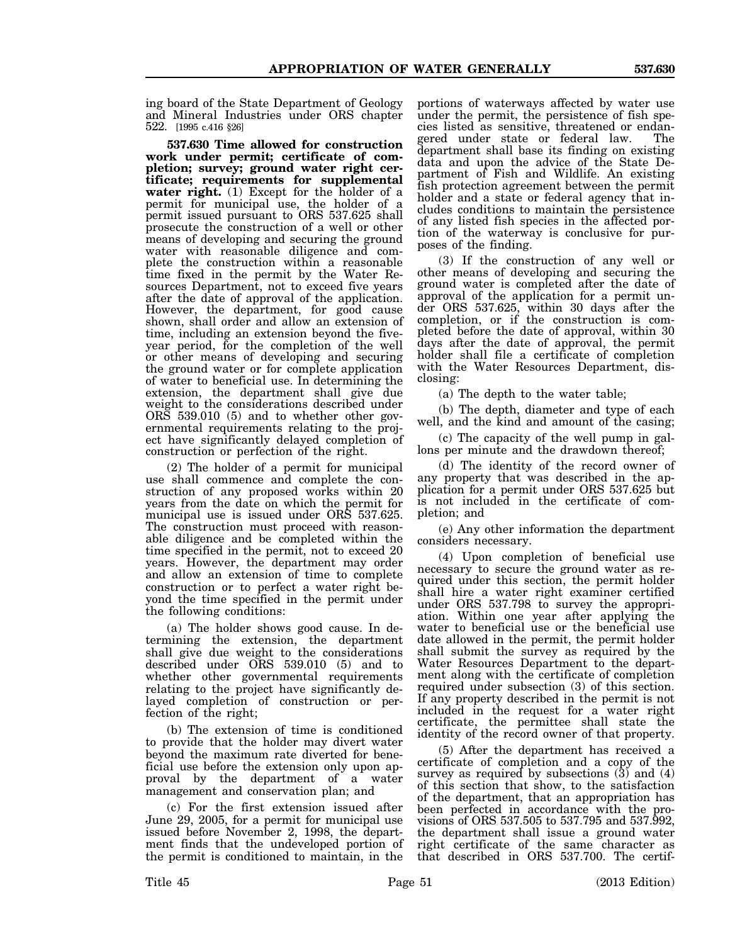ing board of the State Department of Geology and Mineral Industries under ORS chapter 522. [1995 c.416 §26]

**537.630 Time allowed for construction work under permit; certificate of completion; survey; ground water right certificate; requirements for supplemental water right.** (1) Except for the holder of a permit for municipal use, the holder of a permit issued pursuant to ORS 537.625 shall prosecute the construction of a well or other means of developing and securing the ground water with reasonable diligence and complete the construction within a reasonable time fixed in the permit by the Water Resources Department, not to exceed five years after the date of approval of the application. However, the department, for good cause shown, shall order and allow an extension of time, including an extension beyond the fiveyear period, for the completion of the well or other means of developing and securing the ground water or for complete application of water to beneficial use. In determining the extension, the department shall give due weight to the considerations described under ORS 539.010 (5) and to whether other governmental requirements relating to the project have significantly delayed completion of construction or perfection of the right.

(2) The holder of a permit for municipal use shall commence and complete the construction of any proposed works within 20 years from the date on which the permit for municipal use is issued under ORS 537.625. The construction must proceed with reasonable diligence and be completed within the time specified in the permit, not to exceed 20 years. However, the department may order and allow an extension of time to complete construction or to perfect a water right beyond the time specified in the permit under the following conditions:

(a) The holder shows good cause. In determining the extension, the department shall give due weight to the considerations described under ORS 539.010 (5) and to whether other governmental requirements relating to the project have significantly delayed completion of construction or perfection of the right;

(b) The extension of time is conditioned to provide that the holder may divert water beyond the maximum rate diverted for beneficial use before the extension only upon approval by the department of a water management and conservation plan; and

(c) For the first extension issued after June 29, 2005, for a permit for municipal use issued before November 2, 1998, the department finds that the undeveloped portion of the permit is conditioned to maintain, in the

portions of waterways affected by water use under the permit, the persistence of fish species listed as sensitive, threatened or endangered under state or federal law. The department shall base its finding on existing data and upon the advice of the State Department of Fish and Wildlife. An existing fish protection agreement between the permit holder and a state or federal agency that includes conditions to maintain the persistence of any listed fish species in the affected portion of the waterway is conclusive for purposes of the finding.

(3) If the construction of any well or other means of developing and securing the ground water is completed after the date of approval of the application for a permit under ORS 537.625, within 30 days after the completion, or if the construction is completed before the date of approval, within 30 days after the date of approval, the permit holder shall file a certificate of completion with the Water Resources Department, disclosing:

(a) The depth to the water table;

(b) The depth, diameter and type of each well, and the kind and amount of the casing;

(c) The capacity of the well pump in gallons per minute and the drawdown thereof;

(d) The identity of the record owner of any property that was described in the application for a permit under ORS 537.625 but is not included in the certificate of completion; and

(e) Any other information the department considers necessary.

(4) Upon completion of beneficial use necessary to secure the ground water as required under this section, the permit holder shall hire a water right examiner certified under ORS 537.798 to survey the appropriation. Within one year after applying the water to beneficial use or the beneficial use date allowed in the permit, the permit holder shall submit the survey as required by the Water Resources Department to the department along with the certificate of completion required under subsection (3) of this section. If any property described in the permit is not included in the request for a water right certificate, the permittee shall state the identity of the record owner of that property.

(5) After the department has received a certificate of completion and a copy of the survey as required by subsections  $(\bar{3})$  and  $(4)$ of this section that show, to the satisfaction of the department, that an appropriation has been perfected in accordance with the provisions of ORS 537.505 to 537.795 and 537.992, the department shall issue a ground water right certificate of the same character as that described in ORS 537.700. The certif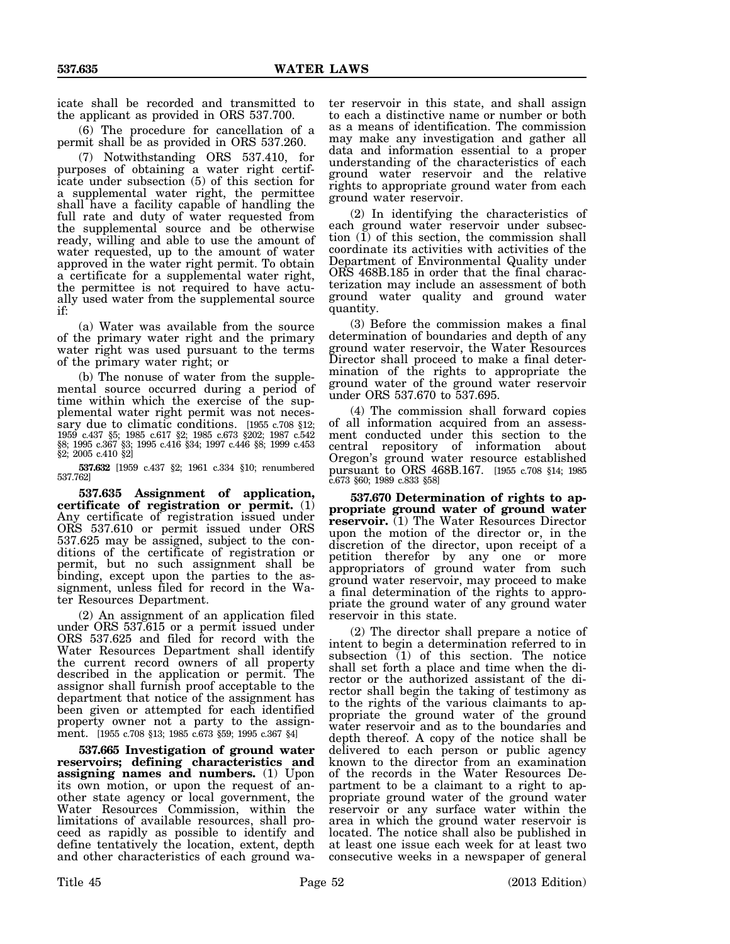icate shall be recorded and transmitted to the applicant as provided in ORS 537.700.

(6) The procedure for cancellation of a permit shall be as provided in ORS 537.260.

(7) Notwithstanding ORS 537.410, for purposes of obtaining a water right certificate under subsection (5) of this section for a supplemental water right, the permittee shall have a facility capable of handling the full rate and duty of water requested from the supplemental source and be otherwise ready, willing and able to use the amount of water requested, up to the amount of water approved in the water right permit. To obtain a certificate for a supplemental water right, the permittee is not required to have actually used water from the supplemental source if:

(a) Water was available from the source of the primary water right and the primary water right was used pursuant to the terms of the primary water right; or

(b) The nonuse of water from the supplemental source occurred during a period of time within which the exercise of the supplemental water right permit was not necessary due to climatic conditions. [1955 c.708 §12; 1959 c.437 §5; 1985 c.617 §2; 1985 c.673 §202; 1987 c.542 §8; 1995 c.367 §3; 1995 c.416 §34; 1997 c.446 §8; 1999 c.453 §2; 2005 c.410 §2]

**537.632** [1959 c.437 §2; 1961 c.334 §10; renumbered 537.762]

**537.635 Assignment of application, certificate of registration or permit.** (1) Any certificate of registration issued under ORS 537.610 or permit issued under ORS 537.625 may be assigned, subject to the conditions of the certificate of registration or permit, but no such assignment shall be binding, except upon the parties to the assignment, unless filed for record in the Water Resources Department.

(2) An assignment of an application filed under ORS 537.615 or a permit issued under ORS 537.625 and filed for record with the Water Resources Department shall identify the current record owners of all property described in the application or permit. The assignor shall furnish proof acceptable to the department that notice of the assignment has been given or attempted for each identified property owner not a party to the assignment. [1955 c.708 §13; 1985 c.673 §59; 1995 c.367 §4]

**537.665 Investigation of ground water reservoirs; defining characteristics and assigning names and numbers.** (1) Upon its own motion, or upon the request of another state agency or local government, the Water Resources Commission, within the limitations of available resources, shall proceed as rapidly as possible to identify and define tentatively the location, extent, depth and other characteristics of each ground wa-

ter reservoir in this state, and shall assign to each a distinctive name or number or both as a means of identification. The commission may make any investigation and gather all data and information essential to a proper understanding of the characteristics of each ground water reservoir and the relative rights to appropriate ground water from each ground water reservoir.

(2) In identifying the characteristics of each ground water reservoir under subsection (1) of this section, the commission shall coordinate its activities with activities of the Department of Environmental Quality under ORS 468B.185 in order that the final characterization may include an assessment of both ground water quality and ground water quantity.

(3) Before the commission makes a final determination of boundaries and depth of any ground water reservoir, the Water Resources Director shall proceed to make a final determination of the rights to appropriate the ground water of the ground water reservoir under ORS 537.670 to 537.695.

(4) The commission shall forward copies of all information acquired from an assessment conducted under this section to the central repository of information about Oregon's ground water resource established pursuant to ORS 468B.167. [1955 c.708 §14; 1985 c.673 §60; 1989 c.833 §58]

**537.670 Determination of rights to appropriate ground water of ground water reservoir.** (1) The Water Resources Director upon the motion of the director or, in the discretion of the director, upon receipt of a petition therefor by any one or more appropriators of ground water from such ground water reservoir, may proceed to make a final determination of the rights to appropriate the ground water of any ground water reservoir in this state.

(2) The director shall prepare a notice of intent to begin a determination referred to in subsection (1) of this section. The notice shall set forth a place and time when the director or the authorized assistant of the director shall begin the taking of testimony as to the rights of the various claimants to appropriate the ground water of the ground water reservoir and as to the boundaries and depth thereof. A copy of the notice shall be delivered to each person or public agency known to the director from an examination of the records in the Water Resources Department to be a claimant to a right to appropriate ground water of the ground water reservoir or any surface water within the area in which the ground water reservoir is located. The notice shall also be published in at least one issue each week for at least two consecutive weeks in a newspaper of general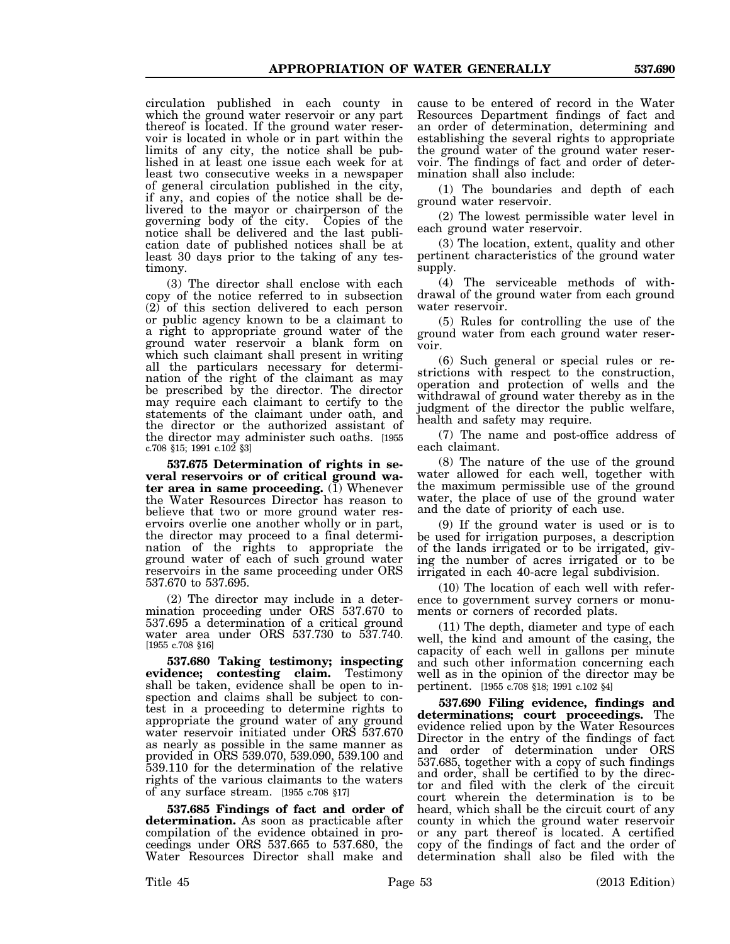circulation published in each county in which the ground water reservoir or any part thereof is located. If the ground water reservoir is located in whole or in part within the limits of any city, the notice shall be published in at least one issue each week for at least two consecutive weeks in a newspaper of general circulation published in the city, if any, and copies of the notice shall be delivered to the mayor or chairperson of the governing body of the city. Copies of the notice shall be delivered and the last publication date of published notices shall be at least 30 days prior to the taking of any testimony.

(3) The director shall enclose with each copy of the notice referred to in subsection (2) of this section delivered to each person or public agency known to be a claimant to a right to appropriate ground water of the ground water reservoir a blank form on which such claimant shall present in writing all the particulars necessary for determination of the right of the claimant as may be prescribed by the director. The director may require each claimant to certify to the statements of the claimant under oath, and the director or the authorized assistant of the director may administer such oaths. [1955 c.708 §15; 1991 c.102 §3]

**537.675 Determination of rights in several reservoirs or of critical ground wa** $ter$  area in same proceeding.  $(\overline{1})$  Whenever the Water Resources Director has reason to believe that two or more ground water reservoirs overlie one another wholly or in part, the director may proceed to a final determination of the rights to appropriate the ground water of each of such ground water reservoirs in the same proceeding under ORS 537.670 to 537.695.

(2) The director may include in a determination proceeding under ORS 537.670 to 537.695 a determination of a critical ground water area under ORS 537.730 to 537.740. [1955 c.708 §16]

**537.680 Taking testimony; inspecting evidence; contesting claim.** Testimony shall be taken, evidence shall be open to inspection and claims shall be subject to contest in a proceeding to determine rights to appropriate the ground water of any ground water reservoir initiated under ORS 537.670 as nearly as possible in the same manner as provided in ORS 539.070, 539.090, 539.100 and 539.110 for the determination of the relative rights of the various claimants to the waters of any surface stream. [1955 c.708 §17]

**537.685 Findings of fact and order of determination.** As soon as practicable after compilation of the evidence obtained in proceedings under ORS 537.665 to 537.680, the Water Resources Director shall make and

cause to be entered of record in the Water Resources Department findings of fact and an order of determination, determining and establishing the several rights to appropriate the ground water of the ground water reservoir. The findings of fact and order of determination shall also include:

(1) The boundaries and depth of each ground water reservoir.

(2) The lowest permissible water level in each ground water reservoir.

(3) The location, extent, quality and other pertinent characteristics of the ground water supply.

(4) The serviceable methods of withdrawal of the ground water from each ground water reservoir.

(5) Rules for controlling the use of the ground water from each ground water reservoir.

(6) Such general or special rules or restrictions with respect to the construction, operation and protection of wells and the withdrawal of ground water thereby as in the judgment of the director the public welfare, health and safety may require.

(7) The name and post-office address of each claimant.

(8) The nature of the use of the ground water allowed for each well, together with the maximum permissible use of the ground water, the place of use of the ground water and the date of priority of each use.

(9) If the ground water is used or is to be used for irrigation purposes, a description of the lands irrigated or to be irrigated, giving the number of acres irrigated or to be irrigated in each 40-acre legal subdivision.

(10) The location of each well with reference to government survey corners or monuments or corners of recorded plats.

(11) The depth, diameter and type of each well, the kind and amount of the casing, the capacity of each well in gallons per minute and such other information concerning each well as in the opinion of the director may be pertinent. [1955 c.708 §18; 1991 c.102 §4]

**537.690 Filing evidence, findings and determinations; court proceedings.** The evidence relied upon by the Water Resources Director in the entry of the findings of fact and order of determination under ORS 537.685, together with a copy of such findings and order, shall be certified to by the director and filed with the clerk of the circuit court wherein the determination is to be heard, which shall be the circuit court of any county in which the ground water reservoir or any part thereof is located. A certified copy of the findings of fact and the order of determination shall also be filed with the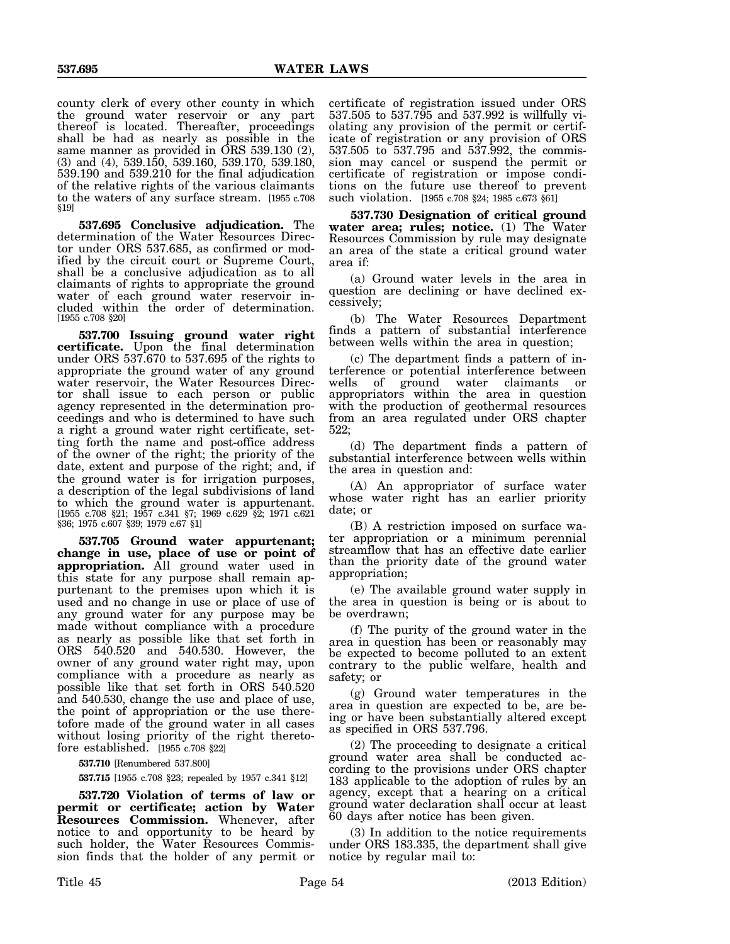county clerk of every other county in which the ground water reservoir or any part thereof is located. Thereafter, proceedings shall be had as nearly as possible in the same manner as provided in ORS 539.130 (2), (3) and (4), 539.150, 539.160, 539.170, 539.180, 539.190 and 539.210 for the final adjudication of the relative rights of the various claimants to the waters of any surface stream. [1955 c.708 §19]

**537.695 Conclusive adjudication.** The determination of the Water Resources Director under ORS 537.685, as confirmed or modified by the circuit court or Supreme Court, shall be a conclusive adjudication as to all claimants of rights to appropriate the ground water of each ground water reservoir included within the order of determination. [1955 c.708 §20]

**537.700 Issuing ground water right** certificate. Upon the final determination under ORS 537.670 to 537.695 of the rights to appropriate the ground water of any ground water reservoir, the Water Resources Director shall issue to each person or public agency represented in the determination proceedings and who is determined to have such a right a ground water right certificate, setting forth the name and post-office address of the owner of the right; the priority of the date, extent and purpose of the right; and, if the ground water is for irrigation purposes, a description of the legal subdivisions of land to which the ground water is appurtenant. [1955 c.708 §21; 1957 c.341 §7; 1969 c.629 §2; 1971 c.621 §36; 1975 c.607 §39; 1979 c.67 §1]

**537.705 Ground water appurtenant; change in use, place of use or point of appropriation.** All ground water used in this state for any purpose shall remain appurtenant to the premises upon which it is used and no change in use or place of use of any ground water for any purpose may be made without compliance with a procedure as nearly as possible like that set forth in ORS 540.520 and 540.530. However, the owner of any ground water right may, upon compliance with a procedure as nearly as possible like that set forth in ORS 540.520 and 540.530, change the use and place of use, the point of appropriation or the use theretofore made of the ground water in all cases without losing priority of the right theretofore established. [1955 c.708 §22]

**537.710** [Renumbered 537.800]

**537.715** [1955 c.708 §23; repealed by 1957 c.341 §12]

**537.720 Violation of terms of law or permit or certificate; action by Water Resources Commission.** Whenever, after notice to and opportunity to be heard by such holder, the Water Resources Commission finds that the holder of any permit or

certificate of registration issued under ORS 537.505 to 537.795 and 537.992 is willfully violating any provision of the permit or certificate of registration or any provision of ORS 537.505 to 537.795 and 537.992, the commission may cancel or suspend the permit or certificate of registration or impose conditions on the future use thereof to prevent such violation. [1955 c.708 §24; 1985 c.673 §61]

**537.730 Designation of critical ground water area; rules; notice.** (1) The Water Resources Commission by rule may designate an area of the state a critical ground water area if:

(a) Ground water levels in the area in question are declining or have declined excessively;

(b) The Water Resources Department finds a pattern of substantial interference between wells within the area in question;

(c) The department finds a pattern of interference or potential interference between wells of ground water claimants or appropriators within the area in question with the production of geothermal resources from an area regulated under ORS chapter 522;

(d) The department finds a pattern of substantial interference between wells within the area in question and:

(A) An appropriator of surface water whose water right has an earlier priority date; or

(B) A restriction imposed on surface water appropriation or a minimum perennial streamflow that has an effective date earlier than the priority date of the ground water appropriation;

(e) The available ground water supply in the area in question is being or is about to be overdrawn;

(f) The purity of the ground water in the area in question has been or reasonably may be expected to become polluted to an extent contrary to the public welfare, health and safety; or

(g) Ground water temperatures in the area in question are expected to be, are being or have been substantially altered except as specified in ORS 537.796.

(2) The proceeding to designate a critical ground water area shall be conducted according to the provisions under ORS chapter 183 applicable to the adoption of rules by an agency, except that a hearing on a critical ground water declaration shall occur at least 60 days after notice has been given.

(3) In addition to the notice requirements under ORS 183.335, the department shall give notice by regular mail to: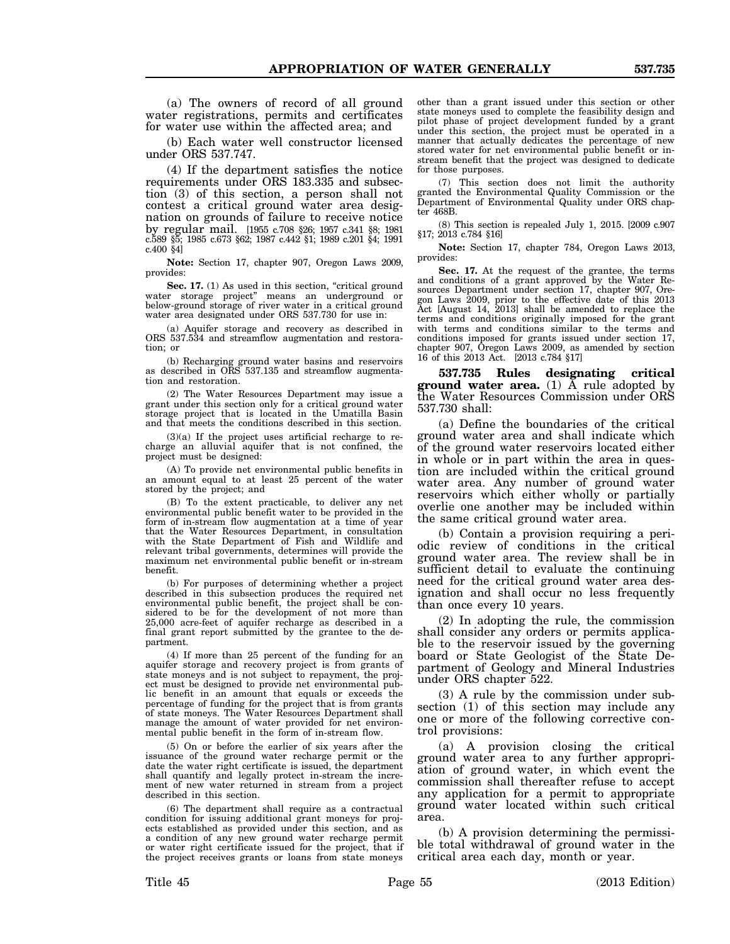(a) The owners of record of all ground water registrations, permits and certificates for water use within the affected area; and

(b) Each water well constructor licensed under ORS 537.747.

(4) If the department satisfies the notice requirements under ORS 183.335 and subsection (3) of this section, a person shall not contest a critical ground water area designation on grounds of failure to receive notice by regular mail. [1955 c.708 §26; 1957 c.341 §8; 1981 c.589 §5; 1985 c.673 §62; 1987 c.442 §1; 1989 c.201 §4; 1991 c.400 §4]

**Note:** Section 17, chapter 907, Oregon Laws 2009, provides:

**Sec. 17.** (1) As used in this section, "critical ground water storage project" means an underground or below-ground storage of river water in a critical ground water area designated under ORS 537.730 for use in:

(a) Aquifer storage and recovery as described in ORS 537.534 and streamflow augmentation and restoration; or

(b) Recharging ground water basins and reservoirs as described in ORS 537.135 and streamflow augmentation and restoration.

(2) The Water Resources Department may issue a grant under this section only for a critical ground water storage project that is located in the Umatilla Basin and that meets the conditions described in this section.

(3)(a) If the project uses artificial recharge to recharge an alluvial aquifer that is not confined, the project must be designed:

(A) To provide net environmental public benefits in an amount equal to at least 25 percent of the water stored by the project; and

(B) To the extent practicable, to deliver any net environmental public benefit water to be provided in the form of in-stream flow augmentation at a time of year that the Water Resources Department, in consultation with the State Department of Fish and Wildlife and relevant tribal governments, determines will provide the maximum net environmental public benefit or in-stream benefit.

(b) For purposes of determining whether a project described in this subsection produces the required net environmental public benefit, the project shall be considered to be for the development of not more than 25,000 acre-feet of aquifer recharge as described in a final grant report submitted by the grantee to the department.

(4) If more than 25 percent of the funding for an aquifer storage and recovery project is from grants of state moneys and is not subject to repayment, the project must be designed to provide net environmental public benefit in an amount that equals or exceeds the percentage of funding for the project that is from grants of state moneys. The Water Resources Department shall manage the amount of water provided for net environmental public benefit in the form of in-stream flow.

(5) On or before the earlier of six years after the issuance of the ground water recharge permit or the date the water right certificate is issued, the department shall quantify and legally protect in-stream the increment of new water returned in stream from a project described in this section.

(6) The department shall require as a contractual condition for issuing additional grant moneys for projects established as provided under this section, and as a condition of any new ground water recharge permit or water right certificate issued for the project, that if the project receives grants or loans from state moneys other than a grant issued under this section or other state moneys used to complete the feasibility design and pilot phase of project development funded by a grant under this section, the project must be operated in a manner that actually dedicates the percentage of new stored water for net environmental public benefit or instream benefit that the project was designed to dedicate for those purposes.

(7) This section does not limit the authority granted the Environmental Quality Commission or the Department of Environmental Quality under ORS chapter 468B.

(8) This section is repealed July 1, 2015. [2009 c.907 §17; 2013 c.784 §16]

**Note:** Section 17, chapter 784, Oregon Laws 2013, provides:

Sec. 17. At the request of the grantee, the terms and conditions of a grant approved by the Water Resources Department under section 17, chapter 907, Oregon Laws 2009, prior to the effective date of this 2013 Act [August 14, 2013] shall be amended to replace the terms and conditions originally imposed for the grant with terms and conditions similar to the terms and conditions imposed for grants issued under section 17, chapter 907, Oregon Laws 2009, as amended by section 16 of this 2013 Act. [2013 c.784 §17]

**537.735 Rules designating critical ground water area.** (1) A rule adopted by the Water Resources Commission under ORS 537.730 shall:

(a) Define the boundaries of the critical ground water area and shall indicate which of the ground water reservoirs located either in whole or in part within the area in question are included within the critical ground water area. Any number of ground water reservoirs which either wholly or partially overlie one another may be included within the same critical ground water area.

(b) Contain a provision requiring a periodic review of conditions in the critical ground water area. The review shall be in sufficient detail to evaluate the continuing need for the critical ground water area designation and shall occur no less frequently than once every 10 years.

(2) In adopting the rule, the commission shall consider any orders or permits applicable to the reservoir issued by the governing board or State Geologist of the State Department of Geology and Mineral Industries under ORS chapter 522.

(3) A rule by the commission under subsection (1) of this section may include any one or more of the following corrective control provisions:

(a) A provision closing the critical ground water area to any further appropriation of ground water, in which event the commission shall thereafter refuse to accept any application for a permit to appropriate ground water located within such critical area.

(b) A provision determining the permissible total withdrawal of ground water in the critical area each day, month or year.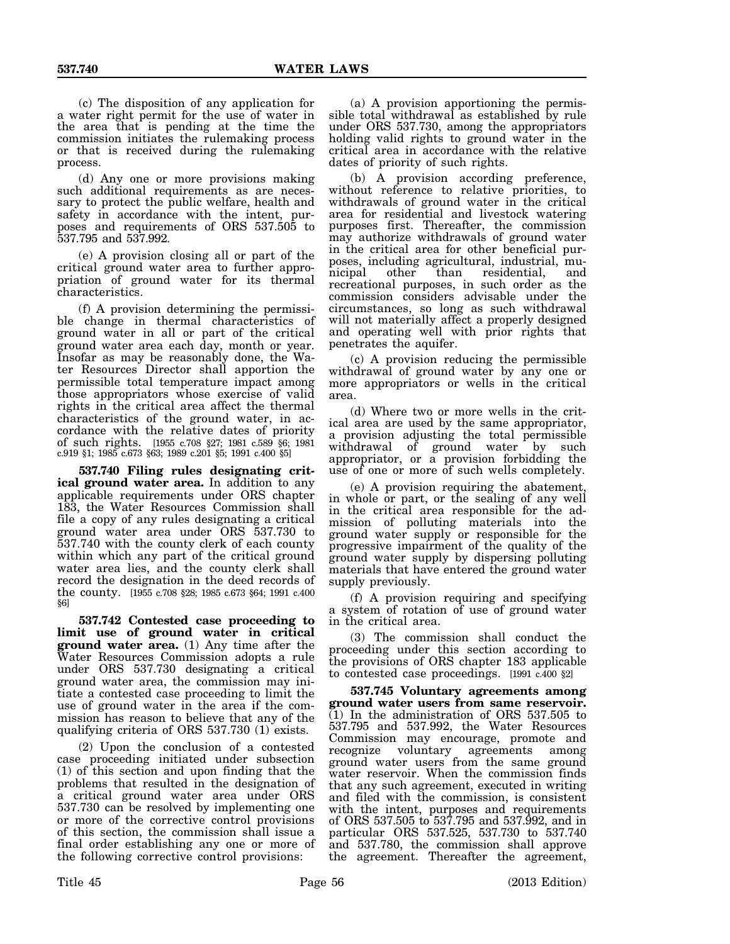(c) The disposition of any application for a water right permit for the use of water in the area that is pending at the time the commission initiates the rulemaking process or that is received during the rulemaking process.

(d) Any one or more provisions making such additional requirements as are necessary to protect the public welfare, health and safety in accordance with the intent, purposes and requirements of ORS 537.505 to 537.795 and 537.992.

(e) A provision closing all or part of the critical ground water area to further appropriation of ground water for its thermal characteristics.

(f) A provision determining the permissible change in thermal characteristics of ground water in all or part of the critical ground water area each day, month or year. Insofar as may be reasonably done, the Water Resources Director shall apportion the permissible total temperature impact among those appropriators whose exercise of valid rights in the critical area affect the thermal characteristics of the ground water, in accordance with the relative dates of priority of such rights. [1955 c.708 §27; 1981 c.589 §6; 1981 c.919 §1; 1985 c.673 §63; 1989 c.201 §5; 1991 c.400 §5]

**537.740 Filing rules designating critical ground water area.** In addition to any applicable requirements under ORS chapter 183, the Water Resources Commission shall file a copy of any rules designating a critical ground water area under ORS 537.730 to 537.740 with the county clerk of each county within which any part of the critical ground water area lies, and the county clerk shall record the designation in the deed records of the county. [1955 c.708 §28; 1985 c.673 §64; 1991 c.400 §6]

**537.742 Contested case proceeding to limit use of ground water in critical ground water area.** (1) Any time after the Water Resources Commission adopts a rule under ORS 537.730 designating a critical ground water area, the commission may initiate a contested case proceeding to limit the use of ground water in the area if the commission has reason to believe that any of the qualifying criteria of ORS 537.730 (1) exists.

(2) Upon the conclusion of a contested case proceeding initiated under subsection (1) of this section and upon finding that the problems that resulted in the designation of a critical ground water area under ORS 537.730 can be resolved by implementing one or more of the corrective control provisions of this section, the commission shall issue a final order establishing any one or more of the following corrective control provisions:

(a) A provision apportioning the permissible total withdrawal as established by rule under ORS 537.730, among the appropriators holding valid rights to ground water in the critical area in accordance with the relative dates of priority of such rights.

(b) A provision according preference, without reference to relative priorities, to withdrawals of ground water in the critical area for residential and livestock watering purposes first. Thereafter, the commission may authorize withdrawals of ground water in the critical area for other beneficial purposes, including agricultural, industrial, muresidential, and recreational purposes, in such order as the commission considers advisable under the circumstances, so long as such withdrawal will not materially affect a properly designed and operating well with prior rights that penetrates the aquifer.

(c) A provision reducing the permissible withdrawal of ground water by any one or more appropriators or wells in the critical area.

(d) Where two or more wells in the critical area are used by the same appropriator, a provision adjusting the total permissible withdrawal of ground water by such appropriator, or a provision forbidding the use of one or more of such wells completely.

(e) A provision requiring the abatement, in whole or part, or the sealing of any well in the critical area responsible for the admission of polluting materials into the ground water supply or responsible for the progressive impairment of the quality of the ground water supply by dispersing polluting materials that have entered the ground water supply previously.

(f) A provision requiring and specifying a system of rotation of use of ground water in the critical area.

(3) The commission shall conduct the proceeding under this section according to the provisions of ORS chapter 183 applicable to contested case proceedings. [1991 c.400 §2]

**537.745 Voluntary agreements among ground water users from same reservoir.** (1) In the administration of ORS 537.505 to 537.795 and 537.992, the Water Resources Commission may encourage, promote and recognize voluntary agreements among ground water users from the same ground water reservoir. When the commission finds that any such agreement, executed in writing and filed with the commission, is consistent with the intent, purposes and requirements of ORS 537.505 to 537.795 and 537.992, and in particular ORS 537.525, 537.730 to 537.740 and 537.780, the commission shall approve the agreement. Thereafter the agreement,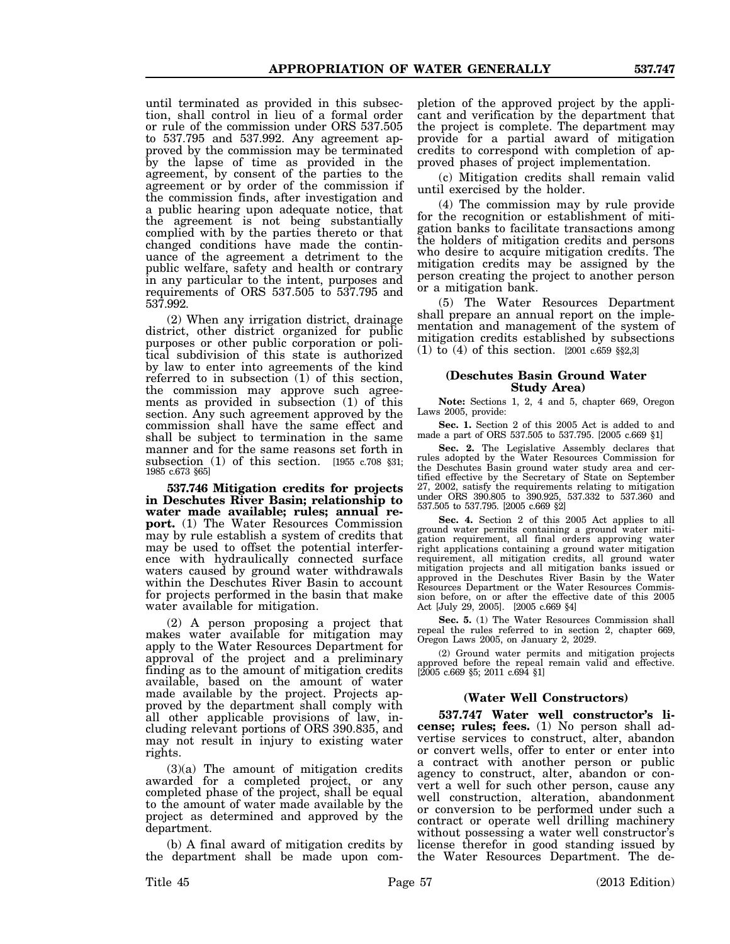until terminated as provided in this subsection, shall control in lieu of a formal order or rule of the commission under ORS 537.505 to 537.795 and 537.992. Any agreement approved by the commission may be terminated by the lapse of time as provided in the agreement, by consent of the parties to the agreement or by order of the commission if the commission finds, after investigation and a public hearing upon adequate notice, that the agreement is not being substantially complied with by the parties thereto or that changed conditions have made the continuance of the agreement a detriment to the public welfare, safety and health or contrary in any particular to the intent, purposes and requirements of ORS 537.505 to 537.795 and 537.992.

(2) When any irrigation district, drainage district, other district organized for public purposes or other public corporation or political subdivision of this state is authorized by law to enter into agreements of the kind referred to in subsection (1) of this section, the commission may approve such agreements as provided in subsection (1) of this section. Any such agreement approved by the commission shall have the same effect and shall be subject to termination in the same manner and for the same reasons set forth in subsection  $(1)$  of this section. [1955 c.708 §31; 1985 c.673 §65]

**537.746 Mitigation credits for projects in Deschutes River Basin; relationship to water made available; rules; annual report.** (1) The Water Resources Commission may by rule establish a system of credits that may be used to offset the potential interference with hydraulically connected surface waters caused by ground water withdrawals within the Deschutes River Basin to account for projects performed in the basin that make water available for mitigation.

(2) A person proposing a project that makes water available for mitigation may apply to the Water Resources Department for approval of the project and a preliminary finding as to the amount of mitigation credits available, based on the amount of water made available by the project. Projects approved by the department shall comply with all other applicable provisions of law, including relevant portions of ORS 390.835, and may not result in injury to existing water rights.

(3)(a) The amount of mitigation credits awarded for a completed project, or any completed phase of the project, shall be equal to the amount of water made available by the project as determined and approved by the department.

(b) A final award of mitigation credits by the department shall be made upon completion of the approved project by the applicant and verification by the department that the project is complete. The department may provide for a partial award of mitigation credits to correspond with completion of approved phases of project implementation.

(c) Mitigation credits shall remain valid until exercised by the holder.

(4) The commission may by rule provide for the recognition or establishment of mitigation banks to facilitate transactions among the holders of mitigation credits and persons who desire to acquire mitigation credits. The mitigation credits may be assigned by the person creating the project to another person or a mitigation bank.

(5) The Water Resources Department shall prepare an annual report on the implementation and management of the system of mitigation credits established by subsections (1) to (4) of this section. [2001 c.659 §§2,3]

## **(Deschutes Basin Ground Water Study Area)**

**Note:** Sections 1, 2, 4 and 5, chapter 669, Oregon Laws 2005, provide:

**Sec. 1.** Section 2 of this 2005 Act is added to and made a part of ORS 537.505 to 537.795. [2005 c.669 §1]

**Sec. 2.** The Legislative Assembly declares that rules adopted by the Water Resources Commission for the Deschutes Basin ground water study area and certified effective by the Secretary of State on September 27, 2002, satisfy the requirements relating to mitigation under ORS 390.805 to 390.925, 537.332 to 537.360 and 537.505 to 537.795. [2005 c.669 §2]

**Sec. 4.** Section 2 of this 2005 Act applies to all ground water permits containing a ground water mitigation requirement, all final orders approving water right applications containing a ground water mitigation requirement, all mitigation credits, all ground water mitigation projects and all mitigation banks issued or approved in the Deschutes River Basin by the Water Resources Department or the Water Resources Commission before, on or after the effective date of this 2005 Act [July 29, 2005]. [2005 c.669 §4]

Sec. 5. (1) The Water Resources Commission shall repeal the rules referred to in section 2, chapter 669, Oregon Laws 2005, on January 2, 2029.

(2) Ground water permits and mitigation projects approved before the repeal remain valid and effective. [2005 c.669 §5; 2011 c.694 §1]

# **(Water Well Constructors)**

**537.747 Water well constructor's license; rules; fees.** (1) No person shall advertise services to construct, alter, abandon or convert wells, offer to enter or enter into a contract with another person or public agency to construct, alter, abandon or convert a well for such other person, cause any well construction, alteration, abandonment or conversion to be performed under such a contract or operate well drilling machinery without possessing a water well constructor's license therefor in good standing issued by the Water Resources Department. The de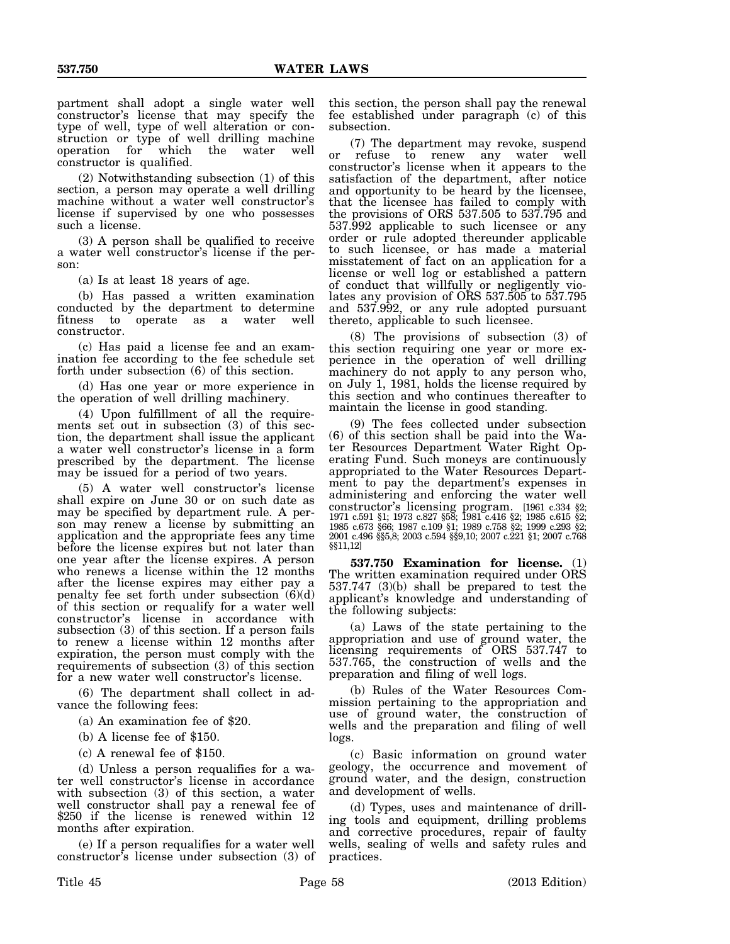partment shall adopt a single water well constructor's license that may specify the type of well, type of well alteration or construction or type of well drilling machine for which the water well constructor is qualified.

(2) Notwithstanding subsection (1) of this section, a person may operate a well drilling machine without a water well constructor's license if supervised by one who possesses such a license.

(3) A person shall be qualified to receive a water well constructor's license if the person:

(a) Is at least 18 years of age.

(b) Has passed a written examination conducted by the department to determine fitness to operate as a water well constructor.

(c) Has paid a license fee and an examination fee according to the fee schedule set forth under subsection (6) of this section.

(d) Has one year or more experience in the operation of well drilling machinery.

(4) Upon fulfillment of all the requirements set out in subsection (3) of this section, the department shall issue the applicant a water well constructor's license in a form prescribed by the department. The license may be issued for a period of two years.

(5) A water well constructor's license shall expire on June 30 or on such date as may be specified by department rule. A person may renew a license by submitting an application and the appropriate fees any time before the license expires but not later than one year after the license expires. A person who renews a license within the 12 months after the license expires may either pay a penalty fee set forth under subsection  $(6)(d)$ of this section or requalify for a water well constructor's license in accordance with subsection (3) of this section. If a person fails to renew a license within 12 months after expiration, the person must comply with the requirements of subsection (3) of this section for a new water well constructor's license.

(6) The department shall collect in advance the following fees:

- (a) An examination fee of \$20.
- (b) A license fee of \$150.

(c) A renewal fee of \$150.

(d) Unless a person requalifies for a water well constructor's license in accordance with subsection (3) of this section, a water well constructor shall pay a renewal fee of \$250 if the license is renewed within 12 months after expiration.

(e) If a person requalifies for a water well constructor's license under subsection (3) of this section, the person shall pay the renewal fee established under paragraph (c) of this subsection.

(7) The department may revoke, suspend or refuse to renew any water well constructor's license when it appears to the satisfaction of the department, after notice and opportunity to be heard by the licensee, that the licensee has failed to comply with the provisions of ORS 537.505 to 537.795 and 537.992 applicable to such licensee or any order or rule adopted thereunder applicable to such licensee, or has made a material misstatement of fact on an application for a license or well log or established a pattern of conduct that willfully or negligently violates any provision of ORS 537.505 to 537.795 and 537.992, or any rule adopted pursuant thereto, applicable to such licensee.

(8) The provisions of subsection (3) of this section requiring one year or more experience in the operation of well drilling machinery do not apply to any person who, on July 1, 1981, holds the license required by this section and who continues thereafter to maintain the license in good standing.

(9) The fees collected under subsection (6) of this section shall be paid into the Water Resources Department Water Right Operating Fund. Such moneys are continuously appropriated to the Water Resources Department to pay the department's expenses in administering and enforcing the water well constructor's licensing program. [1961 c.334 §2; 1971 c.591 §1; 1973 c.827 §58; 1981 c.416 §2; 1985 c.615 §2; 1985 c.673 §66; 1987 c.109 §1; 1989 c.758 §2; 1999 c.293 §2; 2001 c.496 §§5,8; 2003 c.594 §§9,10; 2007 c.221 §1; 2007 c.768 §§11,12]

**537.750 Examination for license.** (1) The written examination required under ORS 537.747 (3)(b) shall be prepared to test the applicant's knowledge and understanding of the following subjects:

(a) Laws of the state pertaining to the appropriation and use of ground water, the licensing requirements of ORS 537.747 to 537.765, the construction of wells and the preparation and filing of well logs.

(b) Rules of the Water Resources Commission pertaining to the appropriation and use of ground water, the construction of wells and the preparation and filing of well logs.

(c) Basic information on ground water geology, the occurrence and movement of ground water, and the design, construction and development of wells.

(d) Types, uses and maintenance of drilling tools and equipment, drilling problems and corrective procedures, repair of faulty wells, sealing of wells and safety rules and practices.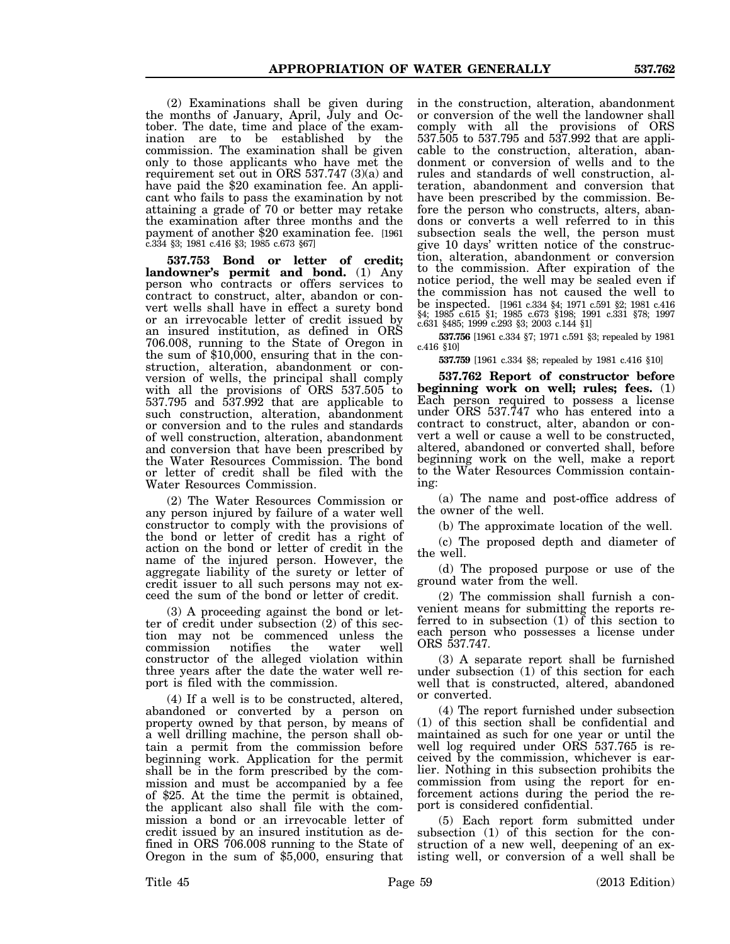(2) Examinations shall be given during the months of January, April, July and October. The date, time and place of the examination are to be established by the commission. The examination shall be given only to those applicants who have met the requirement set out in ORS 537.747 (3)(a) and have paid the \$20 examination fee. An applicant who fails to pass the examination by not attaining a grade of 70 or better may retake the examination after three months and the payment of another \$20 examination fee. [1961 c.334 §3; 1981 c.416 §3; 1985 c.673 §67]

**537.753 Bond or letter of credit; landowner's permit and bond.** (1) Any person who contracts or offers services to contract to construct, alter, abandon or convert wells shall have in effect a surety bond or an irrevocable letter of credit issued by an insured institution, as defined in ORS 706.008, running to the State of Oregon in the sum of \$10,000, ensuring that in the construction, alteration, abandonment or conversion of wells, the principal shall comply with all the provisions of ORS 537.505 to 537.795 and 537.992 that are applicable to such construction, alteration, abandonment or conversion and to the rules and standards of well construction, alteration, abandonment and conversion that have been prescribed by the Water Resources Commission. The bond or letter of credit shall be filed with the Water Resources Commission.

(2) The Water Resources Commission or any person injured by failure of a water well constructor to comply with the provisions of the bond or letter of credit has a right of action on the bond or letter of credit in the name of the injured person. However, the aggregate liability of the surety or letter of credit issuer to all such persons may not exceed the sum of the bond or letter of credit.

(3) A proceeding against the bond or letter of credit under subsection (2) of this section may not be commenced unless the commission notifies the water well constructor of the alleged violation within three years after the date the water well report is filed with the commission.

(4) If a well is to be constructed, altered, abandoned or converted by a person on property owned by that person, by means of a well drilling machine, the person shall obtain a permit from the commission before beginning work. Application for the permit shall be in the form prescribed by the commission and must be accompanied by a fee of \$25. At the time the permit is obtained, the applicant also shall file with the commission a bond or an irrevocable letter of credit issued by an insured institution as defined in ORS 706.008 running to the State of Oregon in the sum of \$5,000, ensuring that

in the construction, alteration, abandonment or conversion of the well the landowner shall comply with all the provisions of ORS 537.505 to 537.795 and 537.992 that are applicable to the construction, alteration, abandonment or conversion of wells and to the rules and standards of well construction, alteration, abandonment and conversion that have been prescribed by the commission. Before the person who constructs, alters, abandons or converts a well referred to in this subsection seals the well, the person must give 10 days' written notice of the construction, alteration, abandonment or conversion to the commission. After expiration of the notice period, the well may be sealed even if the commission has not caused the well to be inspected. [1961 c.334 §4; 1971 c.591 §2; 1981 c.416 §4; 1985 c.615 §1; 1985 c.673 §198; 1991 c.331 §78; 1997 c.631 §485; 1999 c.293 §3; 2003 c.144 §1]

**537.756** [1961 c.334 §7; 1971 c.591 §3; repealed by 1981 c.416 §10]

**537.759** [1961 c.334 §8; repealed by 1981 c.416 §10]

**537.762 Report of constructor before beginning work on well; rules; fees.** (1) Each person required to possess a license under ORS 537.747 who has entered into a contract to construct, alter, abandon or convert a well or cause a well to be constructed, altered, abandoned or converted shall, before beginning work on the well, make a report to the Water Resources Commission containing:

(a) The name and post-office address of the owner of the well.

(b) The approximate location of the well.

(c) The proposed depth and diameter of the well.

(d) The proposed purpose or use of the ground water from the well.

(2) The commission shall furnish a convenient means for submitting the reports referred to in subsection (1) of this section to each person who possesses a license under ORS 537.747.

(3) A separate report shall be furnished under subsection (1) of this section for each well that is constructed, altered, abandoned or converted.

(4) The report furnished under subsection (1) of this section shall be confidential and maintained as such for one year or until the well log required under ORS 537.765 is received by the commission, whichever is earlier. Nothing in this subsection prohibits the commission from using the report for enforcement actions during the period the report is considered confidential.

(5) Each report form submitted under subsection (1) of this section for the construction of a new well, deepening of an existing well, or conversion of a well shall be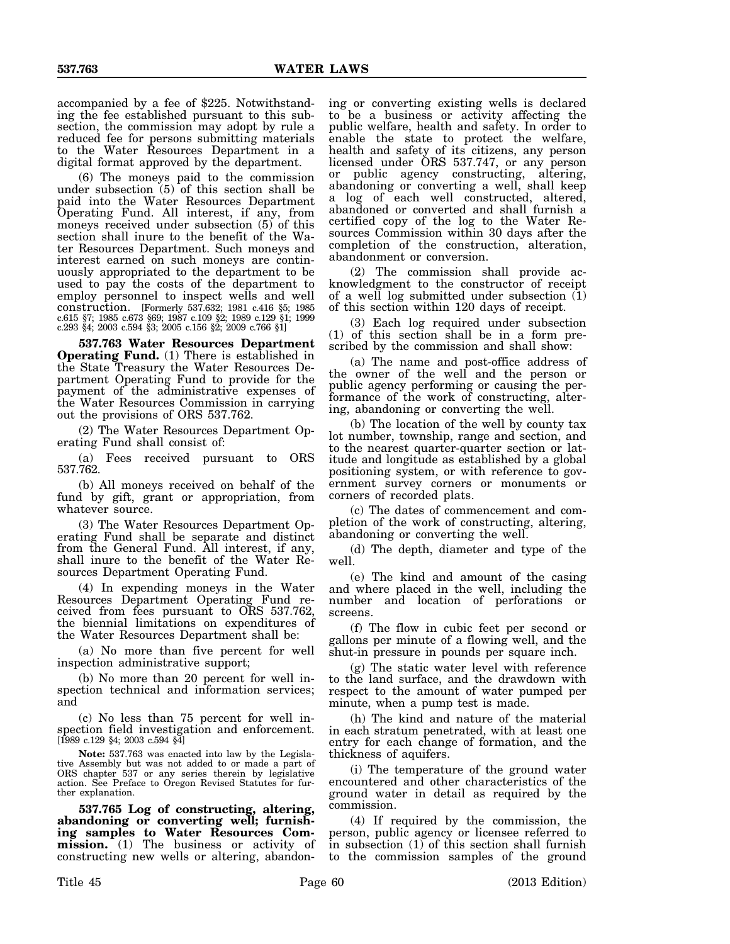accompanied by a fee of \$225. Notwithstanding the fee established pursuant to this subsection, the commission may adopt by rule a reduced fee for persons submitting materials to the Water Resources Department in a digital format approved by the department.

(6) The moneys paid to the commission under subsection  $(5)$  of this section shall be paid into the Water Resources Department Operating Fund. All interest, if any, from moneys received under subsection (5) of this section shall inure to the benefit of the Water Resources Department. Such moneys and interest earned on such moneys are continuously appropriated to the department to be used to pay the costs of the department to employ personnel to inspect wells and well construction. [Formerly 537.632; 1981 c.416 §5; 1985 c.615 §7; 1985 c.673 §69; 1987 c.109 §2; 1989 c.129 §1; 1999 c.293 §4; 2003 c.594 §3; 2005 c.156 §2; 2009 c.766 §1]

**537.763 Water Resources Department Operating Fund.** (1) There is established in the State Treasury the Water Resources Department Operating Fund to provide for the payment of the administrative expenses of the Water Resources Commission in carrying out the provisions of ORS 537.762.

(2) The Water Resources Department Operating Fund shall consist of:

(a) Fees received pursuant to ORS 537.762.

(b) All moneys received on behalf of the fund by gift, grant or appropriation, from whatever source.

(3) The Water Resources Department Operating Fund shall be separate and distinct from the General Fund. All interest, if any, shall inure to the benefit of the Water Resources Department Operating Fund.

(4) In expending moneys in the Water Resources Department Operating Fund received from fees pursuant to ORS 537.762, the biennial limitations on expenditures of the Water Resources Department shall be:

(a) No more than five percent for well inspection administrative support;

(b) No more than 20 percent for well inspection technical and information services; and

(c) No less than 75 percent for well inspection field investigation and enforcement. [1989 c.129 §4; 2003 c.594 §4]

**Note:** 537.763 was enacted into law by the Legislative Assembly but was not added to or made a part of ORS chapter 537 or any series therein by legislative action. See Preface to Oregon Revised Statutes for further explanation.

**537.765 Log of constructing, altering, abandoning or converting well; furnishing samples to Water Resources Commission.** (1) The business or activity of constructing new wells or altering, abandoning or converting existing wells is declared to be a business or activity affecting the public welfare, health and safety. In order to enable the state to protect the welfare, health and safety of its citizens, any person licensed under ORS 537.747, or any person or public agency constructing, altering, abandoning or converting a well, shall keep a log of each well constructed, altered, abandoned or converted and shall furnish a certified copy of the log to the Water Resources Commission within 30 days after the completion of the construction, alteration, abandonment or conversion.

(2) The commission shall provide acknowledgment to the constructor of receipt of a well log submitted under subsection (1) of this section within 120 days of receipt.

(3) Each log required under subsection (1) of this section shall be in a form prescribed by the commission and shall show:

(a) The name and post-office address of the owner of the well and the person or public agency performing or causing the performance of the work of constructing, altering, abandoning or converting the well.

(b) The location of the well by county tax lot number, township, range and section, and to the nearest quarter-quarter section or latitude and longitude as established by a global positioning system, or with reference to government survey corners or monuments or corners of recorded plats.

(c) The dates of commencement and completion of the work of constructing, altering, abandoning or converting the well.

(d) The depth, diameter and type of the well.

(e) The kind and amount of the casing and where placed in the well, including the number and location of perforations or screens.

(f) The flow in cubic feet per second or gallons per minute of a flowing well, and the shut-in pressure in pounds per square inch.

(g) The static water level with reference to the land surface, and the drawdown with respect to the amount of water pumped per minute, when a pump test is made.

(h) The kind and nature of the material in each stratum penetrated, with at least one entry for each change of formation, and the thickness of aquifers.

(i) The temperature of the ground water encountered and other characteristics of the ground water in detail as required by the commission.

(4) If required by the commission, the person, public agency or licensee referred to in subsection (1) of this section shall furnish to the commission samples of the ground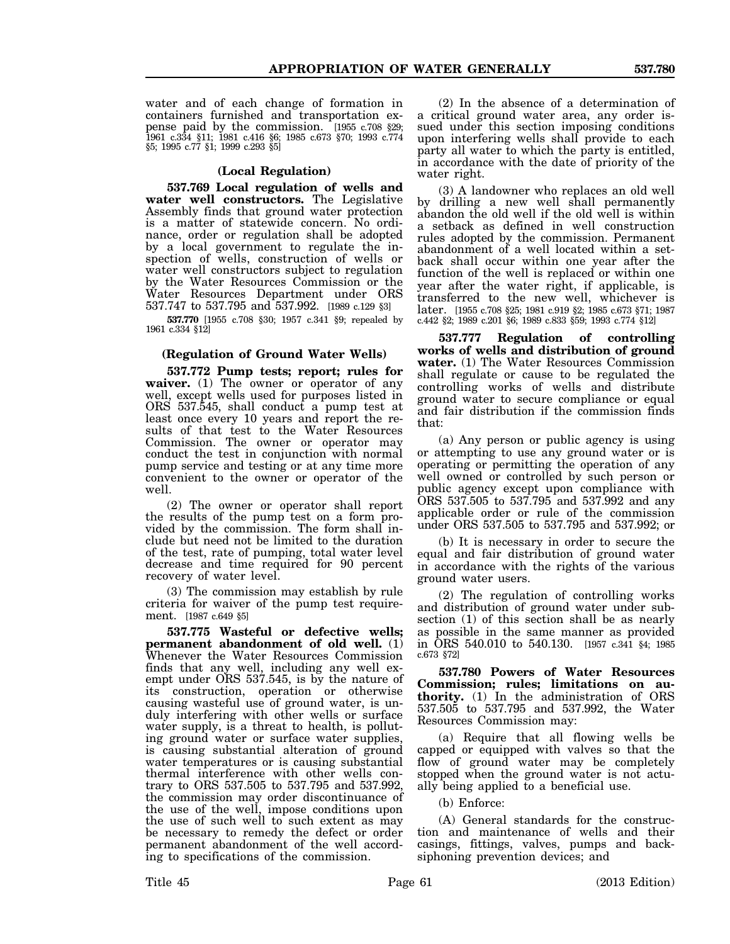water and of each change of formation in containers furnished and transportation expense paid by the commission. [1955 c.708 §29; 1961 c.334 §11; 1981 c.416 §6; 1985 c.673 §70; 1993 c.774 §5; 1995 c.77 §1; 1999 c.293 §5]

# **(Local Regulation)**

**537.769 Local regulation of wells and water well constructors.** The Legislative Assembly finds that ground water protection is a matter of statewide concern. No ordinance, order or regulation shall be adopted by a local government to regulate the inspection of wells, construction of wells or water well constructors subject to regulation by the Water Resources Commission or the Water Resources Department under ORS 537.747 to 537.795 and 537.992. [1989 c.129 §3]

**537.770** [1955 c.708 §30; 1957 c.341 §9; repealed by 1961 c.334 §12]

## **(Regulation of Ground Water Wells)**

**537.772 Pump tests; report; rules for waiver.** (1) The owner or operator of any well, except wells used for purposes listed in ORS 537.545, shall conduct a pump test at least once every 10 years and report the results of that test to the Water Resources Commission. The owner or operator may conduct the test in conjunction with normal pump service and testing or at any time more convenient to the owner or operator of the well.

(2) The owner or operator shall report the results of the pump test on a form provided by the commission. The form shall include but need not be limited to the duration of the test, rate of pumping, total water level decrease and time required for 90 percent recovery of water level.

(3) The commission may establish by rule criteria for waiver of the pump test requirement. [1987 c.649 §5]

**537.775 Wasteful or defective wells; permanent abandonment of old well.** (1) Whenever the Water Resources Commission finds that any well, including any well exempt under ORS 537.545, is by the nature of its construction, operation or otherwise causing wasteful use of ground water, is unduly interfering with other wells or surface water supply, is a threat to health, is polluting ground water or surface water supplies, is causing substantial alteration of ground water temperatures or is causing substantial thermal interference with other wells contrary to ORS 537.505 to 537.795 and 537.992, the commission may order discontinuance of the use of the well, impose conditions upon the use of such well to such extent as may be necessary to remedy the defect or order permanent abandonment of the well according to specifications of the commission.

(2) In the absence of a determination of a critical ground water area, any order issued under this section imposing conditions upon interfering wells shall provide to each party all water to which the party is entitled, in accordance with the date of priority of the water right.

(3) A landowner who replaces an old well by drilling a new well shall permanently abandon the old well if the old well is within a setback as defined in well construction rules adopted by the commission. Permanent abandonment of a well located within a setback shall occur within one year after the function of the well is replaced or within one year after the water right, if applicable, is transferred to the new well, whichever is later. [1955 c.708 §25; 1981 c.919 §2; 1985 c.673 §71; 1987 c.442 §2; 1989 c.201 §6; 1989 c.833 §59; 1993 c.774 §12]

**537.777 Regulation of controlling works of wells and distribution of ground water.** (1) The Water Resources Commission shall regulate or cause to be regulated the controlling works of wells and distribute ground water to secure compliance or equal and fair distribution if the commission finds that:

(a) Any person or public agency is using or attempting to use any ground water or is operating or permitting the operation of any well owned or controlled by such person or public agency except upon compliance with ORS 537.505 to 537.795 and 537.992 and any applicable order or rule of the commission under ORS 537.505 to 537.795 and 537.992; or

(b) It is necessary in order to secure the equal and fair distribution of ground water in accordance with the rights of the various ground water users.

(2) The regulation of controlling works and distribution of ground water under subsection (1) of this section shall be as nearly as possible in the same manner as provided in ORS 540.010 to 540.130. [1957 c.341 §4; 1985 c.673 §72]

**537.780 Powers of Water Resources Commission; rules; limitations on authority.** (1) In the administration of ORS 537.505 to 537.795 and 537.992, the Water Resources Commission may:

(a) Require that all flowing wells be capped or equipped with valves so that the flow of ground water may be completely stopped when the ground water is not actually being applied to a beneficial use.

(b) Enforce:

(A) General standards for the construction and maintenance of wells and their casings, fittings, valves, pumps and backsiphoning prevention devices; and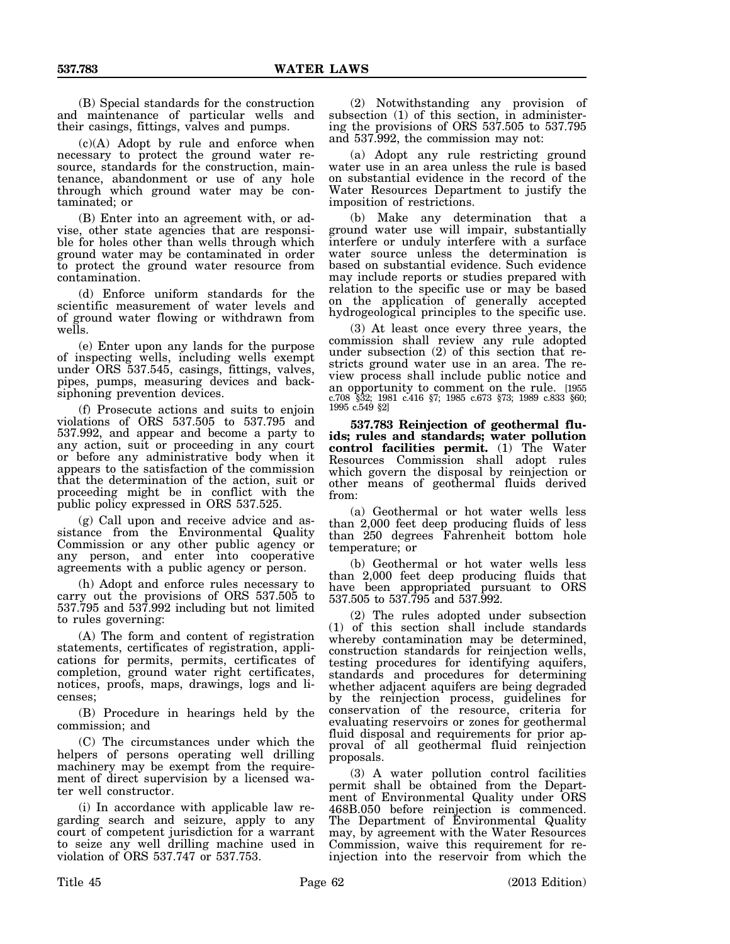(B) Special standards for the construction and maintenance of particular wells and their casings, fittings, valves and pumps.

(c)(A) Adopt by rule and enforce when necessary to protect the ground water resource, standards for the construction, maintenance, abandonment or use of any hole through which ground water may be contaminated; or

(B) Enter into an agreement with, or advise, other state agencies that are responsible for holes other than wells through which ground water may be contaminated in order to protect the ground water resource from contamination.

(d) Enforce uniform standards for the scientific measurement of water levels and of ground water flowing or withdrawn from wells.

(e) Enter upon any lands for the purpose of inspecting wells, including wells exempt under ORS 537.545, casings, fittings, valves, pipes, pumps, measuring devices and backsiphoning prevention devices.

(f) Prosecute actions and suits to enjoin violations of ORS 537.505 to 537.795 and 537.992, and appear and become a party to any action, suit or proceeding in any court or before any administrative body when it appears to the satisfaction of the commission that the determination of the action, suit or proceeding might be in conflict with the public policy expressed in ORS 537.525.

(g) Call upon and receive advice and assistance from the Environmental Quality Commission or any other public agency or any person, and enter into cooperative agreements with a public agency or person.

(h) Adopt and enforce rules necessary to carry out the provisions of ORS 537.505 to 537.795 and 537.992 including but not limited to rules governing:

(A) The form and content of registration statements, certificates of registration, applications for permits, permits, certificates of completion, ground water right certificates, notices, proofs, maps, drawings, logs and licenses;

(B) Procedure in hearings held by the commission; and

(C) The circumstances under which the helpers of persons operating well drilling machinery may be exempt from the requirement of direct supervision by a licensed water well constructor.

(i) In accordance with applicable law regarding search and seizure, apply to any court of competent jurisdiction for a warrant to seize any well drilling machine used in violation of ORS 537.747 or 537.753.

(2) Notwithstanding any provision of subsection (1) of this section, in administering the provisions of ORS 537.505 to 537.795 and 537.992, the commission may not:

(a) Adopt any rule restricting ground water use in an area unless the rule is based on substantial evidence in the record of the Water Resources Department to justify the imposition of restrictions.

(b) Make any determination that a ground water use will impair, substantially interfere or unduly interfere with a surface water source unless the determination is based on substantial evidence. Such evidence may include reports or studies prepared with relation to the specific use or may be based on the application of generally accepted hydrogeological principles to the specific use.

(3) At least once every three years, the commission shall review any rule adopted under subsection (2) of this section that restricts ground water use in an area. The review process shall include public notice and an opportunity to comment on the rule. [1955 c.708 §32; 1981 c.416 §7; 1985 c.673 §73; 1989 c.833 §60; 1995 c.549 §2]

**537.783 Reinjection of geothermal fluids; rules and standards; water pollution control facilities permit.** (1) The Water Resources Commission shall adopt rules which govern the disposal by reinjection or other means of geothermal fluids derived from:

(a) Geothermal or hot water wells less than 2,000 feet deep producing fluids of less than 250 degrees Fahrenheit bottom hole temperature; or

(b) Geothermal or hot water wells less than 2,000 feet deep producing fluids that have been appropriated pursuant to ORS 537.505 to 537.795 and 537.992.

(2) The rules adopted under subsection (1) of this section shall include standards whereby contamination may be determined, construction standards for reinjection wells, testing procedures for identifying aquifers, standards and procedures for determining whether adjacent aquifers are being degraded by the reinjection process, guidelines for conservation of the resource, criteria for evaluating reservoirs or zones for geothermal fluid disposal and requirements for prior approval of all geothermal fluid reinjection proposals.

(3) A water pollution control facilities permit shall be obtained from the Department of Environmental Quality under ORS 468B.050 before reinjection is commenced. The Department of Environmental Quality may, by agreement with the Water Resources Commission, waive this requirement for reinjection into the reservoir from which the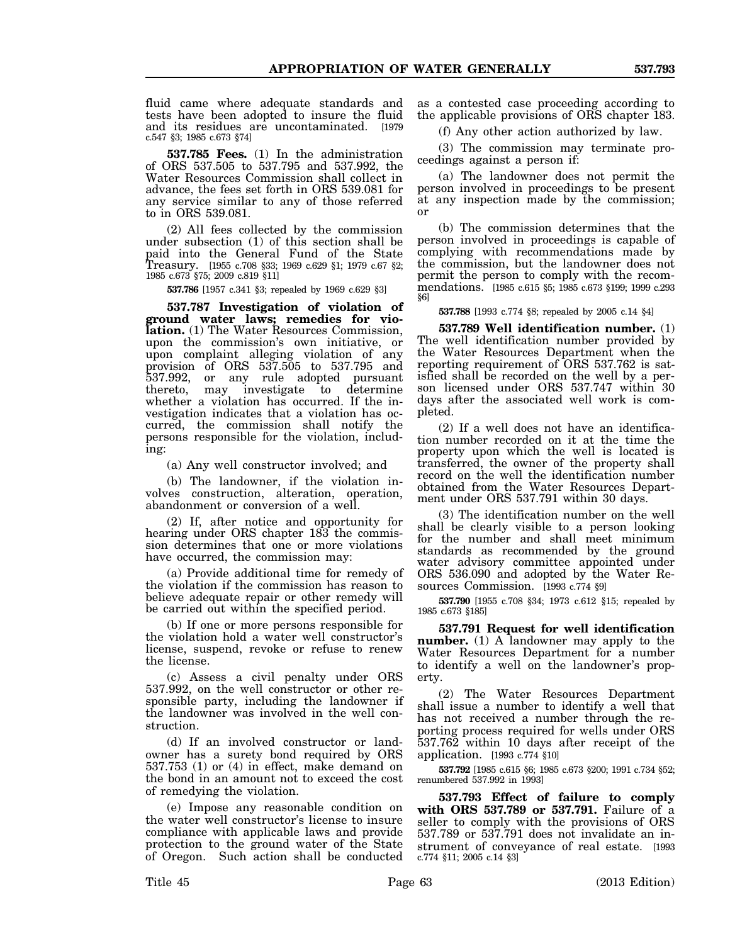fluid came where adequate standards and tests have been adopted to insure the fluid and its residues are uncontaminated. [1979 c.547 §3; 1985 c.673 §74]

**537.785 Fees.** (1) In the administration of ORS 537.505 to 537.795 and 537.992, the Water Resources Commission shall collect in advance, the fees set forth in ORS 539.081 for any service similar to any of those referred to in ORS 539.081.

(2) All fees collected by the commission under subsection (1) of this section shall be paid into the General Fund of the State Treasury. [1955 c.708 §33; 1969 c.629 §1; 1979 c.67 §2; 1985 c.673 §75; 2009 c.819 §11]

**537.786** [1957 c.341 §3; repealed by 1969 c.629 §3]

**537.787 Investigation of violation of ground water laws; remedies for violation.** (1) The Water Resources Commission, upon the commission's own initiative, or upon complaint alleging violation of any provision of ORS 537.505 to 537.795 and 537.992, or any rule adopted pursuant thereto, may investigate to determine whether a violation has occurred. If the investigation indicates that a violation has occurred, the commission shall notify the persons responsible for the violation, including:

(a) Any well constructor involved; and

(b) The landowner, if the violation involves construction, alteration, operation, abandonment or conversion of a well.

(2) If, after notice and opportunity for hearing under ORS chapter  $18\overline{3}$  the commission determines that one or more violations have occurred, the commission may:

(a) Provide additional time for remedy of the violation if the commission has reason to believe adequate repair or other remedy will be carried out within the specified period.

(b) If one or more persons responsible for the violation hold a water well constructor's license, suspend, revoke or refuse to renew the license.

(c) Assess a civil penalty under ORS 537.992, on the well constructor or other responsible party, including the landowner if the landowner was involved in the well construction.

(d) If an involved constructor or landowner has a surety bond required by ORS 537.753 (1) or (4) in effect, make demand on the bond in an amount not to exceed the cost of remedying the violation.

(e) Impose any reasonable condition on the water well constructor's license to insure compliance with applicable laws and provide protection to the ground water of the State of Oregon. Such action shall be conducted

as a contested case proceeding according to the applicable provisions of ORS chapter 183.

(f) Any other action authorized by law.

(3) The commission may terminate proceedings against a person if:

(a) The landowner does not permit the person involved in proceedings to be present at any inspection made by the commission; or

(b) The commission determines that the person involved in proceedings is capable of complying with recommendations made by the commission, but the landowner does not permit the person to comply with the recommendations. [1985 c.615 §5; 1985 c.673 §199; 1999 c.293 §6]

**537.788** [1993 c.774 §8; repealed by 2005 c.14 §4]

**537.789 Well identification number.** (1) The well identification number provided by the Water Resources Department when the reporting requirement of ORS 537.762 is satisfied shall be recorded on the well by a person licensed under ORS 537.747 within 30 days after the associated well work is completed.

(2) If a well does not have an identification number recorded on it at the time the property upon which the well is located is transferred, the owner of the property shall record on the well the identification number obtained from the Water Resources Department under ORS 537.791 within 30 days.

(3) The identification number on the well shall be clearly visible to a person looking for the number and shall meet minimum standards as recommended by the ground water advisory committee appointed under ORS 536.090 and adopted by the Water Resources Commission. [1993 c.774 §9]

**537.790** [1955 c.708 §34; 1973 c.612 §15; repealed by 1985 c.673 §185]

**537.791 Request for well identification number.** (1) A landowner may apply to the Water Resources Department for a number to identify a well on the landowner's property.

(2) The Water Resources Department shall issue a number to identify a well that has not received a number through the reporting process required for wells under ORS 537.762 within 10 days after receipt of the application. [1993 c.774 §10]

**537.792** [1985 c.615 §6; 1985 c.673 §200; 1991 c.734 §52; renumbered 537.992 in 1993]

**537.793 Effect of failure to comply with ORS 537.789 or 537.791.** Failure of a seller to comply with the provisions of ORS 537.789 or 537.791 does not invalidate an instrument of conveyance of real estate. [1993 c.774 §11; 2005 c.14 §3]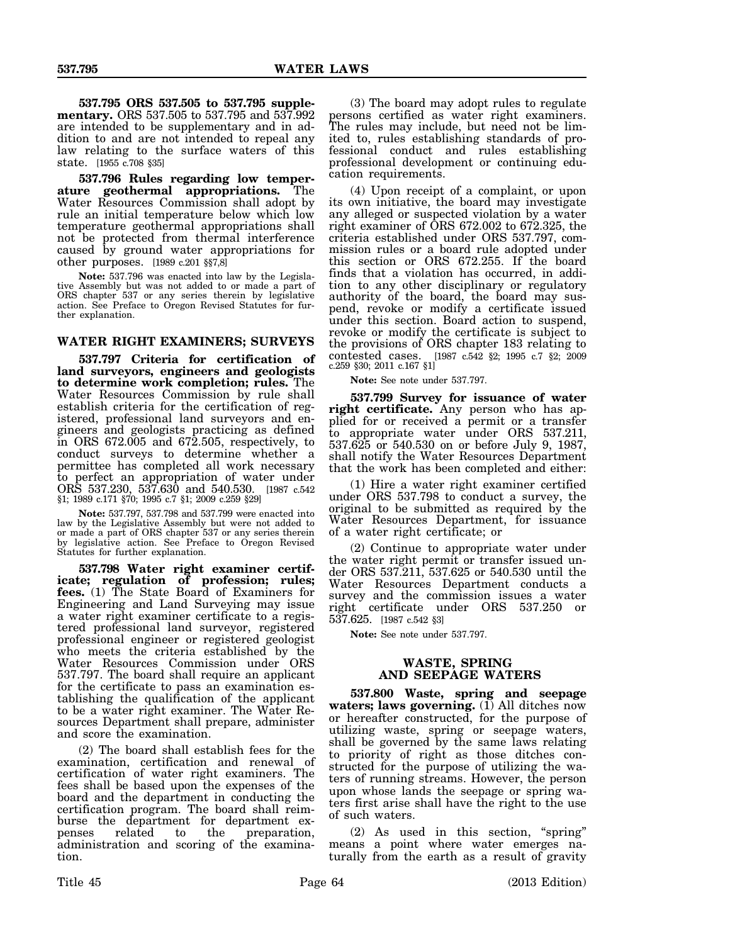**537.795 ORS 537.505 to 537.795 supplementary.** ORS 537.505 to 537.795 and 537.992 are intended to be supplementary and in addition to and are not intended to repeal any law relating to the surface waters of this state. [1955 c.708 §35]

**537.796 Rules regarding low temperature geothermal appropriations.** The Water Resources Commission shall adopt by rule an initial temperature below which low temperature geothermal appropriations shall not be protected from thermal interference caused by ground water appropriations for other purposes. [1989 c.201 §§7,8]

**Note:** 537.796 was enacted into law by the Legislative Assembly but was not added to or made a part of ORS chapter 537 or any series therein by legislative action. See Preface to Oregon Revised Statutes for further explanation.

# **WATER RIGHT EXAMINERS; SURVEYS**

**537.797 Criteria for certification of land surveyors, engineers and geologists to determine work completion; rules.** The Water Resources Commission by rule shall establish criteria for the certification of registered, professional land surveyors and engineers and geologists practicing as defined in ORS 672.005 and 672.505, respectively, to conduct surveys to determine whether a permittee has completed all work necessary to perfect an appropriation of water under ORS 537.230, 537.630 and 540.530. [1987 c.542 §1; 1989 c.171 §70; 1995 c.7 §1; 2009 c.259 §29]

**Note:** 537.797, 537.798 and 537.799 were enacted into law by the Legislative Assembly but were not added to or made a part of ORS chapter 537 or any series therein by legislative action. See Preface to Oregon Revised Statutes for further explanation.

**537.798 Water right examiner certificate; regulation of profession; rules; fees.** (1) The State Board of Examiners for Engineering and Land Surveying may issue a water right examiner certificate to a registered professional land surveyor, registered professional engineer or registered geologist who meets the criteria established by the Water Resources Commission under ORS 537.797. The board shall require an applicant for the certificate to pass an examination establishing the qualification of the applicant to be a water right examiner. The Water Resources Department shall prepare, administer and score the examination.

(2) The board shall establish fees for the examination, certification and renewal of certification of water right examiners. The fees shall be based upon the expenses of the board and the department in conducting the certification program. The board shall reimburse the department for department expenses related to the preparation, administration and scoring of the examination.

(3) The board may adopt rules to regulate persons certified as water right examiners. The rules may include, but need not be limited to, rules establishing standards of professional conduct and rules establishing professional development or continuing education requirements.

(4) Upon receipt of a complaint, or upon its own initiative, the board may investigate any alleged or suspected violation by a water right examiner of ORS 672.002 to 672.325, the criteria established under ORS 537.797, commission rules or a board rule adopted under this section or ORS 672.255. If the board finds that a violation has occurred, in addition to any other disciplinary or regulatory authority of the board, the board may suspend, revoke or modify a certificate issued under this section. Board action to suspend, revoke or modify the certificate is subject to the provisions of ORS chapter 183 relating to contested cases. [1987 c.542 §2; 1995 c.7 §2; 2009 c.259 §30; 2011 c.167 §1]

**Note:** See note under 537.797.

**537.799 Survey for issuance of water right certificate.** Any person who has applied for or received a permit or a transfer to appropriate water under ORS 537.211, 537.625 or 540.530 on or before July 9, 1987, shall notify the Water Resources Department that the work has been completed and either:

(1) Hire a water right examiner certified under ORS 537.798 to conduct a survey, the original to be submitted as required by the Water Resources Department, for issuance of a water right certificate; or

(2) Continue to appropriate water under the water right permit or transfer issued under ORS 537.211, 537.625 or 540.530 until the Water Resources Department conducts a survey and the commission issues a water right certificate under ORS 537.250 or 537.625. [1987 c.542 §3]

**Note:** See note under 537.797.

# **WASTE, SPRING AND SEEPAGE WATERS**

**537.800 Waste, spring and seepage waters; laws governing.** (1) All ditches now or hereafter constructed, for the purpose of utilizing waste, spring or seepage waters, shall be governed by the same laws relating to priority of right as those ditches constructed for the purpose of utilizing the waters of running streams. However, the person upon whose lands the seepage or spring waters first arise shall have the right to the use of such waters.

(2) As used in this section, "spring" means a point where water emerges naturally from the earth as a result of gravity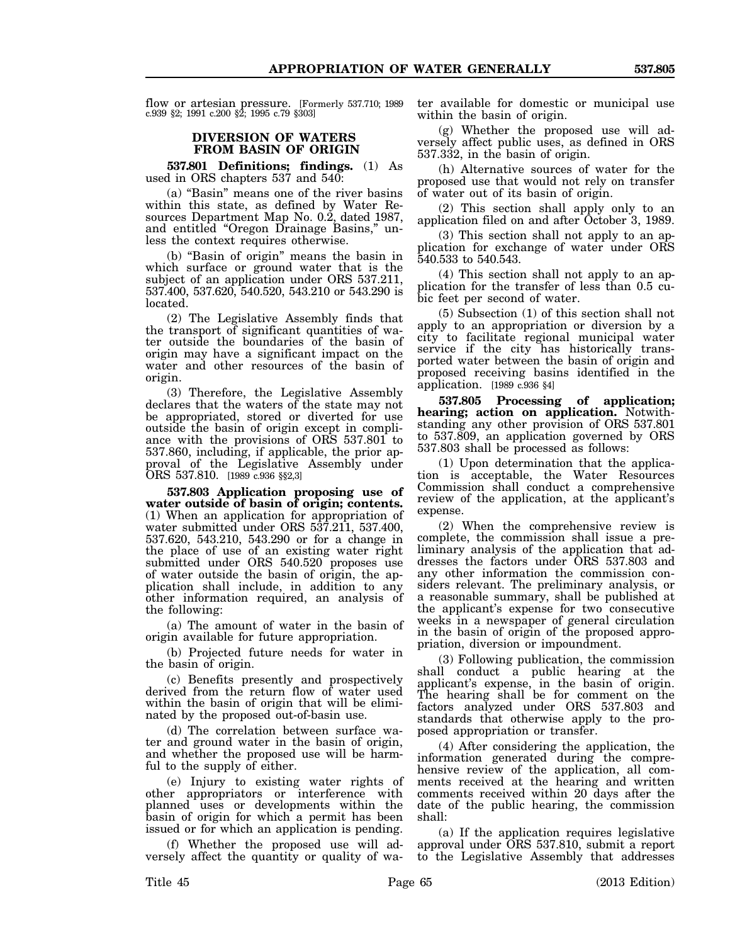flow or artesian pressure. [Formerly 537.710; 1989 c.939 §2; 1991 c.200 §2; 1995 c.79 §303]

# **DIVERSION OF WATERS FROM BASIN OF ORIGIN**

**537.801 Definitions; findings.** (1) As used in ORS chapters 537 and 540:

(a) "Basin" means one of the river basins within this state, as defined by Water Resources Department Map No. 0.2, dated 1987, and entitled "Oregon Drainage Basins," unless the context requires otherwise.

(b) "Basin of origin" means the basin in which surface or ground water that is the subject of an application under ORS 537.211, 537.400, 537.620, 540.520, 543.210 or 543.290 is located.

(2) The Legislative Assembly finds that the transport of significant quantities of water outside the boundaries of the basin of origin may have a significant impact on the water and other resources of the basin of origin.

(3) Therefore, the Legislative Assembly declares that the waters of the state may not be appropriated, stored or diverted for use outside the basin of origin except in compliance with the provisions of ORS 537.801 to 537.860, including, if applicable, the prior approval of the Legislative Assembly under ORS 537.810. [1989 c.936 §§2,3]

**537.803 Application proposing use of water outside of basin of origin; contents.** (1) When an application for appropriation of water submitted under ORS 537.211, 537.400, 537.620, 543.210, 543.290 or for a change in the place of use of an existing water right submitted under ORS 540.520 proposes use of water outside the basin of origin, the application shall include, in addition to any other information required, an analysis of the following:

(a) The amount of water in the basin of origin available for future appropriation.

(b) Projected future needs for water in the basin of origin.

(c) Benefits presently and prospectively derived from the return flow of water used within the basin of origin that will be eliminated by the proposed out-of-basin use.

(d) The correlation between surface water and ground water in the basin of origin, and whether the proposed use will be harmful to the supply of either.

(e) Injury to existing water rights of other appropriators or interference with planned uses or developments within the basin of origin for which a permit has been issued or for which an application is pending.

(f) Whether the proposed use will adversely affect the quantity or quality of water available for domestic or municipal use within the basin of origin.

(g) Whether the proposed use will adversely affect public uses, as defined in ORS 537.332, in the basin of origin.

(h) Alternative sources of water for the proposed use that would not rely on transfer of water out of its basin of origin.

(2) This section shall apply only to an application filed on and after October 3, 1989.

(3) This section shall not apply to an application for exchange of water under ORS 540.533 to 540.543.

(4) This section shall not apply to an application for the transfer of less than 0.5 cubic feet per second of water.

(5) Subsection (1) of this section shall not apply to an appropriation or diversion by a city to facilitate regional municipal water service if the city has historically transported water between the basin of origin and proposed receiving basins identified in the application. [1989 c.936 §4]

**537.805 Processing of application; hearing; action on application.** Notwithstanding any other provision of ORS 537.801 to 537.809, an application governed by ORS 537.803 shall be processed as follows:

(1) Upon determination that the application is acceptable, the Water Resources Commission shall conduct a comprehensive review of the application, at the applicant's expense.

(2) When the comprehensive review is complete, the commission shall issue a preliminary analysis of the application that addresses the factors under ORS 537.803 and any other information the commission considers relevant. The preliminary analysis, or a reasonable summary, shall be published at the applicant's expense for two consecutive weeks in a newspaper of general circulation in the basin of origin of the proposed appropriation, diversion or impoundment.

(3) Following publication, the commission shall conduct a public hearing at the applicant's expense, in the basin of origin. The hearing shall be for comment on the factors analyzed under ORS 537.803 and standards that otherwise apply to the proposed appropriation or transfer.

(4) After considering the application, the information generated during the comprehensive review of the application, all comments received at the hearing and written comments received within 20 days after the date of the public hearing, the commission shall:

(a) If the application requires legislative approval under ORS 537.810, submit a report to the Legislative Assembly that addresses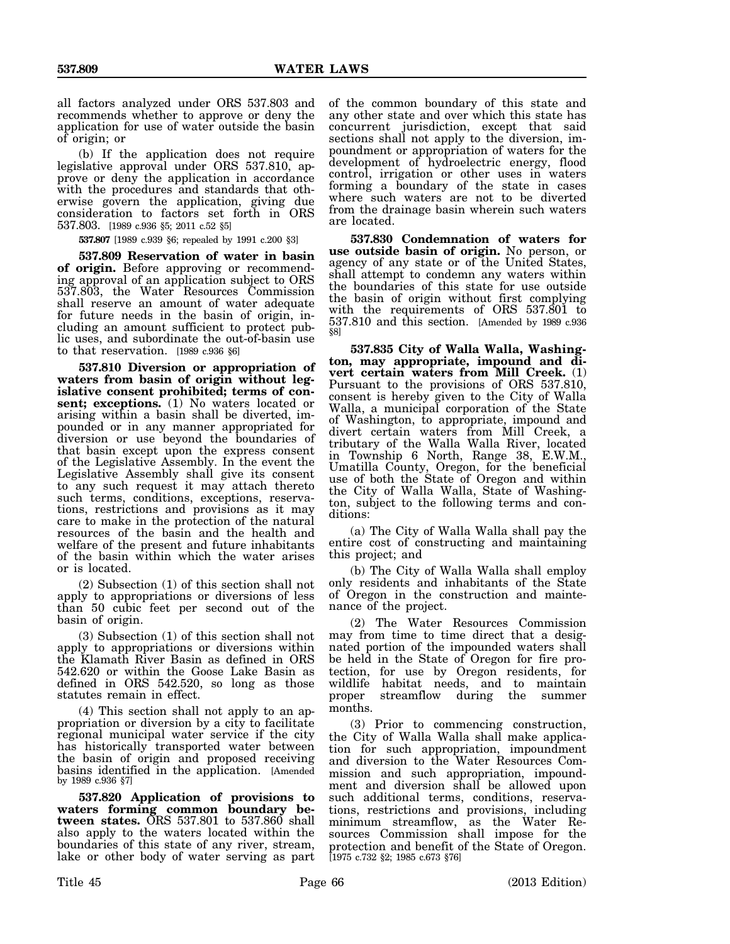all factors analyzed under ORS 537.803 and recommends whether to approve or deny the application for use of water outside the basin of origin; or

(b) If the application does not require legislative approval under ORS 537.810, approve or deny the application in accordance with the procedures and standards that otherwise govern the application, giving due consideration to factors set forth in ORS 537.803. [1989 c.936 §5; 2011 c.52 §5]

**537.807** [1989 c.939 §6; repealed by 1991 c.200 §3]

**537.809 Reservation of water in basin of origin.** Before approving or recommending approval of an application subject to ORS 537.803, the Water Resources Commission shall reserve an amount of water adequate for future needs in the basin of origin, including an amount sufficient to protect public uses, and subordinate the out-of-basin use to that reservation. [1989 c.936 §6]

**537.810 Diversion or appropriation of waters from basin of origin without legislative consent prohibited; terms of consent; exceptions.** (1) No waters located or arising within a basin shall be diverted, impounded or in any manner appropriated for diversion or use beyond the boundaries of that basin except upon the express consent of the Legislative Assembly. In the event the Legislative Assembly shall give its consent to any such request it may attach thereto such terms, conditions, exceptions, reservations, restrictions and provisions as it may care to make in the protection of the natural resources of the basin and the health and welfare of the present and future inhabitants of the basin within which the water arises or is located.

(2) Subsection (1) of this section shall not apply to appropriations or diversions of less than 50 cubic feet per second out of the basin of origin.

(3) Subsection (1) of this section shall not apply to appropriations or diversions within the Klamath River Basin as defined in ORS 542.620 or within the Goose Lake Basin as defined in ORS 542.520, so long as those statutes remain in effect.

(4) This section shall not apply to an appropriation or diversion by a city to facilitate regional municipal water service if the city has historically transported water between the basin of origin and proposed receiving basins identified in the application. [Amended by 1989 c.936 §7]

**537.820 Application of provisions to waters forming common boundary between states.** ORS 537.801 to 537.860 shall also apply to the waters located within the boundaries of this state of any river, stream, lake or other body of water serving as part

of the common boundary of this state and any other state and over which this state has concurrent jurisdiction, except that said sections shall not apply to the diversion, impoundment or appropriation of waters for the development of hydroelectric energy, flood control, irrigation or other uses in waters forming a boundary of the state in cases where such waters are not to be diverted from the drainage basin wherein such waters are located.

**537.830 Condemnation of waters for use outside basin of origin.** No person, or agency of any state or of the United States, shall attempt to condemn any waters within the boundaries of this state for use outside the basin of origin without first complying with the requirements of ORS 537.801 to 537.810 and this section. [Amended by 1989 c.936 §8]

**537.835 City of Walla Walla, Washington, may appropriate, impound and divert certain waters from Mill Creek.** (1) Pursuant to the provisions of ORS 537.810, consent is hereby given to the City of Walla Walla, a municipal corporation of the State of Washington, to appropriate, impound and divert certain waters from Mill Creek, a tributary of the Walla Walla River, located in Township 6 North, Range 38, E.W.M., Umatilla County, Oregon, for the beneficial use of both the State of Oregon and within the City of Walla Walla, State of Washington, subject to the following terms and conditions:

(a) The City of Walla Walla shall pay the entire cost of constructing and maintaining this project; and

(b) The City of Walla Walla shall employ only residents and inhabitants of the State of Oregon in the construction and maintenance of the project.

(2) The Water Resources Commission may from time to time direct that a designated portion of the impounded waters shall be held in the State of Oregon for fire protection, for use by Oregon residents, for wildlife habitat needs, and to maintain proper streamflow during the summer months.

(3) Prior to commencing construction, the City of Walla Walla shall make application for such appropriation, impoundment and diversion to the Water Resources Commission and such appropriation, impoundment and diversion shall be allowed upon such additional terms, conditions, reservations, restrictions and provisions, including minimum streamflow, as the Water Resources Commission shall impose for the protection and benefit of the State of Oregon. [1975 c.732 §2; 1985 c.673 §76]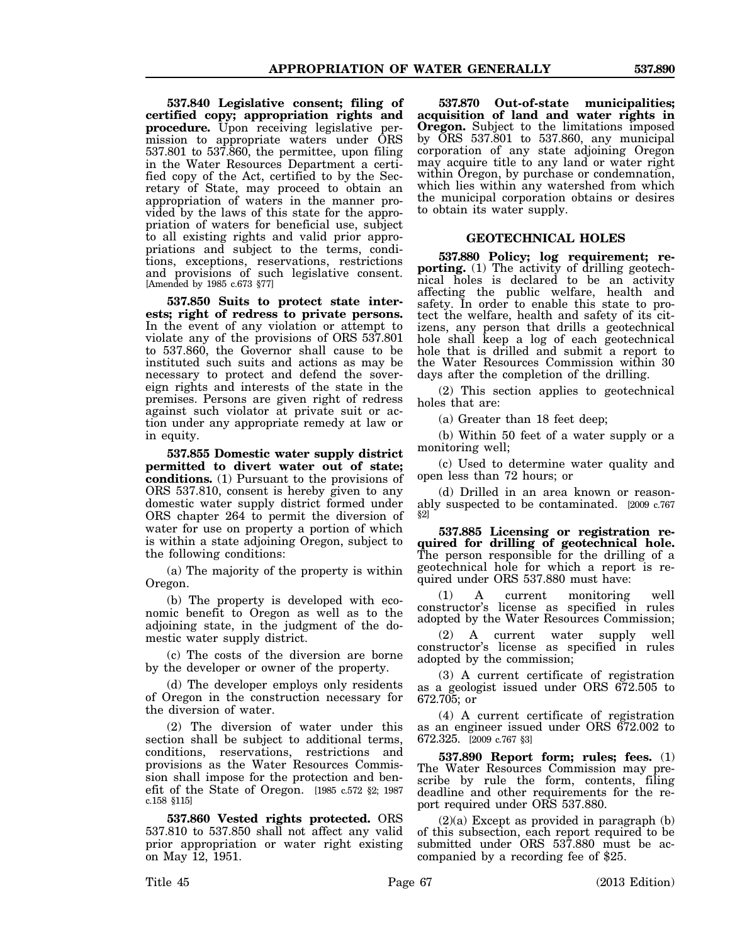**537.840 Legislative consent; filing of certified copy; appropriation rights and procedure.** Upon receiving legislative permission to appropriate waters under ORS 537.801 to 537.860, the permittee, upon filing in the Water Resources Department a certified copy of the Act, certified to by the Secretary of State, may proceed to obtain an appropriation of waters in the manner provided by the laws of this state for the appropriation of waters for beneficial use, subject to all existing rights and valid prior appropriations and subject to the terms, conditions, exceptions, reservations, restrictions and provisions of such legislative consent. [Amended by 1985 c.673 §77]

**537.850 Suits to protect state interests; right of redress to private persons.** In the event of any violation or attempt to violate any of the provisions of ORS 537.801 to 537.860, the Governor shall cause to be instituted such suits and actions as may be necessary to protect and defend the sovereign rights and interests of the state in the premises. Persons are given right of redress against such violator at private suit or action under any appropriate remedy at law or in equity.

**537.855 Domestic water supply district permitted to divert water out of state; conditions.** (1) Pursuant to the provisions of ORS 537.810, consent is hereby given to any domestic water supply district formed under ORS chapter 264 to permit the diversion of water for use on property a portion of which is within a state adjoining Oregon, subject to the following conditions:

(a) The majority of the property is within Oregon.

(b) The property is developed with economic benefit to Oregon as well as to the adjoining state, in the judgment of the domestic water supply district.

(c) The costs of the diversion are borne by the developer or owner of the property.

(d) The developer employs only residents of Oregon in the construction necessary for the diversion of water.

(2) The diversion of water under this section shall be subject to additional terms, conditions, reservations, restrictions and provisions as the Water Resources Commission shall impose for the protection and benefit of the State of Oregon. [1985 c.572 §2; 1987 c.158 §115]

**537.860 Vested rights protected.** ORS 537.810 to 537.850 shall not affect any valid prior appropriation or water right existing on May 12, 1951.

**537.870 Out-of-state municipalities; acquisition of land and water rights in Oregon.** Subject to the limitations imposed by ORS 537.801 to 537.860, any municipal corporation of any state adjoining Oregon may acquire title to any land or water right within Oregon, by purchase or condemnation, which lies within any watershed from which the municipal corporation obtains or desires to obtain its water supply.

## **GEOTECHNICAL HOLES**

**537.880 Policy; log requirement; reporting.** (1) The activity of drilling geotechnical holes is declared to be an activity affecting the public welfare, health and safety. In order to enable this state to protect the welfare, health and safety of its citizens, any person that drills a geotechnical hole shall keep a log of each geotechnical hole that is drilled and submit a report to the Water Resources Commission within 30 days after the completion of the drilling.

(2) This section applies to geotechnical holes that are:

(a) Greater than 18 feet deep;

(b) Within 50 feet of a water supply or a monitoring well;

(c) Used to determine water quality and open less than 72 hours; or

(d) Drilled in an area known or reasonably suspected to be contaminated. [2009 c.767 §2]

**537.885 Licensing or registration required for drilling of geotechnical hole.** The person responsible for the drilling of a geotechnical hole for which a report is required under ORS 537.880 must have:

 (1) A current monitoring well constructor's license as specified in rules adopted by the Water Resources Commission;

(2) A current water supply well constructor's license as specified in rules adopted by the commission;

(3) A current certificate of registration as a geologist issued under ORS 672.505 to 672.705; or

(4) A current certificate of registration as an engineer issued under ORS 672.002 to 672.325. [2009 c.767 §3]

**537.890 Report form; rules; fees.** (1) The Water Resources Commission may prescribe by rule the form, contents, filing deadline and other requirements for the report required under ORS 537.880.

 $(2)(a)$  Except as provided in paragraph  $(b)$ of this subsection, each report required to be submitted under ORS 537.880 must be accompanied by a recording fee of \$25.